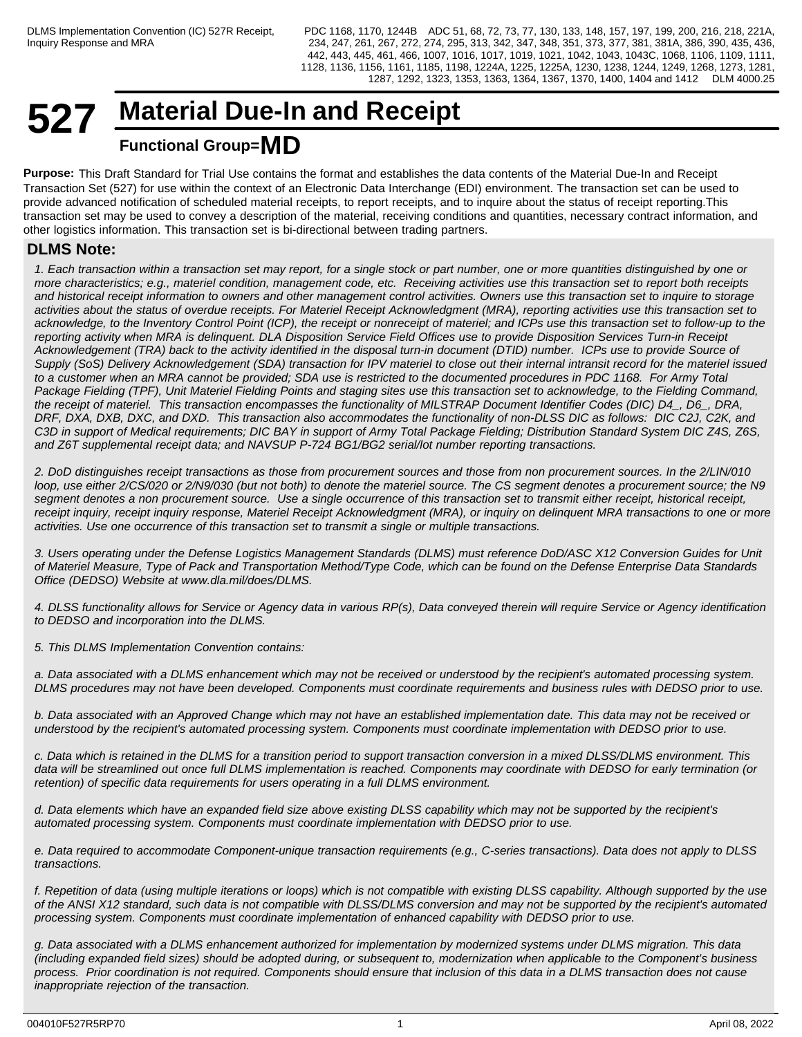## **527 Material Due-In and Receipt Functional Group=MD**

**Purpose:** This Draft Standard for Trial Use contains the format and establishes the data contents of the Material Due-In and Receipt Transaction Set (527) for use within the context of an Electronic Data Interchange (EDI) environment. The transaction set can be used to provide advanced notification of scheduled material receipts, to report receipts, and to inquire about the status of receipt reporting.This transaction set may be used to convey a description of the material, receiving conditions and quantities, necessary contract information, and other logistics information. This transaction set is bi-directional between trading partners.

## **DLMS Note:**

*1. Each transaction within a transaction set may report, for a single stock or part number, one or more quantities distinguished by one or more characteristics; e.g., materiel condition, management code, etc. Receiving activities use this transaction set to report both receipts and historical receipt information to owners and other management control activities. Owners use this transaction set to inquire to storage activities about the status of overdue receipts. For Materiel Receipt Acknowledgment (MRA), reporting activities use this transaction set to acknowledge, to the Inventory Control Point (ICP), the receipt or nonreceipt of materiel; and ICPs use this transaction set to follow-up to the reporting activity when MRA is delinquent. DLA Disposition Service Field Offices use to provide Disposition Services Turn-in Receipt Acknowledgement (TRA) back to the activity identified in the disposal turn-in document (DTID) number. ICPs use to provide Source of Supply (SoS) Delivery Acknowledgement (SDA) transaction for IPV materiel to close out their internal intransit record for the materiel issued to a customer when an MRA cannot be provided; SDA use is restricted to the documented procedures in PDC 1168. For Army Total Package Fielding (TPF), Unit Materiel Fielding Points and staging sites use this transaction set to acknowledge, to the Fielding Command, the receipt of materiel. This transaction encompasses the functionality of MILSTRAP Document Identifier Codes (DIC) D4\_, D6\_, DRA, DRF, DXA, DXB, DXC, and DXD. This transaction also accommodates the functionality of non-DLSS DIC as follows: DIC C2J, C2K, and C3D in support of Medical requirements; DIC BAY in support of Army Total Package Fielding; Distribution Standard System DIC Z4S, Z6S, and Z6T supplemental receipt data; and NAVSUP P-724 BG1/BG2 serial/lot number reporting transactions.*

*2. DoD distinguishes receipt transactions as those from procurement sources and those from non procurement sources. In the 2/LIN/010 loop, use either 2/CS/020 or 2/N9/030 (but not both) to denote the materiel source. The CS segment denotes a procurement source; the N9 segment denotes a non procurement source. Use a single occurrence of this transaction set to transmit either receipt, historical receipt, receipt inquiry, receipt inquiry response, Materiel Receipt Acknowledgment (MRA), or inquiry on delinquent MRA transactions to one or more activities. Use one occurrence of this transaction set to transmit a single or multiple transactions.*

*3. Users operating under the Defense Logistics Management Standards (DLMS) must reference DoD/ASC X12 Conversion Guides for Unit of Materiel Measure, Type of Pack and Transportation Method/Type Code, which can be found on the Defense Enterprise Data Standards Office (DEDSO) Website at www.dla.mil/does/DLMS.*

*4. DLSS functionality allows for Service or Agency data in various RP(s), Data conveyed therein will require Service or Agency identification to DEDSO and incorporation into the DLMS.*

*5. This DLMS Implementation Convention contains:*

*a. Data associated with a DLMS enhancement which may not be received or understood by the recipient's automated processing system. DLMS procedures may not have been developed. Components must coordinate requirements and business rules with DEDSO prior to use.*

*b. Data associated with an Approved Change which may not have an established implementation date. This data may not be received or understood by the recipient's automated processing system. Components must coordinate implementation with DEDSO prior to use.*

*c. Data which is retained in the DLMS for a transition period to support transaction conversion in a mixed DLSS/DLMS environment. This data will be streamlined out once full DLMS implementation is reached. Components may coordinate with DEDSO for early termination (or retention) of specific data requirements for users operating in a full DLMS environment.*

*d. Data elements which have an expanded field size above existing DLSS capability which may not be supported by the recipient's automated processing system. Components must coordinate implementation with DEDSO prior to use.*

*e. Data required to accommodate Component-unique transaction requirements (e.g., C-series transactions). Data does not apply to DLSS transactions.*

*f. Repetition of data (using multiple iterations or loops) which is not compatible with existing DLSS capability. Although supported by the use of the ANSI X12 standard, such data is not compatible with DLSS/DLMS conversion and may not be supported by the recipient's automated processing system. Components must coordinate implementation of enhanced capability with DEDSO prior to use.*

*g. Data associated with a DLMS enhancement authorized for implementation by modernized systems under DLMS migration. This data (including expanded field sizes) should be adopted during, or subsequent to, modernization when applicable to the Component's business process. Prior coordination is not required. Components should ensure that inclusion of this data in a DLMS transaction does not cause inappropriate rejection of the transaction.*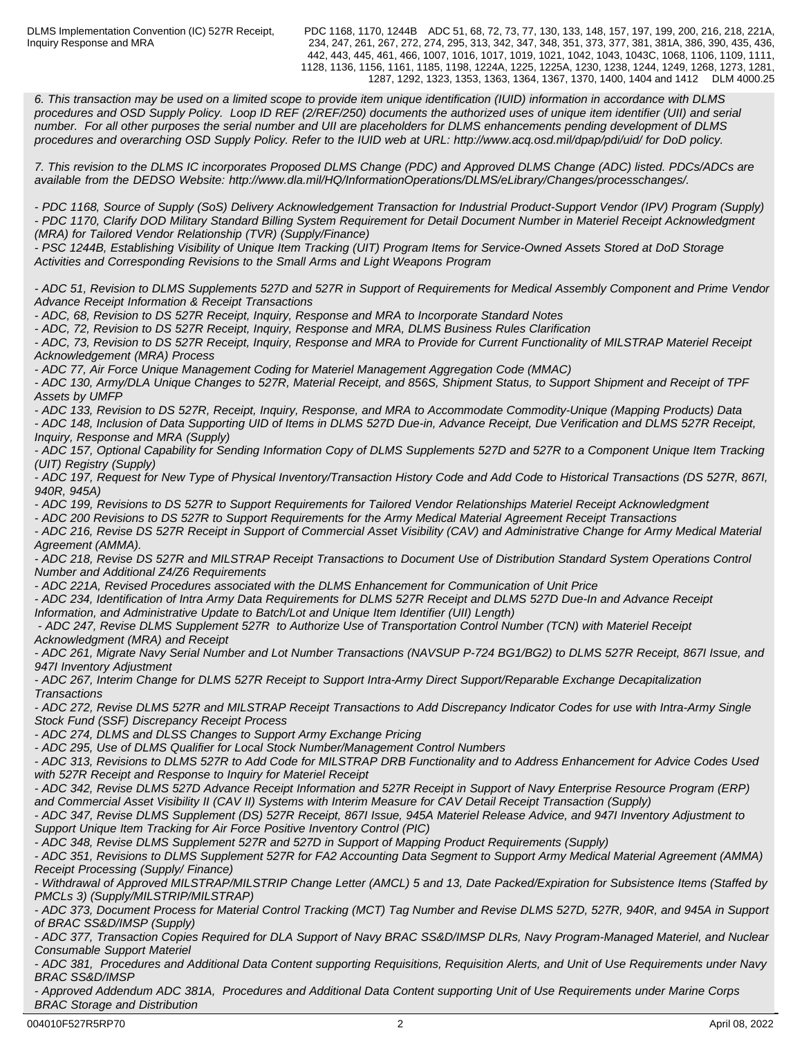PDC 1168, 1170, 1244B ADC 51, 68, 72, 73, 77, 130, 133, 148, 157, 197, 199, 200, 216, 218, 221A, 234, 247, 261, 267, 272, 274, 295, 313, 342, 347, 348, 351, 373, 377, 381, 381A, 386, 390, 435, 436, 442, 443, 445, 461, 466, 1007, 1016, 1017, 1019, 1021, 1042, 1043, 1043C, 1068, 1106, 1109, 1111, 1128, 1136, 1156, 1161, 1185, 1198, 1224A, 1225, 1225A, 1230, 1238, 1244, 1249, 1268, 1273, 1281, 1287, 1292, 1323, 1353, 1363, 1364, 1367, 1370, 1400, 1404 and 1412 DLM 4000.25

*6. This transaction may be used on a limited scope to provide item unique identification (IUID) information in accordance with DLMS procedures and OSD Supply Policy. Loop ID REF (2/REF/250) documents the authorized uses of unique item identifier (UII) and serial number. For all other purposes the serial number and UII are placeholders for DLMS enhancements pending development of DLMS procedures and overarching OSD Supply Policy. Refer to the IUID web at URL: http://www.acq.osd.mil/dpap/pdi/uid/ for DoD policy.*

*7. This revision to the DLMS IC incorporates Proposed DLMS Change (PDC) and Approved DLMS Change (ADC) listed. PDCs/ADCs are available from the DEDSO Website: http://www.dla.mil/HQ/InformationOperations/DLMS/eLibrary/Changes/processchanges/.*

*- PDC 1168, Source of Supply (SoS) Delivery Acknowledgement Transaction for Industrial Product-Support Vendor (IPV) Program (Supply) - PDC 1170, Clarify DOD Military Standard Billing System Requirement for Detail Document Number in Materiel Receipt Acknowledgment (MRA) for Tailored Vendor Relationship (TVR) (Supply/Finance)*

*- PSC 1244B, Establishing Visibility of Unique Item Tracking (UIT) Program Items for Service-Owned Assets Stored at DoD Storage Activities and Corresponding Revisions to the Small Arms and Light Weapons Program* 

*- ADC 51, Revision to DLMS Supplements 527D and 527R in Support of Requirements for Medical Assembly Component and Prime Vendor Advance Receipt Information & Receipt Transactions*

*- ADC, 68, Revision to DS 527R Receipt, Inquiry, Response and MRA to Incorporate Standard Notes*

*- ADC, 72, Revision to DS 527R Receipt, Inquiry, Response and MRA, DLMS Business Rules Clarification - ADC, 73, Revision to DS 527R Receipt, Inquiry, Response and MRA to Provide for Current Functionality of MILSTRAP Materiel Receipt Acknowledgement (MRA) Process*

*- ADC 77, Air Force Unique Management Coding for Materiel Management Aggregation Code (MMAC)*

*- ADC 130, Army/DLA Unique Changes to 527R, Material Receipt, and 856S, Shipment Status, to Support Shipment and Receipt of TPF Assets by UMFP*

*- ADC 133, Revision to DS 527R, Receipt, Inquiry, Response, and MRA to Accommodate Commodity-Unique (Mapping Products) Data*

*- ADC 148, Inclusion of Data Supporting UID of Items in DLMS 527D Due-in, Advance Receipt, Due Verification and DLMS 527R Receipt, Inquiry, Response and MRA (Supply)*

*- ADC 157, Optional Capability for Sending Information Copy of DLMS Supplements 527D and 527R to a Component Unique Item Tracking (UIT) Registry (Supply)*

*- ADC 197, Request for New Type of Physical Inventory/Transaction History Code and Add Code to Historical Transactions (DS 527R, 867I, 940R, 945A)*

*- ADC 199, Revisions to DS 527R to Support Requirements for Tailored Vendor Relationships Materiel Receipt Acknowledgment*

*- ADC 200 Revisions to DS 527R to Support Requirements for the Army Medical Material Agreement Receipt Transactions*

*- ADC 216, Revise DS 527R Receipt in Support of Commercial Asset Visibility (CAV) and Administrative Change for Army Medical Material Agreement (AMMA).*

*- ADC 218, Revise DS 527R and MILSTRAP Receipt Transactions to Document Use of Distribution Standard System Operations Control Number and Additional Z4/Z6 Requirements*

*- ADC 221A, Revised Procedures associated with the DLMS Enhancement for Communication of Unit Price*

*- ADC 234, Identification of Intra Army Data Requirements for DLMS 527R Receipt and DLMS 527D Due-In and Advance Receipt*

*Information, and Administrative Update to Batch/Lot and Unique Item Identifier (UII) Length)*

 *- ADC 247, Revise DLMS Supplement 527R to Authorize Use of Transportation Control Number (TCN) with Materiel Receipt Acknowledgment (MRA) and Receipt*

*- ADC 261, Migrate Navy Serial Number and Lot Number Transactions (NAVSUP P-724 BG1/BG2) to DLMS 527R Receipt, 867I Issue, and 947I Inventory Adjustment* 

*- ADC 267, Interim Change for DLMS 527R Receipt to Support Intra-Army Direct Support/Reparable Exchange Decapitalization Transactions*

*- ADC 272, Revise DLMS 527R and MILSTRAP Receipt Transactions to Add Discrepancy Indicator Codes for use with Intra-Army Single Stock Fund (SSF) Discrepancy Receipt Process*

*- ADC 274, DLMS and DLSS Changes to Support Army Exchange Pricing*

*- ADC 295, Use of DLMS Qualifier for Local Stock Number/Management Control Numbers* 

*- ADC 313, Revisions to DLMS 527R to Add Code for MILSTRAP DRB Functionality and to Address Enhancement for Advice Codes Used with 527R Receipt and Response to Inquiry for Materiel Receipt*

*- ADC 342, Revise DLMS 527D Advance Receipt Information and 527R Receipt in Support of Navy Enterprise Resource Program (ERP) and Commercial Asset Visibility II (CAV II) Systems with Interim Measure for CAV Detail Receipt Transaction (Supply)*

*- ADC 347, Revise DLMS Supplement (DS) 527R Receipt, 867I Issue, 945A Materiel Release Advice, and 947I Inventory Adjustment to Support Unique Item Tracking for Air Force Positive Inventory Control (PIC)*

*- ADC 348, Revise DLMS Supplement 527R and 527D in Support of Mapping Product Requirements (Supply)*

*- ADC 351, Revisions to DLMS Supplement 527R for FA2 Accounting Data Segment to Support Army Medical Material Agreement (AMMA) Receipt Processing (Supply/ Finance)*

*- Withdrawal of Approved MILSTRAP/MILSTRIP Change Letter (AMCL) 5 and 13, Date Packed/Expiration for Subsistence Items (Staffed by PMCLs 3) (Supply/MILSTRIP/MILSTRAP)*

*- ADC 373, Document Process for Material Control Tracking (MCT) Tag Number and Revise DLMS 527D, 527R, 940R, and 945A in Support of BRAC SS&D/IMSP (Supply)*

*- ADC 377, Transaction Copies Required for DLA Support of Navy BRAC SS&D/IMSP DLRs, Navy Program-Managed Materiel, and Nuclear Consumable Support Materiel*

*- ADC 381, Procedures and Additional Data Content supporting Requisitions, Requisition Alerts, and Unit of Use Requirements under Navy BRAC SS&D/IMSP*

*- Approved Addendum ADC 381A, Procedures and Additional Data Content supporting Unit of Use Requirements under Marine Corps BRAC Storage and Distribution*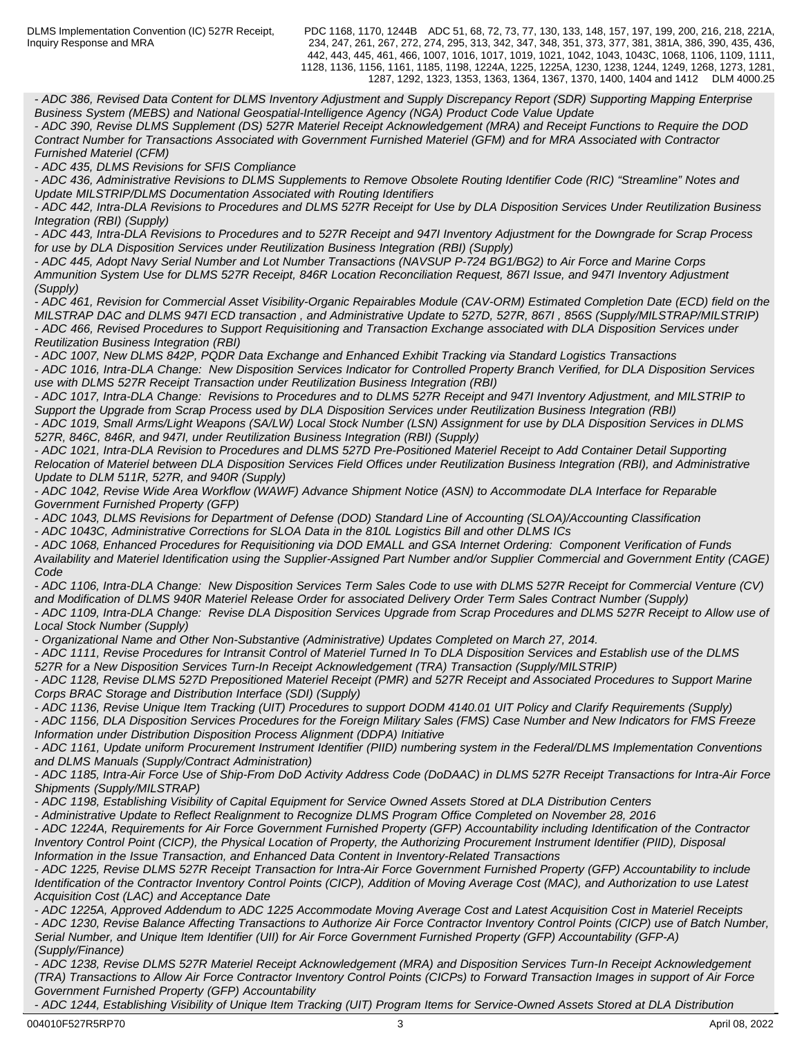PDC 1168, 1170, 1244B ADC 51, 68, 72, 73, 77, 130, 133, 148, 157, 197, 199, 200, 216, 218, 221A, 234, 247, 261, 267, 272, 274, 295, 313, 342, 347, 348, 351, 373, 377, 381, 381A, 386, 390, 435, 436, 442, 443, 445, 461, 466, 1007, 1016, 1017, 1019, 1021, 1042, 1043, 1043C, 1068, 1106, 1109, 1111, 1128, 1136, 1156, 1161, 1185, 1198, 1224A, 1225, 1225A, 1230, 1238, 1244, 1249, 1268, 1273, 1281, 1287, 1292, 1323, 1353, 1363, 1364, 1367, 1370, 1400, 1404 and 1412 DLM 4000.25

*- ADC 386, Revised Data Content for DLMS Inventory Adjustment and Supply Discrepancy Report (SDR) Supporting Mapping Enterprise Business System (MEBS) and National Geospatial-Intelligence Agency (NGA) Product Code Value Update*

*- ADC 390, Revise DLMS Supplement (DS) 527R Materiel Receipt Acknowledgement (MRA) and Receipt Functions to Require the DOD Contract Number for Transactions Associated with Government Furnished Materiel (GFM) and for MRA Associated with Contractor Furnished Materiel (CFM)*

*- ADC 435, DLMS Revisions for SFIS Compliance*

*- ADC 436, Administrative Revisions to DLMS Supplements to Remove Obsolete Routing Identifier Code (RIC) "Streamline" Notes and Update MILSTRIP/DLMS Documentation Associated with Routing Identifiers*

*- ADC 442, Intra-DLA Revisions to Procedures and DLMS 527R Receipt for Use by DLA Disposition Services Under Reutilization Business Integration (RBI) (Supply)*

*- ADC 443, Intra-DLA Revisions to Procedures and to 527R Receipt and 947I Inventory Adjustment for the Downgrade for Scrap Process for use by DLA Disposition Services under Reutilization Business Integration (RBI) (Supply)* 

*- ADC 445, Adopt Navy Serial Number and Lot Number Transactions (NAVSUP P-724 BG1/BG2) to Air Force and Marine Corps Ammunition System Use for DLMS 527R Receipt, 846R Location Reconciliation Request, 867I Issue, and 947I Inventory Adjustment (Supply)*

*- ADC 461, Revision for Commercial Asset Visibility-Organic Repairables Module (CAV-ORM) Estimated Completion Date (ECD) field on the MILSTRAP DAC and DLMS 947I ECD transaction , and Administrative Update to 527D, 527R, 867I , 856S (Supply/MILSTRAP/MILSTRIP) - ADC 466, Revised Procedures to Support Requisitioning and Transaction Exchange associated with DLA Disposition Services under Reutilization Business Integration (RBI)*

*- ADC 1007, New DLMS 842P, PQDR Data Exchange and Enhanced Exhibit Tracking via Standard Logistics Transactions - ADC 1016, Intra-DLA Change: New Disposition Services Indicator for Controlled Property Branch Verified, for DLA Disposition Services use with DLMS 527R Receipt Transaction under Reutilization Business Integration (RBI)*

*- ADC 1017, Intra-DLA Change: Revisions to Procedures and to DLMS 527R Receipt and 947I Inventory Adjustment, and MILSTRIP to Support the Upgrade from Scrap Process used by DLA Disposition Services under Reutilization Business Integration (RBI)*

*- ADC 1019, Small Arms/Light Weapons (SA/LW) Local Stock Number (LSN) Assignment for use by DLA Disposition Services in DLMS 527R, 846C, 846R, and 947I, under Reutilization Business Integration (RBI) (Supply)*

*- ADC 1021, Intra-DLA Revision to Procedures and DLMS 527D Pre-Positioned Materiel Receipt to Add Container Detail Supporting Relocation of Materiel between DLA Disposition Services Field Offices under Reutilization Business Integration (RBI), and Administrative Update to DLM 511R, 527R, and 940R (Supply)*

*- ADC 1042, Revise Wide Area Workflow (WAWF) Advance Shipment Notice (ASN) to Accommodate DLA Interface for Reparable Government Furnished Property (GFP)*

*- ADC 1043, DLMS Revisions for Department of Defense (DOD) Standard Line of Accounting (SLOA)/Accounting Classification*

*- ADC 1043C, Administrative Corrections for SLOA Data in the 810L Logistics Bill and other DLMS ICs*

*- ADC 1068, Enhanced Procedures for Requisitioning via DOD EMALL and GSA Internet Ordering: Component Verification of Funds Availability and Materiel Identification using the Supplier-Assigned Part Number and/or Supplier Commercial and Government Entity (CAGE) Code* **Code Code Code Code Code Code Code Code Code Code Code** 

*- ADC 1106, Intra-DLA Change: New Disposition Services Term Sales Code to use with DLMS 527R Receipt for Commercial Venture (CV) and Modification of DLMS 940R Materiel Release Order for associated Delivery Order Term Sales Contract Number (Supply)*

*- ADC 1109, Intra-DLA Change: Revise DLA Disposition Services Upgrade from Scrap Procedures and DLMS 527R Receipt to Allow use of Local Stock Number (Supply)*

*- Organizational Name and Other Non-Substantive (Administrative) Updates Completed on March 27, 2014.*

*- ADC 1111, Revise Procedures for Intransit Control of Materiel Turned In To DLA Disposition Services and Establish use of the DLMS 527R for a New Disposition Services Turn-In Receipt Acknowledgement (TRA) Transaction (Supply/MILSTRIP)*

*- ADC 1128, Revise DLMS 527D Prepositioned Materiel Receipt (PMR) and 527R Receipt and Associated Procedures to Support Marine Corps BRAC Storage and Distribution Interface (SDI) (Supply)*

*- ADC 1136, Revise Unique Item Tracking (UIT) Procedures to support DODM 4140.01 UIT Policy and Clarify Requirements (Supply)*

*- ADC 1156, DLA Disposition Services Procedures for the Foreign Military Sales (FMS) Case Number and New Indicators for FMS Freeze Information under Distribution Disposition Process Alignment (DDPA) Initiative*

*- ADC 1161, Update uniform Procurement Instrument Identifier (PIID) numbering system in the Federal/DLMS Implementation Conventions and DLMS Manuals (Supply/Contract Administration)*

*- ADC 1185, Intra-Air Force Use of Ship-From DoD Activity Address Code (DoDAAC) in DLMS 527R Receipt Transactions for Intra-Air Force Shipments (Supply/MILSTRAP)*

*- ADC 1198, Establishing Visibility of Capital Equipment for Service Owned Assets Stored at DLA Distribution Centers*

*- Administrative Update to Reflect Realignment to Recognize DLMS Program Office Completed on November 28, 2016*

*- ADC 1224A, Requirements for Air Force Government Furnished Property (GFP) Accountability including Identification of the Contractor Inventory Control Point (CICP), the Physical Location of Property, the Authorizing Procurement Instrument Identifier (PIID), Disposal Information in the Issue Transaction, and Enhanced Data Content in Inventory-Related Transactions*

*- ADC 1225, Revise DLMS 527R Receipt Transaction for Intra-Air Force Government Furnished Property (GFP) Accountability to include Identification of the Contractor Inventory Control Points (CICP), Addition of Moving Average Cost (MAC), and Authorization to use Latest Acquisition Cost (LAC) and Acceptance Date*

*- ADC 1225A, Approved Addendum to ADC 1225 Accommodate Moving Average Cost and Latest Acquisition Cost in Materiel Receipts - ADC 1230, Revise Balance Affecting Transactions to Authorize Air Force Contractor Inventory Control Points (CICP) use of Batch Number, Serial Number, and Unique Item Identifier (UII) for Air Force Government Furnished Property (GFP) Accountability (GFP-A) (Supply/Finance)*

*- ADC 1238, Revise DLMS 527R Materiel Receipt Acknowledgement (MRA) and Disposition Services Turn-In Receipt Acknowledgement (TRA) Transactions to Allow Air Force Contractor Inventory Control Points (CICPs) to Forward Transaction Images in support of Air Force Government Furnished Property (GFP) Accountability*

*- ADC 1244, Establishing Visibility of Unique Item Tracking (UIT) Program Items for Service-Owned Assets Stored at DLA Distribution*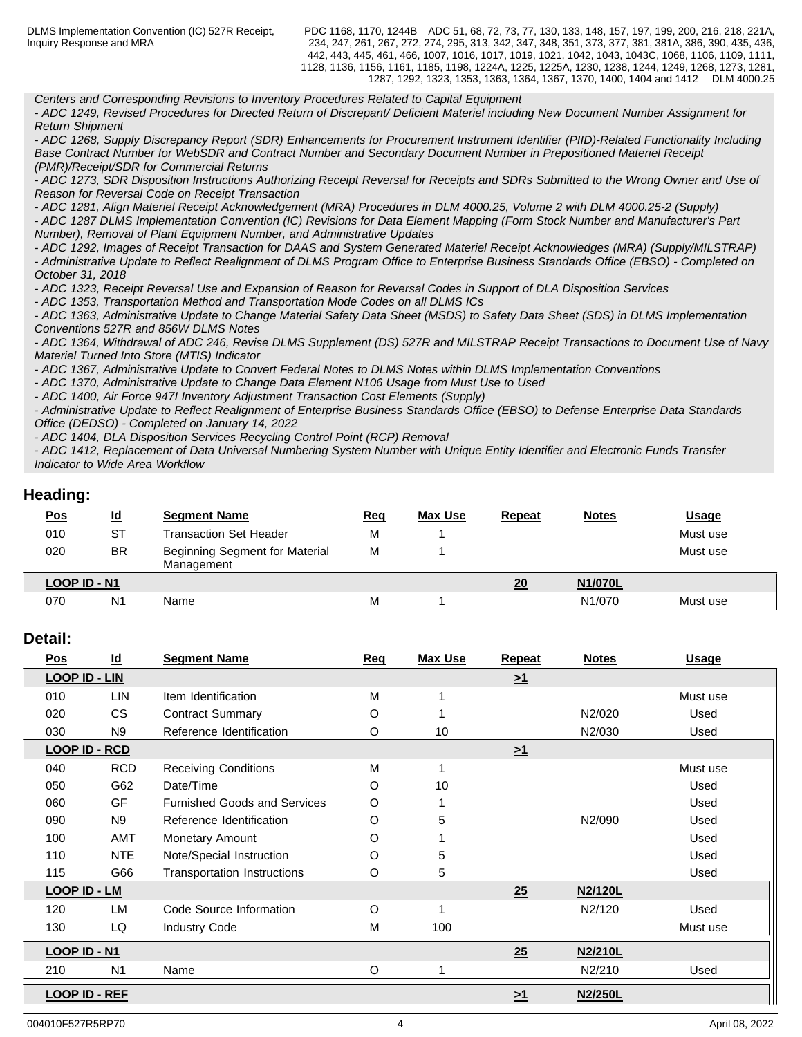PDC 1168, 1170, 1244B ADC 51, 68, 72, 73, 77, 130, 133, 148, 157, 197, 199, 200, 216, 218, 221A, 234, 247, 261, 267, 272, 274, 295, 313, 342, 347, 348, 351, 373, 377, 381, 381A, 386, 390, 435, 436, 442, 443, 445, 461, 466, 1007, 1016, 1017, 1019, 1021, 1042, 1043, 1043C, 1068, 1106, 1109, 1111, 1128, 1136, 1156, 1161, 1185, 1198, 1224A, 1225, 1225A, 1230, 1238, 1244, 1249, 1268, 1273, 1281, 1287, 1292, 1323, 1353, 1363, 1364, 1367, 1370, 1400, 1404 and 1412 DLM 4000.25

*Centers and Corresponding Revisions to Inventory Procedures Related to Capital Equipment*

*- ADC 1249, Revised Procedures for Directed Return of Discrepant/ Deficient Materiel including New Document Number Assignment for Return Shipment*

*- ADC 1268, Supply Discrepancy Report (SDR) Enhancements for Procurement Instrument Identifier (PIID)-Related Functionality Including Base Contract Number for WebSDR and Contract Number and Secondary Document Number in Prepositioned Materiel Receipt (PMR)/Receipt/SDR for Commercial Returns*

*- ADC 1273, SDR Disposition Instructions Authorizing Receipt Reversal for Receipts and SDRs Submitted to the Wrong Owner and Use of Reason for Reversal Code on Receipt Transaction*

*- ADC 1281, Align Materiel Receipt Acknowledgement (MRA) Procedures in DLM 4000.25, Volume 2 with DLM 4000.25-2 (Supply)*

*- ADC 1287 DLMS Implementation Convention (IC) Revisions for Data Element Mapping (Form Stock Number and Manufacturer's Part Number), Removal of Plant Equipment Number, and Administrative Updates*

*- ADC 1292, Images of Receipt Transaction for DAAS and System Generated Materiel Receipt Acknowledges (MRA) (Supply/MILSTRAP) - Administrative Update to Reflect Realignment of DLMS Program Office to Enterprise Business Standards Office (EBSO) - Completed on October 31, 2018*

*- ADC 1323, Receipt Reversal Use and Expansion of Reason for Reversal Codes in Support of DLA Disposition Services*

*- ADC 1353, Transportation Method and Transportation Mode Codes on all DLMS ICs*

*- ADC 1363, Administrative Update to Change Material Safety Data Sheet (MSDS) to Safety Data Sheet (SDS) in DLMS Implementation Conventions 527R and 856W DLMS Notes*

*- ADC 1364, Withdrawal of ADC 246, Revise DLMS Supplement (DS) 527R and MILSTRAP Receipt Transactions to Document Use of Navy Materiel Turned Into Store (MTIS) Indicator*

*- ADC 1367, Administrative Update to Convert Federal Notes to DLMS Notes within DLMS Implementation Conventions* 

*- ADC 1370, Administrative Update to Change Data Element N106 Usage from Must Use to Used*

*- ADC 1400, Air Force 947I Inventory Adjustment Transaction Cost Elements (Supply)*

*- Administrative Update to Reflect Realignment of Enterprise Business Standards Office (EBSO) to Defense Enterprise Data Standards Office (DEDSO) - Completed on January 14, 2022*

*- ADC 1404, DLA Disposition Services Recycling Control Point (RCP) Removal*

*- ADC 1412, Replacement of Data Universal Numbering System Number with Unique Entity Identifier and Electronic Funds Transfer Indicator to Wide Area Workflow*

## **Heading:**

| <u>Pos</u>   | $\underline{\mathsf{Id}}$ | <b>Segment Name</b>                                 | <u>Req</u> | <b>Max Use</b> | <b>Repeat</b> | <b>Notes</b> | <u>Usage</u> |
|--------------|---------------------------|-----------------------------------------------------|------------|----------------|---------------|--------------|--------------|
| 010          | ST                        | <b>Transaction Set Header</b>                       | М          |                |               |              | Must use     |
| 020          | <b>BR</b>                 | <b>Beginning Segment for Material</b><br>Management | М          |                |               |              | Must use     |
| LOOP ID - N1 |                           |                                                     |            |                | 20            | N1/070L      |              |
| 070          | N1                        | Name                                                | М          |                |               | N1/070       | Must use     |
|              |                           |                                                     |            |                |               |              |              |

## **Detail:**

| <u>Pos</u>           | $\underline{\mathsf{Id}}$ | <b>Segment Name</b>                 | Req     | <b>Max Use</b> | <b>Repeat</b> | <b>Notes</b> | <u>Usage</u> |
|----------------------|---------------------------|-------------------------------------|---------|----------------|---------------|--------------|--------------|
| <b>LOOP ID - LIN</b> |                           |                                     |         |                | $\geq 1$      |              |              |
| 010                  | LIN                       | Item Identification                 | М       |                |               |              | Must use     |
| 020                  | <b>CS</b>                 | <b>Contract Summary</b>             | O       |                |               | N2/020       | Used         |
| 030                  | N <sub>9</sub>            | Reference Identification            | O       | 10             |               | N2/030       | Used         |
| <b>LOOP ID - RCD</b> |                           |                                     |         |                | $\geq 1$      |              |              |
| 040                  | <b>RCD</b>                | <b>Receiving Conditions</b>         | M       |                |               |              | Must use     |
| 050                  | G62                       | Date/Time                           | O       | 10             |               |              | Used         |
| 060                  | GF                        | <b>Furnished Goods and Services</b> | O       |                |               |              | Used         |
| 090                  | N <sub>9</sub>            | Reference Identification            | O       | 5              |               | N2/090       | Used         |
| 100                  | <b>AMT</b>                | Monetary Amount                     | O       |                |               |              | Used         |
| 110                  | <b>NTE</b>                | Note/Special Instruction            | O       | 5              |               |              | Used         |
| 115                  | G66                       | Transportation Instructions         | O       | 5              |               |              | Used         |
| <b>LOOP ID - LM</b>  |                           |                                     |         |                | 25            | N2/120L      |              |
| 120                  | LM                        | Code Source Information             | $\circ$ |                |               | N2/120       | Used         |
| 130                  | LQ                        | <b>Industry Code</b>                | M       | 100            |               |              | Must use     |
| LOOP ID - N1         |                           |                                     |         |                | 25            | N2/210L      |              |
| 210                  | N <sub>1</sub>            | Name                                | O       |                |               | N2/210       | Used         |
| <b>LOOP ID - REF</b> |                           |                                     |         |                | $\geq 1$      | N2/250L      |              |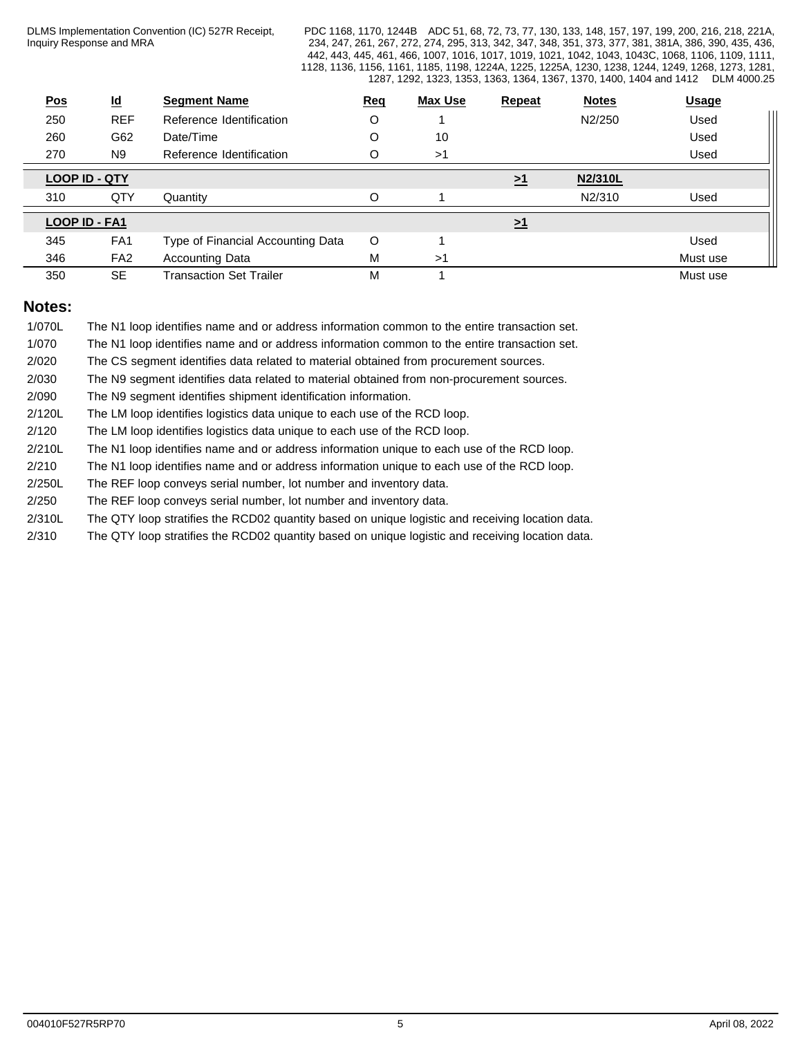PDC 1168, 1170, 1244B ADC 51, 68, 72, 73, 77, 130, 133, 148, 157, 197, 199, 200, 216, 218, 221A, 234, 247, 261, 267, 272, 274, 295, 313, 342, 347, 348, 351, 373, 377, 381, 381A, 386, 390, 435, 436, 442, 443, 445, 461, 466, 1007, 1016, 1017, 1019, 1021, 1042, 1043, 1043C, 1068, 1106, 1109, 1111, 1128, 1136, 1156, 1161, 1185, 1198, 1224A, 1225, 1225A, 1230, 1238, 1244, 1249, 1268, 1273, 1281, 1287, 1292, 1323, 1353, 1363, 1364, 1367, 1370, 1400, 1404 and 1412 DLM 4000.25

| Pos                  | $\underline{\mathsf{Id}}$ | <b>Segment Name</b>               | <b>Req</b> | <b>Max Use</b> | Repeat       | <b>Notes</b> | <b>Usage</b> |
|----------------------|---------------------------|-----------------------------------|------------|----------------|--------------|--------------|--------------|
| 250                  | <b>REF</b>                | Reference Identification          | O          |                |              | N2/250       | Used         |
| 260                  | G62                       | Date/Time                         | O          | 10             |              |              | Used         |
| 270                  | N <sub>9</sub>            | Reference Identification          | O          | >1             |              |              | Used         |
| <b>LOOP ID - QTY</b> |                           |                                   |            |                | <u>&gt;1</u> | N2/310L      |              |
| 310                  | QTY                       | Quantity                          | O          |                |              | N2/310       | Used         |
| LOOP ID - FA1        |                           |                                   |            |                | <u>&gt;1</u> |              |              |
| 345                  | FA <sub>1</sub>           | Type of Financial Accounting Data | $\circ$    |                |              |              | Used         |
| 346                  | FA <sub>2</sub>           | <b>Accounting Data</b>            | M          | >1             |              |              | Must use     |
| 350                  | <b>SE</b>                 | <b>Transaction Set Trailer</b>    | M          |                |              |              | Must use     |

## **Notes:**

| 1/070L | The N1 loop identifies name and or address information common to the entire transaction set.     |
|--------|--------------------------------------------------------------------------------------------------|
| 1/070  | The N1 loop identifies name and or address information common to the entire transaction set.     |
| 2/020  | The CS segment identifies data related to material obtained from procurement sources.            |
| 2/030  | The N9 segment identifies data related to material obtained from non-procurement sources.        |
| 2/090  | The N9 segment identifies shipment identification information.                                   |
| 2/120L | The LM loop identifies logistics data unique to each use of the RCD loop.                        |
| 2/120  | The LM loop identifies logistics data unique to each use of the RCD loop.                        |
| 2/210L | The N1 loop identifies name and or address information unique to each use of the RCD loop.       |
| 2/210  | The N1 loop identifies name and or address information unique to each use of the RCD loop.       |
| 2/250L | The REF loop conveys serial number, lot number and inventory data.                               |
| 2/250  | The REF loop conveys serial number, lot number and inventory data.                               |
| 2/310L | The QTY loop stratifies the RCD02 quantity based on unique logistic and receiving location data. |

2/310 The QTY loop stratifies the RCD02 quantity based on unique logistic and receiving location data.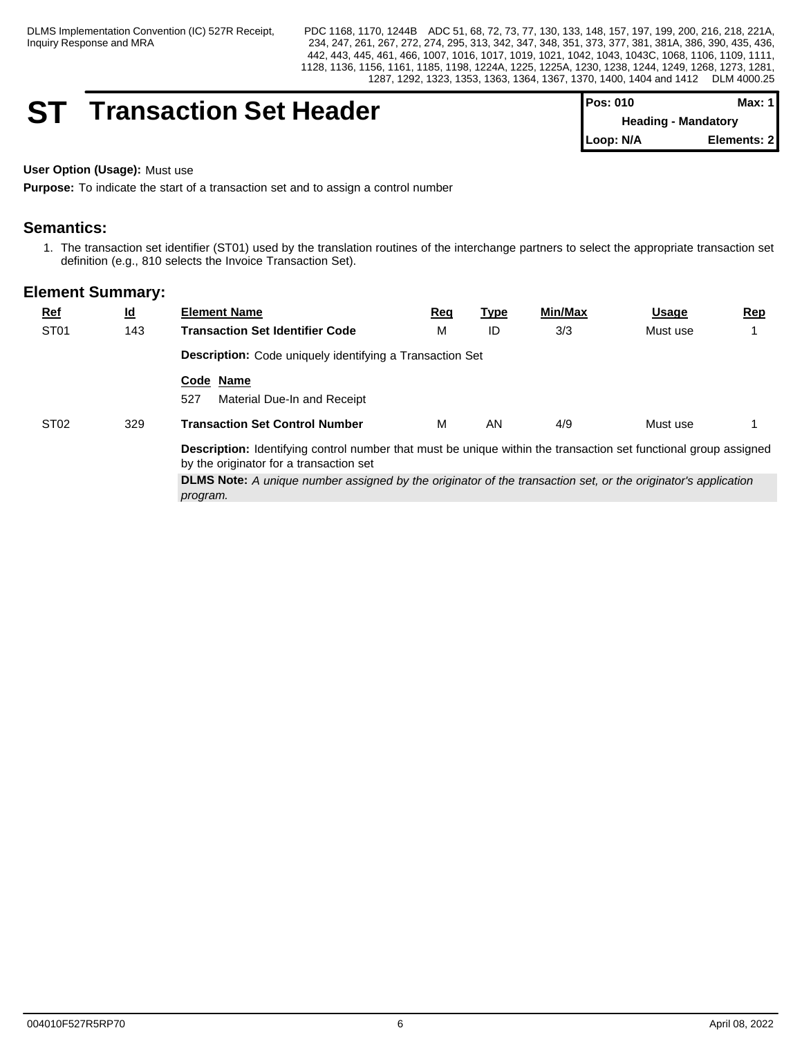## **ST Transaction Set Header**

| <b>IPos: 010</b> |                            | Max: 1 I    |
|------------------|----------------------------|-------------|
|                  | <b>Heading - Mandatory</b> |             |
| Loop: N/A        |                            | Elements: 2 |

## **User Option (Usage):** Must use

**Purpose:** To indicate the start of a transaction set and to assign a control number

## **Semantics:**

1. The transaction set identifier (ST01) used by the translation routines of the interchange partners to select the appropriate transaction set definition (e.g., 810 selects the Invoice Transaction Set).

| ST <sub>01</sub><br>3/3<br>м<br>143<br><b>Transaction Set Identifier Code</b><br>ID<br>Must use<br>Description: Code uniquely identifying a Transaction Set<br>Code Name<br>527<br>Material Due-In and Receipt<br>4/9<br>ST <sub>02</sub><br><b>Transaction Set Control Number</b><br>м<br>329<br>AN<br>Must use<br><b>Description:</b> Identifying control number that must be unique within the transaction set functional group assigned<br>by the originator for a transaction set | $Ref$ | <u>ld</u> | <b>Element Name</b> | <u>Req</u> | <u>Type</u> | Min/Max | <u>Usage</u> | <u>Rep</u> |
|----------------------------------------------------------------------------------------------------------------------------------------------------------------------------------------------------------------------------------------------------------------------------------------------------------------------------------------------------------------------------------------------------------------------------------------------------------------------------------------|-------|-----------|---------------------|------------|-------------|---------|--------------|------------|
|                                                                                                                                                                                                                                                                                                                                                                                                                                                                                        |       |           |                     |            |             |         |              |            |
|                                                                                                                                                                                                                                                                                                                                                                                                                                                                                        |       |           |                     |            |             |         |              |            |
|                                                                                                                                                                                                                                                                                                                                                                                                                                                                                        |       |           |                     |            |             |         |              |            |
|                                                                                                                                                                                                                                                                                                                                                                                                                                                                                        |       |           |                     |            |             |         |              |            |
|                                                                                                                                                                                                                                                                                                                                                                                                                                                                                        |       |           |                     |            |             |         |              |            |
| <b>DLMS Note:</b> A unique number assigned by the originator of the transaction set, or the originator's application<br>program.                                                                                                                                                                                                                                                                                                                                                       |       |           |                     |            |             |         |              |            |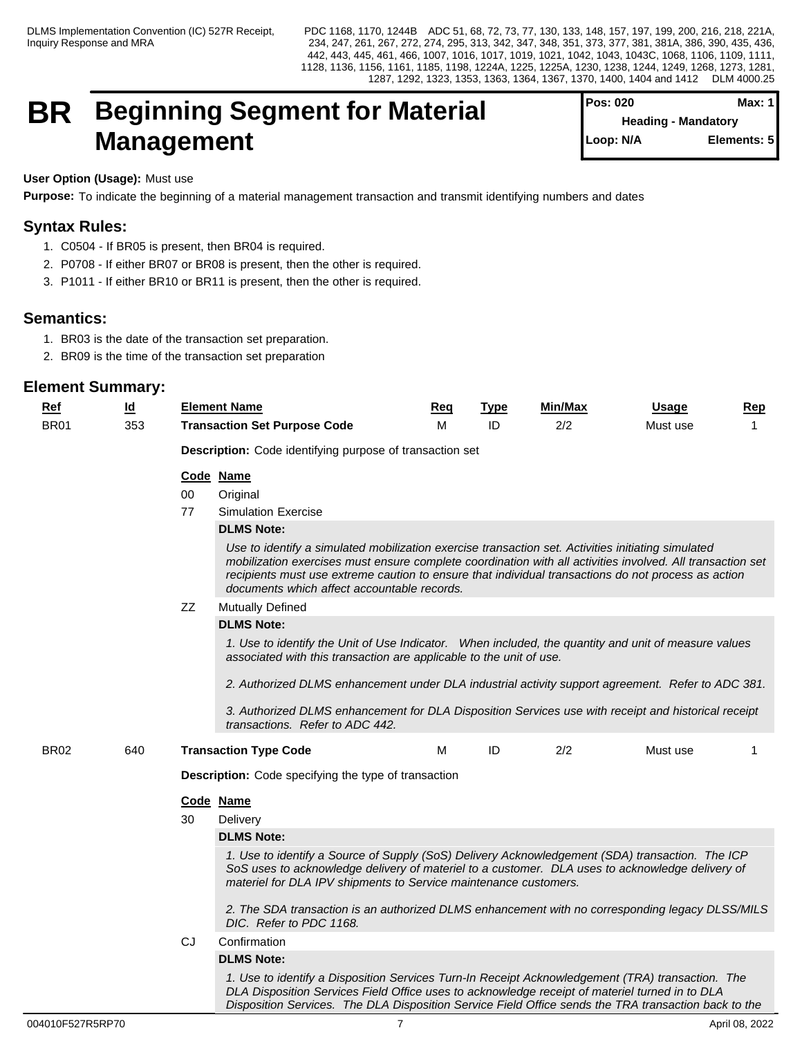## **BR Beginning Segment for Material** Pos: 020 Max: 1 **Management**

| <b>Pos: 020</b>            | Max: 1      |
|----------------------------|-------------|
| <b>Heading - Mandatory</b> |             |
| Loop: N/A                  | Elements: 5 |
|                            |             |

## **User Option (Usage):** Must use

**Purpose:** To indicate the beginning of a material management transaction and transmit identifying numbers and dates

## **Syntax Rules:**

- 1. C0504 If BR05 is present, then BR04 is required.
- 2. P0708 If either BR07 or BR08 is present, then the other is required.
- 3. P1011 If either BR10 or BR11 is present, then the other is required.

## **Semantics:**

- 1. BR03 is the date of the transaction set preparation.
- 2. BR09 is the time of the transaction set preparation

| <u>Ref</u>       | <u>ld</u> |    | <b>Element Name</b>                                                                                                                                                                                                                                                                                                                                                    | Req | <b>Type</b> | <b>Min/Max</b> | Usage    | <u>Rep</u> |
|------------------|-----------|----|------------------------------------------------------------------------------------------------------------------------------------------------------------------------------------------------------------------------------------------------------------------------------------------------------------------------------------------------------------------------|-----|-------------|----------------|----------|------------|
| BR <sub>01</sub> | 353       |    | <b>Transaction Set Purpose Code</b>                                                                                                                                                                                                                                                                                                                                    | м   | ID          | 2/2            | Must use |            |
|                  |           |    | Description: Code identifying purpose of transaction set                                                                                                                                                                                                                                                                                                               |     |             |                |          |            |
|                  |           |    | Code Name                                                                                                                                                                                                                                                                                                                                                              |     |             |                |          |            |
|                  |           | 00 | Original                                                                                                                                                                                                                                                                                                                                                               |     |             |                |          |            |
|                  |           | 77 | <b>Simulation Exercise</b>                                                                                                                                                                                                                                                                                                                                             |     |             |                |          |            |
|                  |           |    | <b>DLMS Note:</b>                                                                                                                                                                                                                                                                                                                                                      |     |             |                |          |            |
|                  |           |    | Use to identify a simulated mobilization exercise transaction set. Activities initiating simulated<br>mobilization exercises must ensure complete coordination with all activities involved. All transaction set<br>recipients must use extreme caution to ensure that individual transactions do not process as action<br>documents which affect accountable records. |     |             |                |          |            |
|                  |           | ΖZ | <b>Mutually Defined</b>                                                                                                                                                                                                                                                                                                                                                |     |             |                |          |            |
|                  |           |    | <b>DLMS Note:</b>                                                                                                                                                                                                                                                                                                                                                      |     |             |                |          |            |
|                  |           |    | 1. Use to identify the Unit of Use Indicator. When included, the quantity and unit of measure values<br>associated with this transaction are applicable to the unit of use.                                                                                                                                                                                            |     |             |                |          |            |
|                  |           |    | 2. Authorized DLMS enhancement under DLA industrial activity support agreement. Refer to ADC 381.                                                                                                                                                                                                                                                                      |     |             |                |          |            |
|                  |           |    | 3. Authorized DLMS enhancement for DLA Disposition Services use with receipt and historical receipt<br>transactions. Refer to ADC 442.                                                                                                                                                                                                                                 |     |             |                |          |            |
| BR <sub>02</sub> | 640       |    | <b>Transaction Type Code</b>                                                                                                                                                                                                                                                                                                                                           | м   | ID          | 2/2            | Must use | -1         |
|                  |           |    | <b>Description:</b> Code specifying the type of transaction                                                                                                                                                                                                                                                                                                            |     |             |                |          |            |
|                  |           |    | Code Name                                                                                                                                                                                                                                                                                                                                                              |     |             |                |          |            |
|                  |           | 30 | Delivery                                                                                                                                                                                                                                                                                                                                                               |     |             |                |          |            |
|                  |           |    | <b>DLMS Note:</b>                                                                                                                                                                                                                                                                                                                                                      |     |             |                |          |            |
|                  |           |    | 1. Use to identify a Source of Supply (SoS) Delivery Acknowledgement (SDA) transaction. The ICP<br>SoS uses to acknowledge delivery of materiel to a customer. DLA uses to acknowledge delivery of<br>materiel for DLA IPV shipments to Service maintenance customers.                                                                                                 |     |             |                |          |            |
|                  |           |    | 2. The SDA transaction is an authorized DLMS enhancement with no corresponding legacy DLSS/MILS<br>DIC. Refer to PDC 1168.                                                                                                                                                                                                                                             |     |             |                |          |            |
|                  |           | CJ | Confirmation                                                                                                                                                                                                                                                                                                                                                           |     |             |                |          |            |
|                  |           |    | <b>DLMS Note:</b>                                                                                                                                                                                                                                                                                                                                                      |     |             |                |          |            |
|                  |           |    | 1. Use to identify a Disposition Services Turn-In Receipt Acknowledgement (TRA) transaction. The<br>DLA Disposition Services Field Office uses to acknowledge receipt of materiel turned in to DLA<br>Disposition Services. The DLA Disposition Service Field Office sends the TRA transaction back to the                                                             |     |             |                |          |            |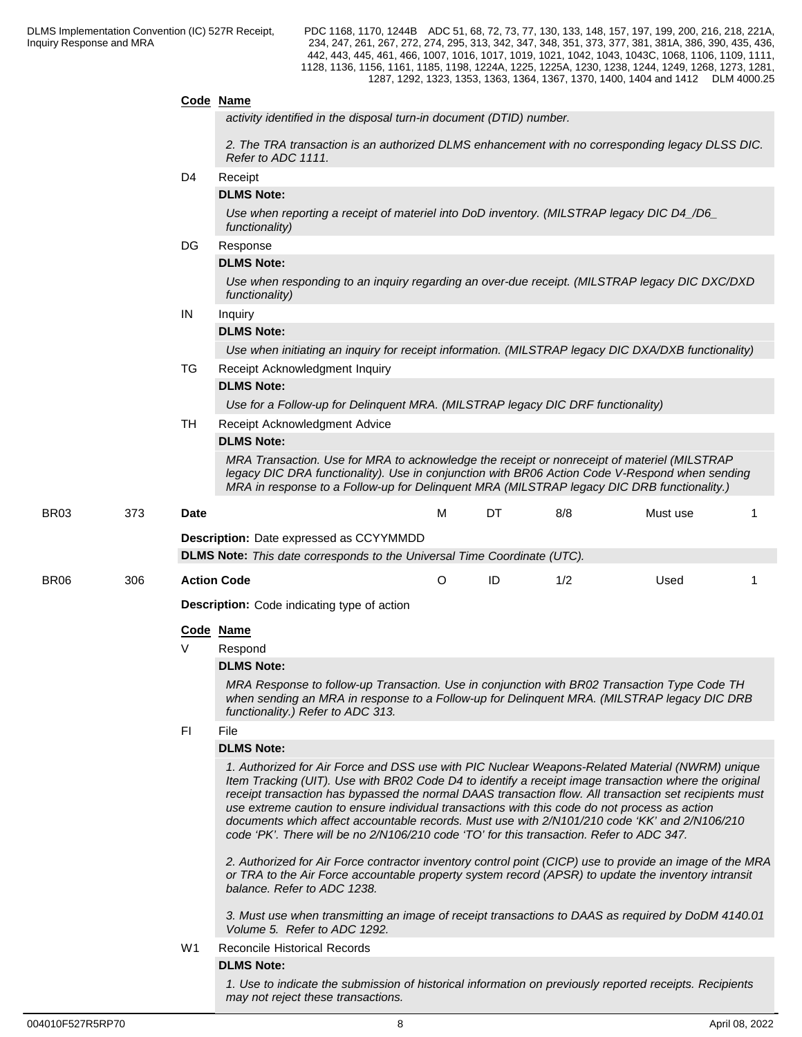#### **Code Name**

*activity identified in the disposal turn-in document (DTID) number.*

 *2. The TRA transaction is an authorized DLMS enhancement with no corresponding legacy DLSS DIC. Refer to ADC 1111.*

#### D4 Receipt

## **DLMS Note:**

*Use when reporting a receipt of materiel into DoD inventory. (MILSTRAP legacy DIC D4\_/D6\_ functionality)* 

#### DG Response

#### **DLMS Note:**

*Use when responding to an inquiry regarding an over-due receipt. (MILSTRAP legacy DIC DXC/DXD functionality)*

## IN Inquiry

## **DLMS Note:**

*Use when initiating an inquiry for receipt information. (MILSTRAP legacy DIC DXA/DXB functionality)* 

## TG Receipt Acknowledgment Inquiry

## **DLMS Note:**

*Use for a Follow-up for Delinquent MRA. (MILSTRAP legacy DIC DRF functionality)*

TH Receipt Acknowledgment Advice

#### **DLMS Note:**

*MRA Transaction. Use for MRA to acknowledge the receipt or nonreceipt of materiel (MILSTRAP legacy DIC DRA functionality). Use in conjunction with BR06 Action Code V-Respond when sending MRA in response to a Follow-up for Delinquent MRA (MILSTRAP legacy DIC DRB functionality.)*

BR03 373 **Date** M DT 8/8 Must use 1 **Description:** Date expressed as CCYYMMDD

**DLMS Note:** *This date corresponds to the Universal Time Coordinate (UTC).*

BR06 306 **Action Code** O ID 1/2 Used 1

**Description:** Code indicating type of action

#### **Code Name**

V Respond

#### **DLMS Note:**

*MRA Response to follow-up Transaction. Use in conjunction with BR02 Transaction Type Code TH when sending an MRA in response to a Follow-up for Delinquent MRA. (MILSTRAP legacy DIC DRB functionality.) Refer to ADC 313.*

#### FI File

#### **DLMS Note:**

*1. Authorized for Air Force and DSS use with PIC Nuclear Weapons-Related Material (NWRM) unique Item Tracking (UIT). Use with BR02 Code D4 to identify a receipt image transaction where the original receipt transaction has bypassed the normal DAAS transaction flow. All transaction set recipients must use extreme caution to ensure individual transactions with this code do not process as action documents which affect accountable records. Must use with 2/N101/210 code 'KK' and 2/N106/210 code 'PK'. There will be no 2/N106/210 code 'TO' for this transaction. Refer to ADC 347.*

*2. Authorized for Air Force contractor inventory control point (CICP) use to provide an image of the MRA or TRA to the Air Force accountable property system record (APSR) to update the inventory intransit balance. Refer to ADC 1238.*

*3. Must use when transmitting an image of receipt transactions to DAAS as required by DoDM 4140.01 Volume 5. Refer to ADC 1292.*

#### W1 Reconcile Historical Records

## **DLMS Note:**

*1. Use to indicate the submission of historical information on previously reported receipts. Recipients may not reject these transactions.*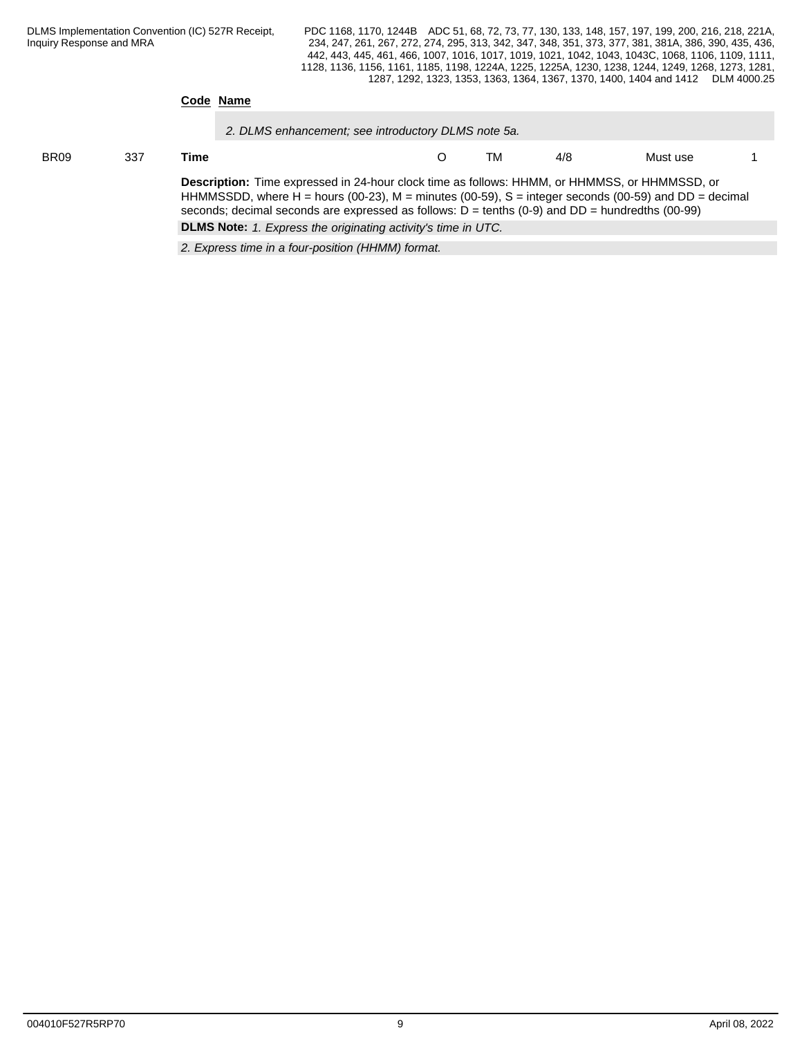#### **Code Name**

*2. DLMS enhancement; see introductory DLMS note 5a.*

## BR09 337 **Time** O TM 4/8 Must use 1 **Description:** Time expressed in 24-hour clock time as follows: HHMM, or HHMMSS, or HHMMSSD, or

HHMMSSDD, where H = hours (00-23), M = minutes (00-59), S = integer seconds (00-59) and DD = decimal seconds; decimal seconds are expressed as follows: D = tenths (0-9) and DD = hundredths (00-99) **DLMS Note:** *1. Express the originating activity's time in UTC.*

*2. Express time in a four-position (HHMM) format.*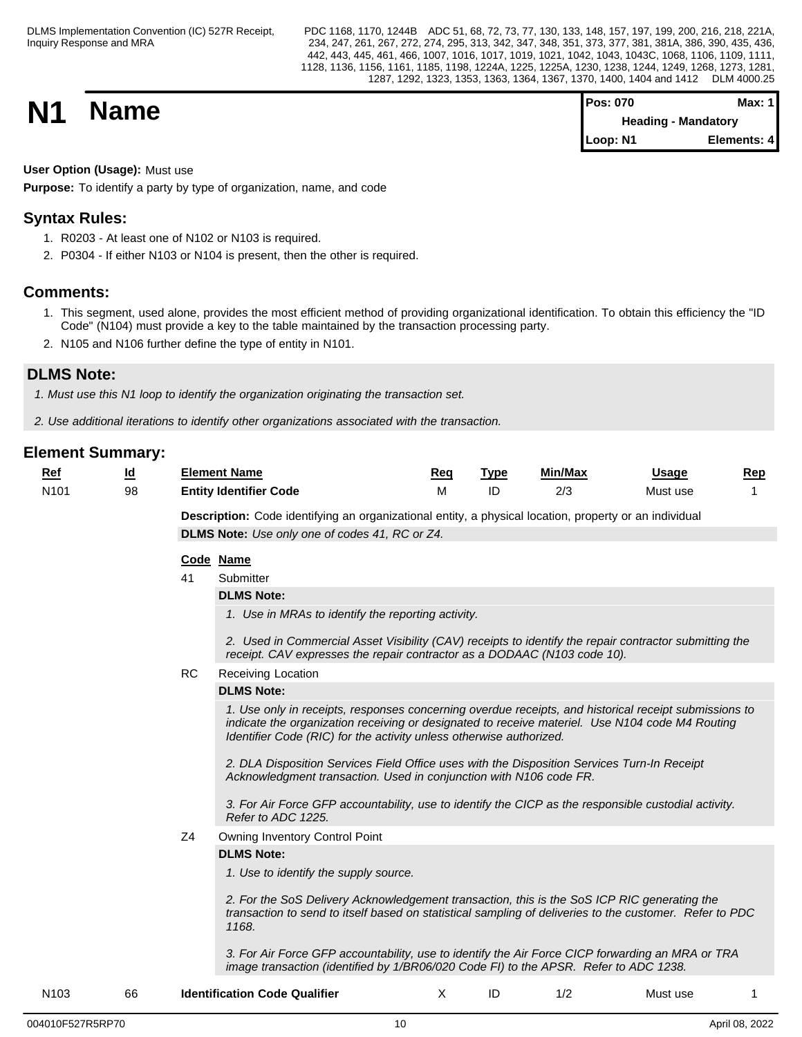PDC 1168, 1170, 1244B ADC 51, 68, 72, 73, 77, 130, 133, 148, 157, 197, 199, 200, 216, 218, 221A, 234, 247, 261, 267, 272, 274, 295, 313, 342, 347, 348, 351, 373, 377, 381, 381A, 386, 390, 435, 436, 442, 443, 445, 461, 466, 1007, 1016, 1017, 1019, 1021, 1042, 1043, 1043C, 1068, 1106, 1109, 1111, 1128, 1136, 1156, 1161, 1185, 1198, 1224A, 1225, 1225A, 1230, 1238, 1244, 1249, 1268, 1273, 1281, 1287, 1292, 1323, 1353, 1363, 1364, 1367, 1370, 1400, 1404 and 1412 DLM 4000.25

**N1 Name Pos: 070 Max: 1**<br>**Pos: 070 Max: 1**<br>**Pos: 070 Max: 1 Heading - Mandatory Loop: N1 Elements: 4**

**User Option (Usage):** Must use

**Purpose:** To identify a party by type of organization, name, and code

## **Syntax Rules:**

- 1. R0203 At least one of N102 or N103 is required.
- 2. P0304 If either N103 or N104 is present, then the other is required.

## **Comments:**

- 1. This segment, used alone, provides the most efficient method of providing organizational identification. To obtain this efficiency the "ID Code" (N104) must provide a key to the table maintained by the transaction processing party.
- 2. N105 and N106 further define the type of entity in N101.

## **DLMS Note:**

*1. Must use this N1 loop to identify the organization originating the transaction set.*

*2. Use additional iterations to identify other organizations associated with the transaction.*

| $Ref$            | <u>Ιd</u> |           | <b>Element Name</b>                                                                                                                                                                                                                                                             | Req | <b>Type</b> | Min/Max | <b>Usage</b> | Rep |
|------------------|-----------|-----------|---------------------------------------------------------------------------------------------------------------------------------------------------------------------------------------------------------------------------------------------------------------------------------|-----|-------------|---------|--------------|-----|
| N <sub>101</sub> | 98        |           | <b>Entity Identifier Code</b>                                                                                                                                                                                                                                                   | м   | ID          | 2/3     | Must use     | 1   |
|                  |           |           | Description: Code identifying an organizational entity, a physical location, property or an individual                                                                                                                                                                          |     |             |         |              |     |
|                  |           |           | <b>DLMS Note:</b> Use only one of codes 41, RC or Z4.                                                                                                                                                                                                                           |     |             |         |              |     |
|                  |           |           | Code Name                                                                                                                                                                                                                                                                       |     |             |         |              |     |
|                  |           | 41        | Submitter                                                                                                                                                                                                                                                                       |     |             |         |              |     |
|                  |           |           | <b>DLMS Note:</b>                                                                                                                                                                                                                                                               |     |             |         |              |     |
|                  |           |           | 1. Use in MRAs to identify the reporting activity.                                                                                                                                                                                                                              |     |             |         |              |     |
|                  |           |           | 2. Used in Commercial Asset Visibility (CAV) receipts to identify the repair contractor submitting the<br>receipt. CAV expresses the repair contractor as a DODAAC (N103 code 10).                                                                                              |     |             |         |              |     |
|                  |           | <b>RC</b> | Receiving Location                                                                                                                                                                                                                                                              |     |             |         |              |     |
|                  |           |           | <b>DLMS Note:</b>                                                                                                                                                                                                                                                               |     |             |         |              |     |
|                  |           |           | 1. Use only in receipts, responses concerning overdue receipts, and historical receipt submissions to<br>indicate the organization receiving or designated to receive materiel. Use N104 code M4 Routing<br>Identifier Code (RIC) for the activity unless otherwise authorized. |     |             |         |              |     |
|                  |           |           | 2. DLA Disposition Services Field Office uses with the Disposition Services Turn-In Receipt<br>Acknowledgment transaction. Used in conjunction with N106 code FR.                                                                                                               |     |             |         |              |     |
|                  |           |           | 3. For Air Force GFP accountability, use to identify the CICP as the responsible custodial activity.<br>Refer to ADC 1225.                                                                                                                                                      |     |             |         |              |     |
|                  |           | Z4        | <b>Owning Inventory Control Point</b>                                                                                                                                                                                                                                           |     |             |         |              |     |
|                  |           |           | <b>DLMS Note:</b>                                                                                                                                                                                                                                                               |     |             |         |              |     |
|                  |           |           | 1. Use to identify the supply source.                                                                                                                                                                                                                                           |     |             |         |              |     |
|                  |           |           | 2. For the SoS Delivery Acknowledgement transaction, this is the SoS ICP RIC generating the<br>transaction to send to itself based on statistical sampling of deliveries to the customer. Refer to PDC<br>1168.                                                                 |     |             |         |              |     |
|                  |           |           | 3. For Air Force GFP accountability, use to identify the Air Force CICP forwarding an MRA or TRA<br>image transaction (identified by 1/BR06/020 Code FI) to the APSR. Refer to ADC 1238.                                                                                        |     |             |         |              |     |
| N <sub>103</sub> | 66        |           | <b>Identification Code Qualifier</b>                                                                                                                                                                                                                                            | Χ   | ID          | 1/2     | Must use     |     |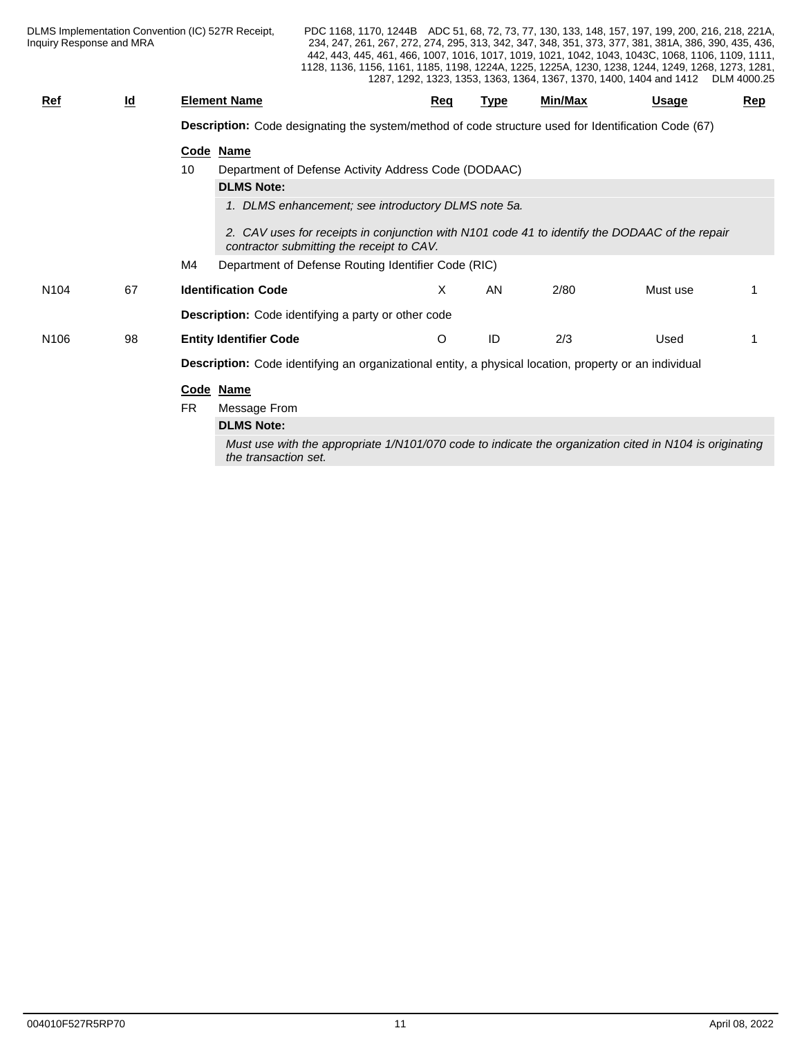PDC 1168, 1170, 1244B ADC 51, 68, 72, 73, 77, 130, 133, 148, 157, 197, 199, 200, 216, 218, 221A, 234, 247, 261, 267, 272, 274, 295, 313, 342, 347, 348, 351, 373, 377, 381, 381A, 386, 390, 435, 436, 442, 443, 445, 461, 466, 1007, 1016, 1017, 1019, 1021, 1042, 1043, 1043C, 1068, 1106, 1109, 1111, 1128, 1136, 1156, 1161, 1185, 1198, 1224A, 1225, 1225A, 1230, 1238, 1244, 1249, 1268, 1273, 1281, 1287, 1292, 1323, 1353, 1363, 1364, 1367, 1370, 1400, 1404 and 1412 DLM 4000.25

| <b>Ref</b>       | $\overline{\mathsf{q}}$ | <b>Element Name</b> |                                                                                                                                             | Reg | <u>Type</u> | Min/Max | Usage    | Rep |
|------------------|-------------------------|---------------------|---------------------------------------------------------------------------------------------------------------------------------------------|-----|-------------|---------|----------|-----|
|                  |                         |                     | Description: Code designating the system/method of code structure used for Identification Code (67)                                         |     |             |         |          |     |
|                  |                         | Code Name           |                                                                                                                                             |     |             |         |          |     |
|                  |                         | 10                  | Department of Defense Activity Address Code (DODAAC)                                                                                        |     |             |         |          |     |
|                  |                         |                     | <b>DLMS Note:</b>                                                                                                                           |     |             |         |          |     |
|                  |                         |                     | 1. DLMS enhancement; see introductory DLMS note 5a.                                                                                         |     |             |         |          |     |
|                  |                         |                     | 2. CAV uses for receipts in conjunction with N101 code 41 to identify the DODAAC of the repair<br>contractor submitting the receipt to CAV. |     |             |         |          |     |
|                  |                         | M4                  | Department of Defense Routing Identifier Code (RIC)                                                                                         |     |             |         |          |     |
| N <sub>104</sub> | 67                      |                     | <b>Identification Code</b>                                                                                                                  | X   | AN          | 2/80    | Must use |     |
|                  |                         |                     | Description: Code identifying a party or other code                                                                                         |     |             |         |          |     |
| N <sub>106</sub> | 98                      |                     | <b>Entity Identifier Code</b>                                                                                                               | O   | ID          | 2/3     | Used     |     |
|                  |                         |                     | Description: Code identifying an organizational entity, a physical location, property or an individual                                      |     |             |         |          |     |
|                  |                         | Code Name           |                                                                                                                                             |     |             |         |          |     |
|                  |                         | <b>FR</b>           | Message From                                                                                                                                |     |             |         |          |     |
|                  |                         |                     | <b>DLMS Note:</b>                                                                                                                           |     |             |         |          |     |
|                  |                         |                     | Must use with the appropriate 1/N101/070 code to indicate the organization cited in N104 is originating<br>the transaction set.             |     |             |         |          |     |
|                  |                         |                     |                                                                                                                                             |     |             |         |          |     |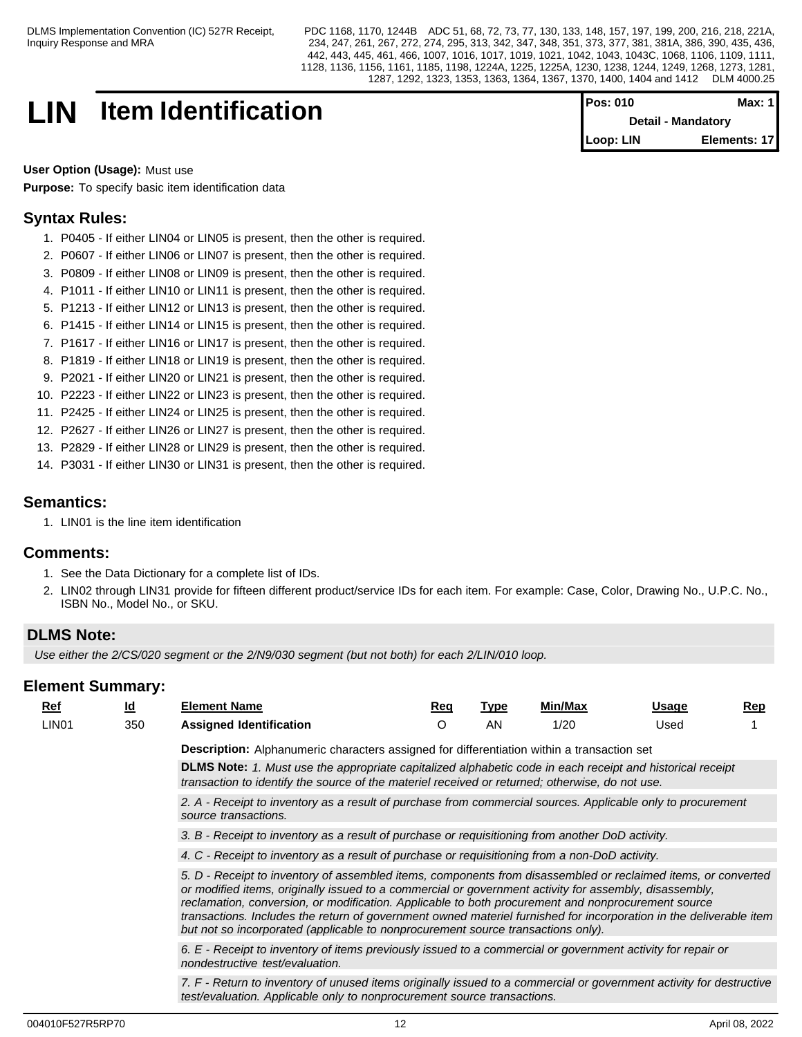## **LIN Item Identification**

| <b>Pos: 010</b>           | Max: 1       |
|---------------------------|--------------|
| <b>Detail - Mandatory</b> |              |
| Loop: LIN                 | Elements: 17 |

**User Option (Usage):** Must use **Purpose:** To specify basic item identification data

## **Syntax Rules:**

- 1. P0405 If either LIN04 or LIN05 is present, then the other is required.
- 2. P0607 If either LIN06 or LIN07 is present, then the other is required.
- 3. P0809 If either LIN08 or LIN09 is present, then the other is required.
- 4. P1011 If either LIN10 or LIN11 is present, then the other is required.
- 5. P1213 If either LIN12 or LIN13 is present, then the other is required.
- 6. P1415 If either LIN14 or LIN15 is present, then the other is required.
- 7. P1617 If either LIN16 or LIN17 is present, then the other is required.
- 8. P1819 If either LIN18 or LIN19 is present, then the other is required.
- 9. P2021 If either LIN20 or LIN21 is present, then the other is required.
- 10. P2223 If either LIN22 or LIN23 is present, then the other is required.
- 11. P2425 If either LIN24 or LIN25 is present, then the other is required.
- 12. P2627 If either LIN26 or LIN27 is present, then the other is required.
- 13. P2829 If either LIN28 or LIN29 is present, then the other is required.
- 14. P3031 If either LIN30 or LIN31 is present, then the other is required.

## **Semantics:**

1. LIN01 is the line item identification

## **Comments:**

- 1. See the Data Dictionary for a complete list of IDs.
- 2. LIN02 through LIN31 provide for fifteen different product/service IDs for each item. For example: Case, Color, Drawing No., U.P.C. No., ISBN No., Model No., or SKU.

## **DLMS Note:**

*Use either the 2/CS/020 segment or the 2/N9/030 segment (but not both) for each 2/LIN/010 loop.*

| Ref |                   | <u>ld</u> | <b>Element Name</b>                                                                                                                                                                                                                                                                                                                                                                                                                                                                                                                     | Reg | <u>Type</u> | Min/Max | Usage | $\mathbf{Rep}$ |  |  |  |  |
|-----|-------------------|-----------|-----------------------------------------------------------------------------------------------------------------------------------------------------------------------------------------------------------------------------------------------------------------------------------------------------------------------------------------------------------------------------------------------------------------------------------------------------------------------------------------------------------------------------------------|-----|-------------|---------|-------|----------------|--|--|--|--|
|     | LIN <sub>01</sub> | 350       | <b>Assigned Identification</b>                                                                                                                                                                                                                                                                                                                                                                                                                                                                                                          | O   | AN          | 1/20    | Used  |                |  |  |  |  |
|     |                   |           | Description: Alphanumeric characters assigned for differentiation within a transaction set                                                                                                                                                                                                                                                                                                                                                                                                                                              |     |             |         |       |                |  |  |  |  |
|     |                   |           | DLMS Note: 1. Must use the appropriate capitalized alphabetic code in each receipt and historical receipt<br>transaction to identify the source of the materiel received or returned; otherwise, do not use.                                                                                                                                                                                                                                                                                                                            |     |             |         |       |                |  |  |  |  |
|     |                   |           | 2. A - Receipt to inventory as a result of purchase from commercial sources. Applicable only to procurement<br>source transactions.                                                                                                                                                                                                                                                                                                                                                                                                     |     |             |         |       |                |  |  |  |  |
|     |                   |           | 3. B - Receipt to inventory as a result of purchase or requisitioning from another DoD activity.                                                                                                                                                                                                                                                                                                                                                                                                                                        |     |             |         |       |                |  |  |  |  |
|     |                   |           | 4. C - Receipt to inventory as a result of purchase or requisitioning from a non-DoD activity.                                                                                                                                                                                                                                                                                                                                                                                                                                          |     |             |         |       |                |  |  |  |  |
|     |                   |           | 5. D - Receipt to inventory of assembled items, components from disassembled or reclaimed items, or converted<br>or modified items, originally issued to a commercial or government activity for assembly, disassembly,<br>reclamation, conversion, or modification. Applicable to both procurement and nonprocurement source<br>transactions. Includes the return of government owned materiel furnished for incorporation in the deliverable item<br>but not so incorporated (applicable to nonprocurement source transactions only). |     |             |         |       |                |  |  |  |  |
|     |                   |           | 6. E - Receipt to inventory of items previously issued to a commercial or government activity for repair or<br>nondestructive test/evaluation.                                                                                                                                                                                                                                                                                                                                                                                          |     |             |         |       |                |  |  |  |  |
|     |                   |           | 7. F - Return to inventory of unused items originally issued to a commercial or government activity for destructive<br>test/evaluation. Applicable only to nonprocurement source transactions.                                                                                                                                                                                                                                                                                                                                          |     |             |         |       |                |  |  |  |  |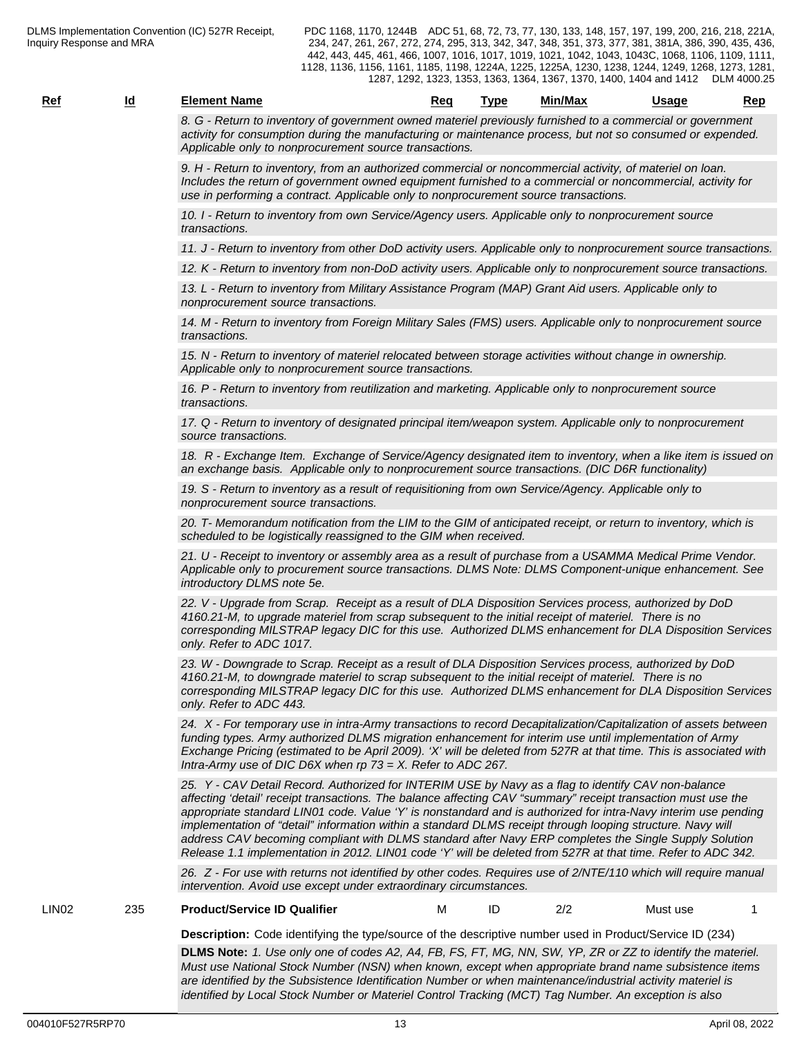*8. G - Return to inventory of government owned materiel previously furnished to a commercial or government activity for consumption during the manufacturing or maintenance process, but not so consumed or expended. Applicable only to nonprocurement source transactions.*

*9. H - Return to inventory, from an authorized commercial or noncommercial activity, of materiel on loan. Includes the return of government owned equipment furnished to a commercial or noncommercial, activity for use in performing a contract. Applicable only to nonprocurement source transactions.*

*10. I - Return to inventory from own Service/Agency users. Applicable only to nonprocurement source transactions.*

*11. J - Return to inventory from other DoD activity users. Applicable only to nonprocurement source transactions.*

*12. K - Return to inventory from non-DoD activity users. Applicable only to nonprocurement source transactions.*

*13. L - Return to inventory from Military Assistance Program (MAP) Grant Aid users. Applicable only to nonprocurement source transactions.*

*14. M - Return to inventory from Foreign Military Sales (FMS) users. Applicable only to nonprocurement source transactions.*

*15. N - Return to inventory of materiel relocated between storage activities without change in ownership. Applicable only to nonprocurement source transactions.*

*16. P - Return to inventory from reutilization and marketing. Applicable only to nonprocurement source transactions.*

*17. Q - Return to inventory of designated principal item/weapon system. Applicable only to nonprocurement source transactions.*

*18. R - Exchange Item. Exchange of Service/Agency designated item to inventory, when a like item is issued on an exchange basis. Applicable only to nonprocurement source transactions. (DIC D6R functionality)*

*19. S - Return to inventory as a result of requisitioning from own Service/Agency. Applicable only to nonprocurement source transactions.*

*20. T- Memorandum notification from the LIM to the GIM of anticipated receipt, or return to inventory, which is scheduled to be logistically reassigned to the GIM when received.*

*21. U - Receipt to inventory or assembly area as a result of purchase from a USAMMA Medical Prime Vendor. Applicable only to procurement source transactions. DLMS Note: DLMS Component-unique enhancement. See introductory DLMS note 5e.*

*22. V - Upgrade from Scrap. Receipt as a result of DLA Disposition Services process, authorized by DoD 4160.21-M, to upgrade materiel from scrap subsequent to the initial receipt of materiel. There is no corresponding MILSTRAP legacy DIC for this use. Authorized DLMS enhancement for DLA Disposition Services only. Refer to ADC 1017.*

*23. W - Downgrade to Scrap. Receipt as a result of DLA Disposition Services process, authorized by DoD 4160.21-M, to downgrade materiel to scrap subsequent to the initial receipt of materiel. There is no corresponding MILSTRAP legacy DIC for this use. Authorized DLMS enhancement for DLA Disposition Services only. Refer to ADC 443.*

*24. X - For temporary use in intra-Army transactions to record Decapitalization/Capitalization of assets between funding types. Army authorized DLMS migration enhancement for interim use until implementation of Army Exchange Pricing (estimated to be April 2009). 'X' will be deleted from 527R at that time. This is associated with Intra-Army use of DIC D6X when rp 73 = X. Refer to ADC 267.*

*25. Y - CAV Detail Record. Authorized for INTERIM USE by Navy as a flag to identify CAV non-balance affecting 'detail' receipt transactions. The balance affecting CAV "summary" receipt transaction must use the appropriate standard LIN01 code. Value 'Y' is nonstandard and is authorized for intra-Navy interim use pending implementation of "detail" information within a standard DLMS receipt through looping structure. Navy will address CAV becoming compliant with DLMS standard after Navy ERP completes the Single Supply Solution Release 1.1 implementation in 2012. LIN01 code 'Y' will be deleted from 527R at that time. Refer to ADC 342.*

*26. Z - For use with returns not identified by other codes. Requires use of 2/NTE/110 which will require manual intervention. Avoid use except under extraordinary circumstances.*

LIN02 235 **Product/Service ID Qualifier** M ID 2/2 Must use 1

- -

**Description:** Code identifying the type/source of the descriptive number used in Product/Service ID (234) **DLMS Note:** *1. Use only one of codes A2, A4, FB, FS, FT, MG, NN, SW, YP, ZR or ZZ to identify the materiel. Must use National Stock Number (NSN) when known, except when appropriate brand name subsistence items are identified by the Subsistence Identification Number or when maintenance/industrial activity materiel is identified by Local Stock Number or Materiel Control Tracking (MCT) Tag Number. An exception is also*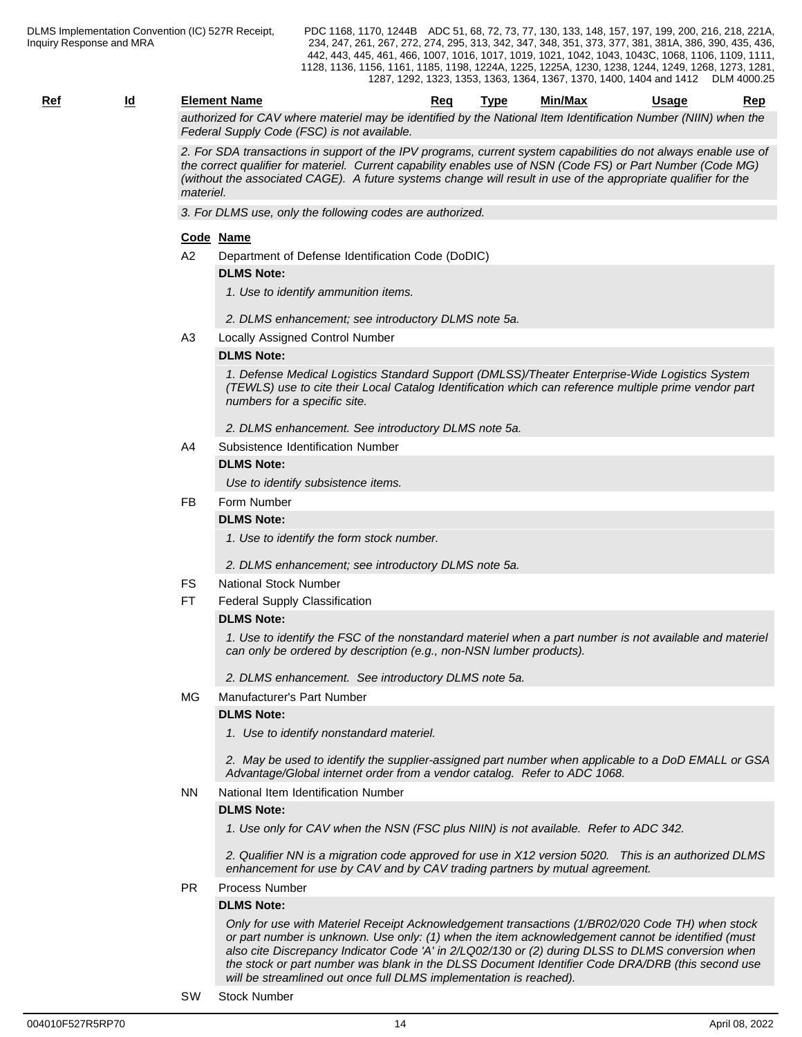| Rei | ıc | ้ lement<br>name                                           | кес               | ™vpe                   | Min/Max                     | Usage                    | ---<br>יסו |
|-----|----|------------------------------------------------------------|-------------------|------------------------|-----------------------------|--------------------------|------------|
|     |    | . matarial may ha<br>AV where<br>$t \cap r$<br>17707<br>-- | .<br>idantitiad h | National Itam<br>∙ th∆ | $-0.01$<br>. Idantitication | $\triangle$<br>i Niimhar | vhan tha   |

*authorized for CAV where materiel may be identified by the National Item Identification Number (NIIN) when the Federal Supply Code (FSC) is not available.*

*2. For SDA transactions in support of the IPV programs, current system capabilities do not always enable use of the correct qualifier for materiel. Current capability enables use of NSN (Code FS) or Part Number (Code MG) (without the associated CAGE). A future systems change will result in use of the appropriate qualifier for the materiel.*

*3. For DLMS use, only the following codes are authorized.*

#### **Code Name**

A2 Department of Defense Identification Code (DoDIC)

#### **DLMS Note:**

- *1. Use to identify ammunition items.*
- *2. DLMS enhancement; see introductory DLMS note 5a.*
- A3 Locally Assigned Control Number

#### **DLMS Note:**

*1. Defense Medical Logistics Standard Support (DMLSS)/Theater Enterprise-Wide Logistics System (TEWLS) use to cite their Local Catalog Identification which can reference multiple prime vendor part numbers for a specific site.*

- *2. DLMS enhancement. See introductory DLMS note 5a.*
- A4 Subsistence Identification Number

#### **DLMS Note:**

*Use to identify subsistence items.* 

#### FB Form Number

#### **DLMS Note:**

*1. Use to identify the form stock number.*

*2. DLMS enhancement; see introductory DLMS note 5a.*

- FS National Stock Number
- FT Federal Supply Classification

#### **DLMS Note:**

*1. Use to identify the FSC of the nonstandard materiel when a part number is not available and materiel can only be ordered by description (e.g., non-NSN lumber products).*

*2. DLMS enhancement. See introductory DLMS note 5a.*

MG Manufacturer's Part Number

#### **DLMS Note:**

*1. Use to identify nonstandard materiel.*

*2. May be used to identify the supplier-assigned part number when applicable to a DoD EMALL or GSA Advantage/Global internet order from a vendor catalog. Refer to ADC 1068.*

#### NN National Item Identification Number

#### **DLMS Note:**

*1. Use only for CAV when the NSN (FSC plus NIIN) is not available. Refer to ADC 342.*

*2. Qualifier NN is a migration code approved for use in X12 version 5020. This is an authorized DLMS enhancement for use by CAV and by CAV trading partners by mutual agreement.*

#### PR Process Number

#### **DLMS Note:**

*Only for use with Materiel Receipt Acknowledgement transactions (1/BR02/020 Code TH) when stock or part number is unknown. Use only: (1) when the item acknowledgement cannot be identified (must also cite Discrepancy Indicator Code 'A' in 2/LQ02/130 or (2) during DLSS to DLMS conversion when the stock or part number was blank in the DLSS Document Identifier Code DRA/DRB (this second use will be streamlined out once full DLMS implementation is reached).*

SW Stock Number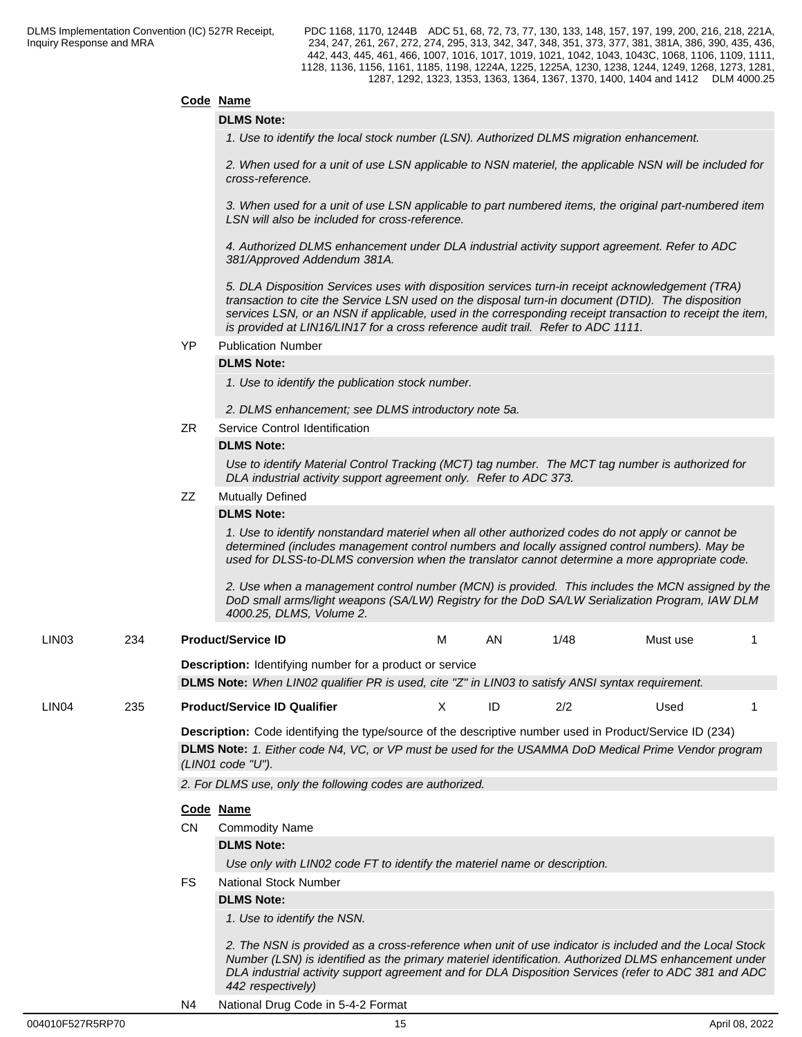## **Code Name**

#### **DLMS Note:**

*1. Use to identify the local stock number (LSN). Authorized DLMS migration enhancement.*

*2. When used for a unit of use LSN applicable to NSN materiel, the applicable NSN will be included for cross-reference.*

*3. When used for a unit of use LSN applicable to part numbered items, the original part-numbered item LSN will also be included for cross-reference.*

*4. Authorized DLMS enhancement under DLA industrial activity support agreement. Refer to ADC 381/Approved Addendum 381A.*

*5. DLA Disposition Services uses with disposition services turn-in receipt acknowledgement (TRA) transaction to cite the Service LSN used on the disposal turn-in document (DTID). The disposition services LSN, or an NSN if applicable, used in the corresponding receipt transaction to receipt the item, is provided at LIN16/LIN17 for a cross reference audit trail. Refer to ADC 1111.*

YP Publication Number

#### **DLMS Note:**

*1. Use to identify the publication stock number.*

- *2. DLMS enhancement; see DLMS introductory note 5a.*
- ZR Service Control Identification

#### **DLMS Note:**

*Use to identify Material Control Tracking (MCT) tag number. The MCT tag number is authorized for DLA industrial activity support agreement only. Refer to ADC 373.*

## ZZ Mutually Defined

#### **DLMS Note:**

*1. Use to identify nonstandard materiel when all other authorized codes do not apply or cannot be determined (includes management control numbers and locally assigned control numbers). May be used for DLSS-to-DLMS conversion when the translator cannot determine a more appropriate code.*

*2. Use when a management control number (MCN) is provided. This includes the MCN assigned by the DoD small arms/light weapons (SA/LW) Registry for the DoD SA/LW Serialization Program, IAW DLM 4000.25, DLMS, Volume 2.*

**Description:** Identifying number for a product or service

**DLMS Note:** *When LIN02 qualifier PR is used, cite "Z" in LIN03 to satisfy ANSI syntax requirement.*

#### LIN04 235 **Product/Service ID Qualifier** X ID 2/2 Used 1

**Description:** Code identifying the type/source of the descriptive number used in Product/Service ID (234)

**DLMS Note:** *1. Either code N4, VC, or VP must be used for the USAMMA DoD Medical Prime Vendor program (LIN01 code "U").*

*2. For DLMS use, only the following codes are authorized.*

#### **Code Name**

CN Commodity Name

#### **DLMS Note:**

*Use only with LIN02 code FT to identify the materiel name or description.* 

FS National Stock Number

### **DLMS Note:**

*1. Use to identify the NSN.* 

*2. The NSN is provided as a cross-reference when unit of use indicator is included and the Local Stock Number (LSN) is identified as the primary materiel identification. Authorized DLMS enhancement under DLA industrial activity support agreement and for DLA Disposition Services (refer to ADC 381 and ADC 442 respectively)*

N4 National Drug Code in 5-4-2 Format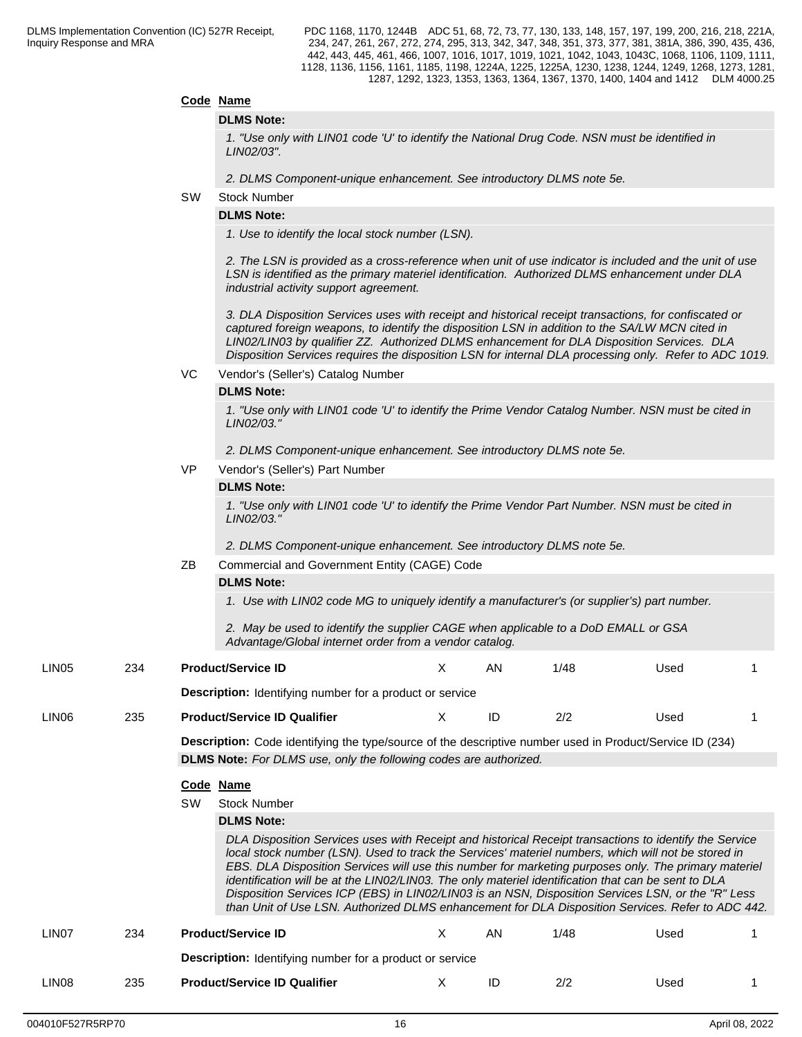#### **Code Name**

#### **DLMS Note:**

*1. "Use only with LIN01 code 'U' to identify the National Drug Code. NSN must be identified in LIN02/03".*

*2. DLMS Component-unique enhancement. See introductory DLMS note 5e.*

#### SW Stock Number

#### **DLMS Note:**

*1. Use to identify the local stock number (LSN).*

*2. The LSN is provided as a cross-reference when unit of use indicator is included and the unit of use LSN is identified as the primary materiel identification. Authorized DLMS enhancement under DLA industrial activity support agreement.*

*3. DLA Disposition Services uses with receipt and historical receipt transactions, for confiscated or captured foreign weapons, to identify the disposition LSN in addition to the SA/LW MCN cited in LIN02/LIN03 by qualifier ZZ. Authorized DLMS enhancement for DLA Disposition Services. DLA Disposition Services requires the disposition LSN for internal DLA processing only. Refer to ADC 1019.*

VC Vendor's (Seller's) Catalog Number

#### **DLMS Note:**

*1. "Use only with LIN01 code 'U' to identify the Prime Vendor Catalog Number. NSN must be cited in LIN02/03."*

*2. DLMS Component-unique enhancement. See introductory DLMS note 5e.*

VP Vendor's (Seller's) Part Number

#### **DLMS Note:**

*1. "Use only with LIN01 code 'U' to identify the Prime Vendor Part Number. NSN must be cited in LIN02/03."*

*2. DLMS Component-unique enhancement. See introductory DLMS note 5e.*

ZB Commercial and Government Entity (CAGE) Code

## **DLMS Note:**

*1. Use with LIN02 code MG to uniquely identify a manufacturer's (or supplier's) part number.*

*2. May be used to identify the supplier CAGE when applicable to a DoD EMALL or GSA Advantage/Global internet order from a vendor catalog.*

| LIN <sub>05</sub> | 234 | <b>Product/Service ID</b>                                       | AN | 1/48 | Used |  |
|-------------------|-----|-----------------------------------------------------------------|----|------|------|--|
|                   |     | <b>Description:</b> Identifying number for a product or service |    |      |      |  |
| LIN <sub>06</sub> | 235 | <b>Product/Service ID Qualifier</b>                             |    | 2/2  | Used |  |

**Description:** Code identifying the type/source of the descriptive number used in Product/Service ID (234) **DLMS Note:** *For DLMS use, only the following codes are authorized.*

### **Code Name**

SW Stock Number

#### **DLMS Note:**

*DLA Disposition Services uses with Receipt and historical Receipt transactions to identify the Service local stock number (LSN). Used to track the Services' materiel numbers, which will not be stored in EBS. DLA Disposition Services will use this number for marketing purposes only. The primary materiel identification will be at the LIN02/LIN03. The only materiel identification that can be sent to DLA Disposition Services ICP (EBS) in LIN02/LIN03 is an NSN, Disposition Services LSN, or the "R" Less than Unit of Use LSN. Authorized DLMS enhancement for DLA Disposition Services. Refer to ADC 442.*

## LIN07 234 **Product/Service ID** X AN 1/48 Used 1

**Description:** Identifying number for a product or service

LIN08 235 **Product/Service ID Qualifier** X ID 2/2 Used 1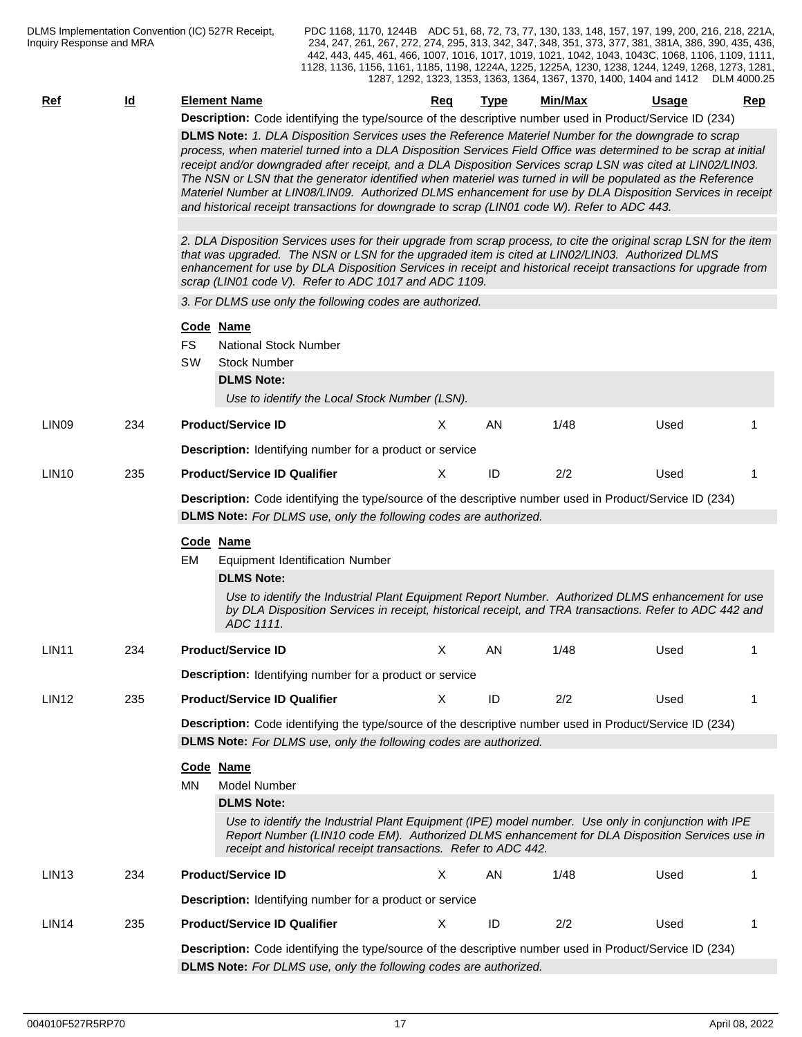| <b>Ref</b>        | <u>ld</u> | <b>Element Name</b>                                                                                                                                                                                                                                                                                                                                                                                                                                                                                                                                                                                                                                                                                                                                                                                                                                                                                                                                                                                                                                                                                                                                                                                                                                             | <b>Req</b> | <b>Type</b> | Min/Max | <b>Usage</b> | Rep |  |  |  |  |
|-------------------|-----------|-----------------------------------------------------------------------------------------------------------------------------------------------------------------------------------------------------------------------------------------------------------------------------------------------------------------------------------------------------------------------------------------------------------------------------------------------------------------------------------------------------------------------------------------------------------------------------------------------------------------------------------------------------------------------------------------------------------------------------------------------------------------------------------------------------------------------------------------------------------------------------------------------------------------------------------------------------------------------------------------------------------------------------------------------------------------------------------------------------------------------------------------------------------------------------------------------------------------------------------------------------------------|------------|-------------|---------|--------------|-----|--|--|--|--|
|                   |           | Description: Code identifying the type/source of the descriptive number used in Product/Service ID (234)<br>DLMS Note: 1. DLA Disposition Services uses the Reference Materiel Number for the downgrade to scrap<br>process, when materiel turned into a DLA Disposition Services Field Office was determined to be scrap at initial<br>receipt and/or downgraded after receipt, and a DLA Disposition Services scrap LSN was cited at LIN02/LIN03.<br>The NSN or LSN that the generator identified when materiel was turned in will be populated as the Reference<br>Materiel Number at LIN08/LIN09. Authorized DLMS enhancement for use by DLA Disposition Services in receipt<br>and historical receipt transactions for downgrade to scrap (LIN01 code W). Refer to ADC 443.<br>2. DLA Disposition Services uses for their upgrade from scrap process, to cite the original scrap LSN for the item<br>that was upgraded. The NSN or LSN for the upgraded item is cited at LIN02/LIN03. Authorized DLMS<br>enhancement for use by DLA Disposition Services in receipt and historical receipt transactions for upgrade from<br>scrap (LIN01 code V). Refer to ADC 1017 and ADC 1109.<br>3. For DLMS use only the following codes are authorized.<br>Code Name |            |             |         |              |     |  |  |  |  |
|                   |           | FS<br><b>National Stock Number</b><br>SW<br><b>Stock Number</b><br><b>DLMS Note:</b><br>Use to identify the Local Stock Number (LSN).                                                                                                                                                                                                                                                                                                                                                                                                                                                                                                                                                                                                                                                                                                                                                                                                                                                                                                                                                                                                                                                                                                                           |            |             |         |              |     |  |  |  |  |
| LIN <sub>09</sub> | 234       | <b>Product/Service ID</b>                                                                                                                                                                                                                                                                                                                                                                                                                                                                                                                                                                                                                                                                                                                                                                                                                                                                                                                                                                                                                                                                                                                                                                                                                                       | X          | AN          | 1/48    | Used         |     |  |  |  |  |
|                   |           | <b>Description:</b> Identifying number for a product or service                                                                                                                                                                                                                                                                                                                                                                                                                                                                                                                                                                                                                                                                                                                                                                                                                                                                                                                                                                                                                                                                                                                                                                                                 |            |             |         |              |     |  |  |  |  |
| LIN <sub>10</sub> | 235       | <b>Product/Service ID Qualifier</b>                                                                                                                                                                                                                                                                                                                                                                                                                                                                                                                                                                                                                                                                                                                                                                                                                                                                                                                                                                                                                                                                                                                                                                                                                             | X          | ID          | 2/2     | Used         |     |  |  |  |  |
|                   |           | <b>DLMS Note:</b> For DLMS use, only the following codes are authorized.<br>Code Name<br><b>Equipment Identification Number</b><br>EM<br><b>DLMS Note:</b><br>Use to identify the Industrial Plant Equipment Report Number. Authorized DLMS enhancement for use<br>by DLA Disposition Services in receipt, historical receipt, and TRA transactions. Refer to ADC 442 and<br>ADC 1111.                                                                                                                                                                                                                                                                                                                                                                                                                                                                                                                                                                                                                                                                                                                                                                                                                                                                          |            |             | 1/48    |              |     |  |  |  |  |
| LIN <sub>11</sub> | 234       | <b>Product/Service ID</b><br><b>Description:</b> Identifying number for a product or service                                                                                                                                                                                                                                                                                                                                                                                                                                                                                                                                                                                                                                                                                                                                                                                                                                                                                                                                                                                                                                                                                                                                                                    | X          | AN          |         | Used         |     |  |  |  |  |
| LIN <sub>12</sub> | 235       | <b>Product/Service ID Qualifier</b><br>Description: Code identifying the type/source of the descriptive number used in Product/Service ID (234)                                                                                                                                                                                                                                                                                                                                                                                                                                                                                                                                                                                                                                                                                                                                                                                                                                                                                                                                                                                                                                                                                                                 | X          | ID          | 2/2     | Used         |     |  |  |  |  |
|                   |           | <b>DLMS Note:</b> For DLMS use, only the following codes are authorized.                                                                                                                                                                                                                                                                                                                                                                                                                                                                                                                                                                                                                                                                                                                                                                                                                                                                                                                                                                                                                                                                                                                                                                                        |            |             |         |              |     |  |  |  |  |
|                   |           | Code Name<br>MN.<br><b>Model Number</b><br><b>DLMS Note:</b><br>Use to identify the Industrial Plant Equipment (IPE) model number. Use only in conjunction with IPE<br>Report Number (LIN10 code EM). Authorized DLMS enhancement for DLA Disposition Services use in<br>receipt and historical receipt transactions. Refer to ADC 442.                                                                                                                                                                                                                                                                                                                                                                                                                                                                                                                                                                                                                                                                                                                                                                                                                                                                                                                         |            |             |         |              |     |  |  |  |  |
| LIN <sub>13</sub> | 234       | <b>Product/Service ID</b>                                                                                                                                                                                                                                                                                                                                                                                                                                                                                                                                                                                                                                                                                                                                                                                                                                                                                                                                                                                                                                                                                                                                                                                                                                       | X          | AN          | 1/48    | Used         |     |  |  |  |  |
|                   |           | <b>Description:</b> Identifying number for a product or service                                                                                                                                                                                                                                                                                                                                                                                                                                                                                                                                                                                                                                                                                                                                                                                                                                                                                                                                                                                                                                                                                                                                                                                                 |            |             |         |              |     |  |  |  |  |
| LIN <sub>14</sub> | 235       | <b>Product/Service ID Qualifier</b>                                                                                                                                                                                                                                                                                                                                                                                                                                                                                                                                                                                                                                                                                                                                                                                                                                                                                                                                                                                                                                                                                                                                                                                                                             | X          | ID          | 2/2     | Used         |     |  |  |  |  |
|                   |           | Description: Code identifying the type/source of the descriptive number used in Product/Service ID (234)                                                                                                                                                                                                                                                                                                                                                                                                                                                                                                                                                                                                                                                                                                                                                                                                                                                                                                                                                                                                                                                                                                                                                        |            |             |         |              |     |  |  |  |  |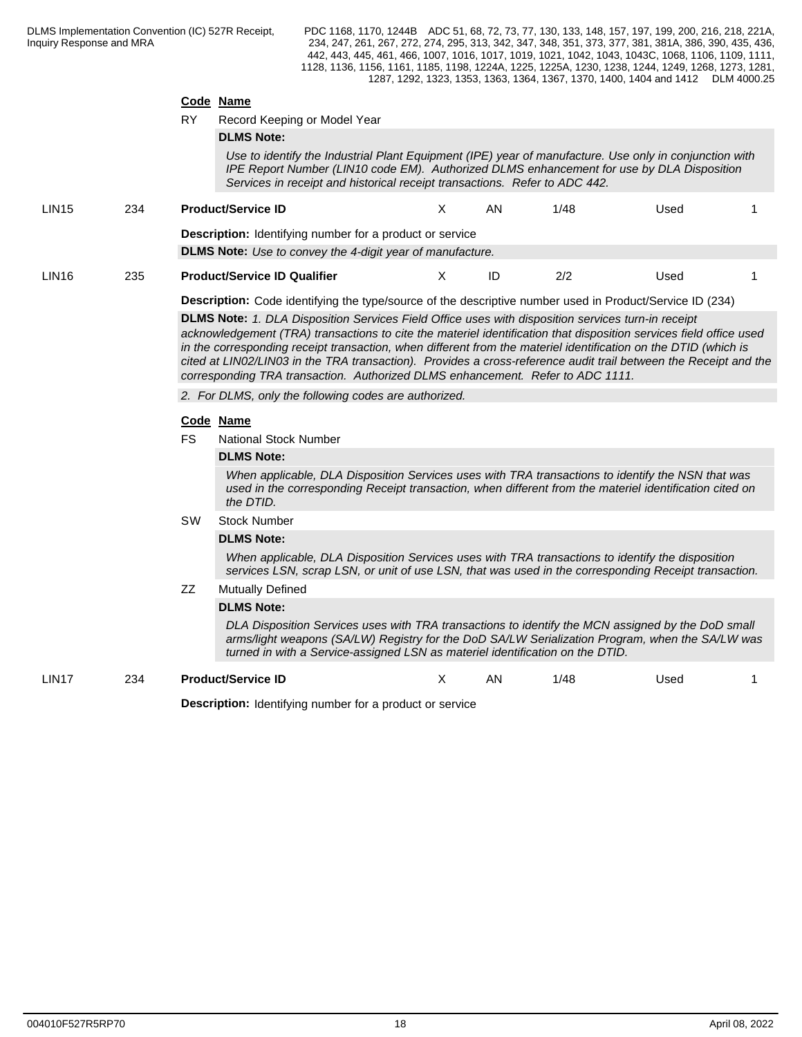#### **Code Name**

RY Record Keeping or Model Year

**DLMS Note:**

*Use to identify the Industrial Plant Equipment (IPE) year of manufacture. Use only in conjunction with IPE Report Number (LIN10 code EM). Authorized DLMS enhancement for use by DLA Disposition Services in receipt and historical receipt transactions. Refer to ADC 442.*

| <b>LIN15</b> | 234 | <b>Product/Service ID</b>                                        | ΑN | 1/48 | Used |  |
|--------------|-----|------------------------------------------------------------------|----|------|------|--|
|              |     | <b>Description:</b> Identifying number for a product or service  |    |      |      |  |
|              |     | <b>DLMS Note:</b> Use to convey the 4-digit year of manufacture. |    |      |      |  |
| <b>LIN16</b> | 235 | <b>Product/Service ID Qualifier</b>                              | ID | 2/2  | Used |  |

**Description:** Code identifying the type/source of the descriptive number used in Product/Service ID (234) **DLMS Note:** *1. DLA Disposition Services Field Office uses with disposition services turn-in receipt*

*acknowledgement (TRA) transactions to cite the materiel identification that disposition services field office used in the corresponding receipt transaction, when different from the materiel identification on the DTID (which is cited at LIN02/LIN03 in the TRA transaction). Provides a cross-reference audit trail between the Receipt and the corresponding TRA transaction. Authorized DLMS enhancement. Refer to ADC 1111.*

*2. For DLMS, only the following codes are authorized.*

#### **Code Name**

FS National Stock Number

#### **DLMS Note:**

*When applicable, DLA Disposition Services uses with TRA transactions to identify the NSN that was used in the corresponding Receipt transaction, when different from the materiel identification cited on the DTID.*

#### SW Stock Number

#### **DLMS Note:**

*When applicable, DLA Disposition Services uses with TRA transactions to identify the disposition services LSN, scrap LSN, or unit of use LSN, that was used in the corresponding Receipt transaction.*

#### ZZ Mutually Defined

#### **DLMS Note:**

*DLA Disposition Services uses with TRA transactions to identify the MCN assigned by the DoD small arms/light weapons (SA/LW) Registry for the DoD SA/LW Serialization Program, when the SA/LW was turned in with a Service-assigned LSN as materiel identification on the DTID.*

LIN17 234 **Product/Service ID** X AN 1/48 Used 1

**Description:** Identifying number for a product or service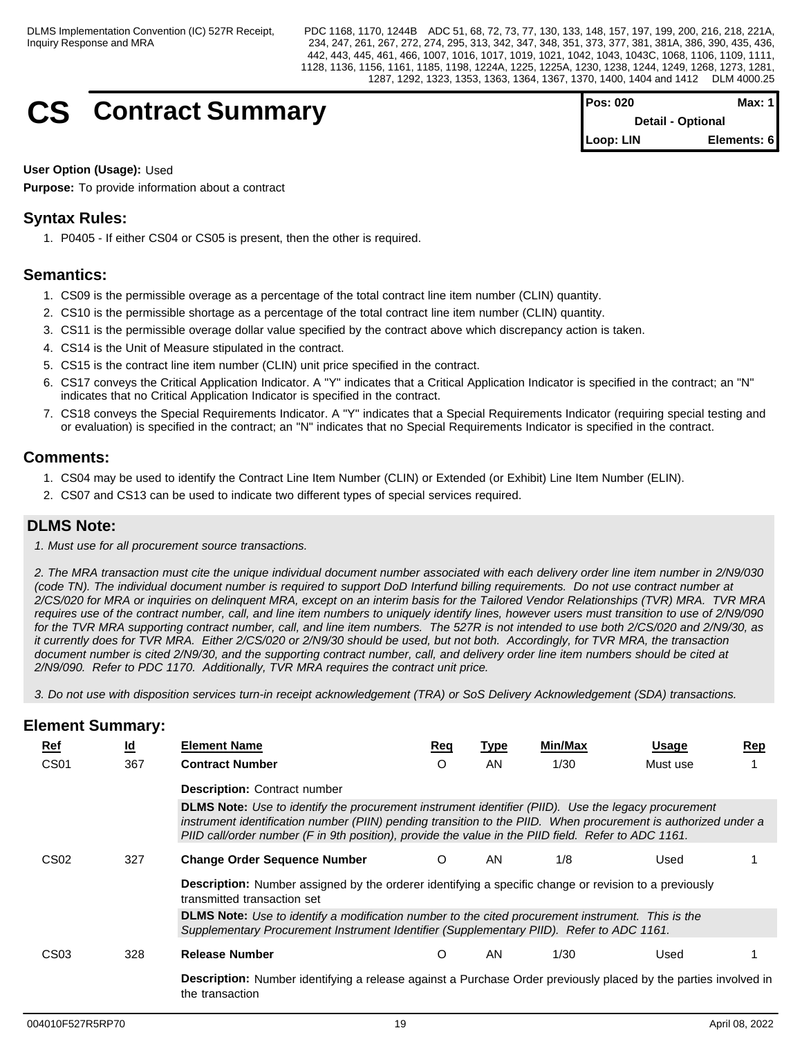# **CS** Contract Summary

| <b>IPos: 020</b> | Max: 1 I                 |
|------------------|--------------------------|
|                  | <b>Detail - Optional</b> |
| Loop: LIN        | Elements: 6              |

**User Option (Usage):** Used

**Purpose:** To provide information about a contract

## **Syntax Rules:**

1. P0405 - If either CS04 or CS05 is present, then the other is required.

## **Semantics:**

- 1. CS09 is the permissible overage as a percentage of the total contract line item number (CLIN) quantity.
- 2. CS10 is the permissible shortage as a percentage of the total contract line item number (CLIN) quantity.
- 3. CS11 is the permissible overage dollar value specified by the contract above which discrepancy action is taken.
- 4. CS14 is the Unit of Measure stipulated in the contract.
- 5. CS15 is the contract line item number (CLIN) unit price specified in the contract.
- 6. CS17 conveys the Critical Application Indicator. A "Y" indicates that a Critical Application Indicator is specified in the contract; an "N" indicates that no Critical Application Indicator is specified in the contract.
- 7. CS18 conveys the Special Requirements Indicator. A "Y" indicates that a Special Requirements Indicator (requiring special testing and or evaluation) is specified in the contract; an "N" indicates that no Special Requirements Indicator is specified in the contract.

## **Comments:**

- 1. CS04 may be used to identify the Contract Line Item Number (CLIN) or Extended (or Exhibit) Line Item Number (ELIN).
- 2. CS07 and CS13 can be used to indicate two different types of special services required.

## **DLMS Note:**

*1. Must use for all procurement source transactions.*

*2. The MRA transaction must cite the unique individual document number associated with each delivery order line item number in 2/N9/030 (code TN). The individual document number is required to support DoD Interfund billing requirements. Do not use contract number at 2/CS/020 for MRA or inquiries on delinquent MRA, except on an interim basis for the Tailored Vendor Relationships (TVR) MRA. TVR MRA requires use of the contract number, call, and line item numbers to uniquely identify lines, however users must transition to use of 2/N9/090 for the TVR MRA supporting contract number, call, and line item numbers. The 527R is not intended to use both 2/CS/020 and 2/N9/30, as it currently does for TVR MRA. Either 2/CS/020 or 2/N9/30 should be used, but not both. Accordingly, for TVR MRA, the transaction document number is cited 2/N9/30, and the supporting contract number, call, and delivery order line item numbers should be cited at 2/N9/090. Refer to PDC 1170. Additionally, TVR MRA requires the contract unit price.* 

*3. Do not use with disposition services turn-in receipt acknowledgement (TRA) or SoS Delivery Acknowledgement (SDA) transactions.* 

| Ref              | <u>ld</u> | <b>Element Name</b>                                                                                                                                                                                                                                                                                                                 | <u>Req</u> | Type | Min/Max | <b>Usage</b> | Rep |  |  |  |  |
|------------------|-----------|-------------------------------------------------------------------------------------------------------------------------------------------------------------------------------------------------------------------------------------------------------------------------------------------------------------------------------------|------------|------|---------|--------------|-----|--|--|--|--|
| CS <sub>01</sub> | 367       | <b>Contract Number</b>                                                                                                                                                                                                                                                                                                              | $\circ$    | AN   | 1/30    | Must use     |     |  |  |  |  |
|                  |           | <b>Description: Contract number</b>                                                                                                                                                                                                                                                                                                 |            |      |         |              |     |  |  |  |  |
|                  |           | <b>DLMS Note:</b> Use to identify the procurement instrument identifier (PIID). Use the legacy procurement<br>instrument identification number (PIIN) pending transition to the PIID. When procurement is authorized under a<br>PIID call/order number (F in 9th position), provide the value in the PIID field. Refer to ADC 1161. |            |      |         |              |     |  |  |  |  |
| CS <sub>02</sub> | 327       | <b>Change Order Sequence Number</b>                                                                                                                                                                                                                                                                                                 | O          | AN   | 1/8     | Used         |     |  |  |  |  |
|                  |           | <b>Description:</b> Number assigned by the orderer identifying a specific change or revision to a previously<br>transmitted transaction set                                                                                                                                                                                         |            |      |         |              |     |  |  |  |  |
|                  |           | DLMS Note: Use to identify a modification number to the cited procurement instrument. This is the<br>Supplementary Procurement Instrument Identifier (Supplementary PIID). Refer to ADC 1161.                                                                                                                                       |            |      |         |              |     |  |  |  |  |
| CS <sub>03</sub> | 328       | <b>Release Number</b>                                                                                                                                                                                                                                                                                                               | O          | AN   | 1/30    | Used         |     |  |  |  |  |
|                  |           | <b>Description:</b> Number identifying a release against a Purchase Order previously placed by the parties involved in<br>the transaction                                                                                                                                                                                           |            |      |         |              |     |  |  |  |  |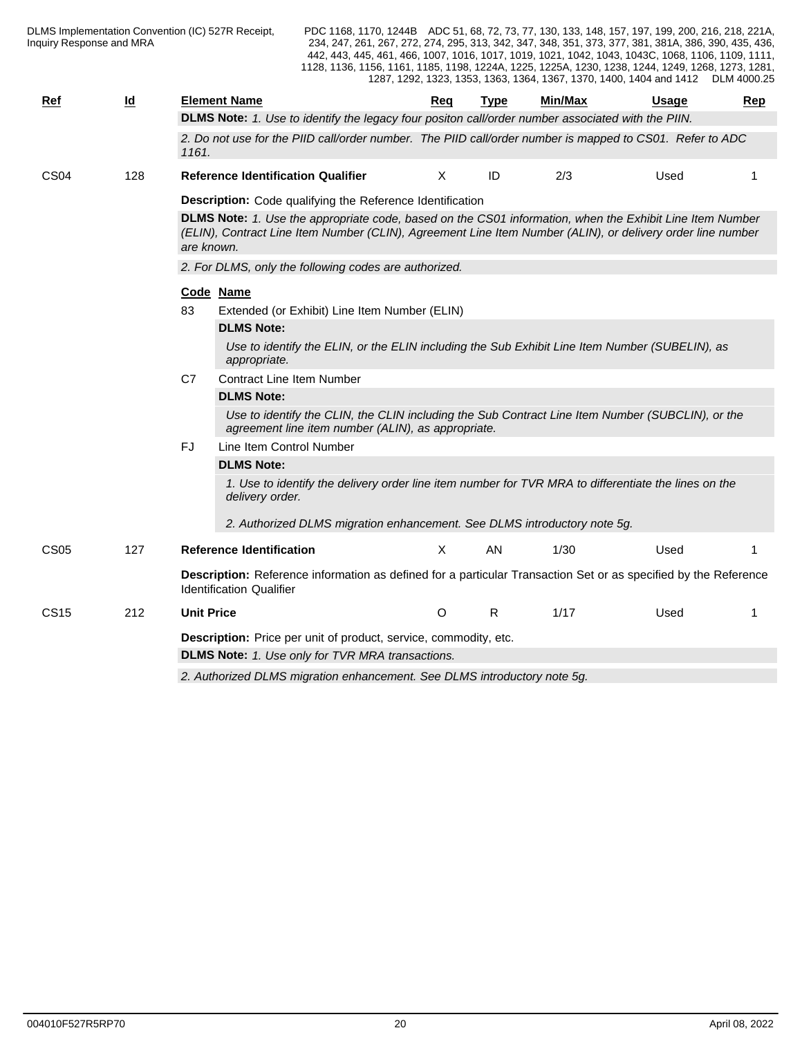| Ref              | $\underline{\mathsf{Id}}$ | <b>Element Name</b>                                                                                                                                                                                                                  | Req | <b>Type</b> | Min/Max | Usage | Rep |  |  |  |  |  |  |
|------------------|---------------------------|--------------------------------------------------------------------------------------------------------------------------------------------------------------------------------------------------------------------------------------|-----|-------------|---------|-------|-----|--|--|--|--|--|--|
|                  |                           | DLMS Note: 1. Use to identify the legacy four positon call/order number associated with the PIIN.                                                                                                                                    |     |             |         |       |     |  |  |  |  |  |  |
|                  |                           | 2. Do not use for the PIID call/order number. The PIID call/order number is mapped to CS01. Refer to ADC<br>1161.                                                                                                                    |     |             |         |       |     |  |  |  |  |  |  |
| CS <sub>04</sub> | 128                       | <b>Reference Identification Qualifier</b>                                                                                                                                                                                            | X   | ID          | 2/3     | Used  | -1  |  |  |  |  |  |  |
|                  |                           | Description: Code qualifying the Reference Identification                                                                                                                                                                            |     |             |         |       |     |  |  |  |  |  |  |
|                  |                           | DLMS Note: 1. Use the appropriate code, based on the CS01 information, when the Exhibit Line Item Number<br>(ELIN), Contract Line Item Number (CLIN), Agreement Line Item Number (ALIN), or delivery order line number<br>are known. |     |             |         |       |     |  |  |  |  |  |  |
|                  |                           | 2. For DLMS, only the following codes are authorized.                                                                                                                                                                                |     |             |         |       |     |  |  |  |  |  |  |
|                  |                           | Code Name                                                                                                                                                                                                                            |     |             |         |       |     |  |  |  |  |  |  |
|                  |                           | 83<br>Extended (or Exhibit) Line Item Number (ELIN)                                                                                                                                                                                  |     |             |         |       |     |  |  |  |  |  |  |
|                  |                           | <b>DLMS Note:</b>                                                                                                                                                                                                                    |     |             |         |       |     |  |  |  |  |  |  |
|                  |                           | Use to identify the ELIN, or the ELIN including the Sub Exhibit Line Item Number (SUBELIN), as<br>appropriate.                                                                                                                       |     |             |         |       |     |  |  |  |  |  |  |
|                  |                           | <b>Contract Line Item Number</b><br>C7                                                                                                                                                                                               |     |             |         |       |     |  |  |  |  |  |  |
|                  |                           | <b>DLMS Note:</b>                                                                                                                                                                                                                    |     |             |         |       |     |  |  |  |  |  |  |
|                  |                           | Use to identify the CLIN, the CLIN including the Sub Contract Line Item Number (SUBCLIN), or the<br>agreement line item number (ALIN), as appropriate.                                                                               |     |             |         |       |     |  |  |  |  |  |  |
|                  |                           | Line Item Control Number<br>FJ.                                                                                                                                                                                                      |     |             |         |       |     |  |  |  |  |  |  |
|                  |                           | <b>DLMS Note:</b>                                                                                                                                                                                                                    |     |             |         |       |     |  |  |  |  |  |  |
|                  |                           | 1. Use to identify the delivery order line item number for TVR MRA to differentiate the lines on the<br>delivery order.                                                                                                              |     |             |         |       |     |  |  |  |  |  |  |
|                  |                           | 2. Authorized DLMS migration enhancement. See DLMS introductory note 5g.                                                                                                                                                             |     |             |         |       |     |  |  |  |  |  |  |
| CS <sub>05</sub> | 127                       | <b>Reference Identification</b>                                                                                                                                                                                                      | X   | AN          | 1/30    | Used  |     |  |  |  |  |  |  |
|                  |                           | Description: Reference information as defined for a particular Transaction Set or as specified by the Reference<br><b>Identification Qualifier</b>                                                                                   |     |             |         |       |     |  |  |  |  |  |  |
| <b>CS15</b>      | 212                       | <b>Unit Price</b>                                                                                                                                                                                                                    | O   | R           | 1/17    | Used  | -1  |  |  |  |  |  |  |
|                  |                           | Description: Price per unit of product, service, commodity, etc.                                                                                                                                                                     |     |             |         |       |     |  |  |  |  |  |  |
|                  |                           | <b>DLMS Note:</b> 1. Use only for TVR MRA transactions.                                                                                                                                                                              |     |             |         |       |     |  |  |  |  |  |  |
|                  |                           | 2. Authorized DLMS migration enhancement. See DLMS introductory note 5g.                                                                                                                                                             |     |             |         |       |     |  |  |  |  |  |  |
|                  |                           |                                                                                                                                                                                                                                      |     |             |         |       |     |  |  |  |  |  |  |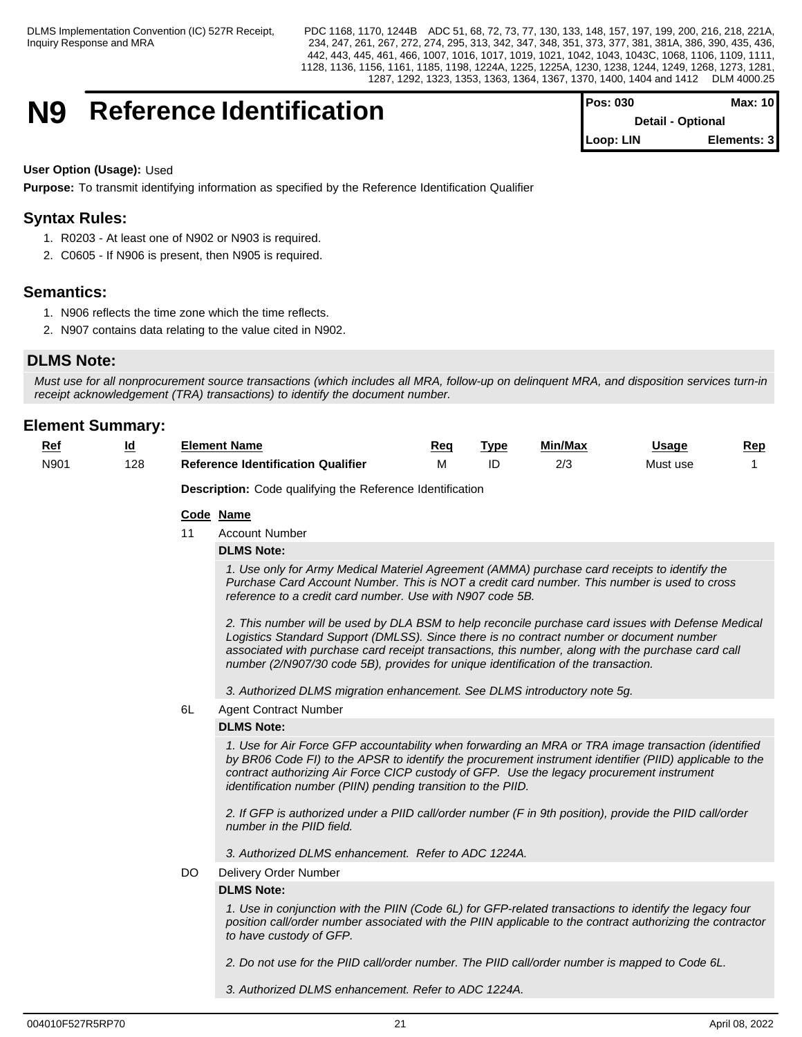## **N9** Reference Identification

| <b>Pos: 030</b> | Max: 101                 |
|-----------------|--------------------------|
|                 | <b>Detail - Optional</b> |
| Loop: LIN       | Elements: 3              |

#### **User Option (Usage):** Used

**Purpose:** To transmit identifying information as specified by the Reference Identification Qualifier

## **Syntax Rules:**

- 1. R0203 At least one of N902 or N903 is required.
- 2. C0605 If N906 is present, then N905 is required.

## **Semantics:**

- 1. N906 reflects the time zone which the time reflects.
- 2. N907 contains data relating to the value cited in N902.

## **DLMS Note:**

*Must use for all nonprocurement source transactions (which includes all MRA, follow-up on delinquent MRA, and disposition services turn-in receipt acknowledgement (TRA) transactions) to identify the document number.*

## **Element Summary:**

| . .<br><u>is re</u>         | <br>ـــ | Element Name                                         | Rec | Tvp. | ---<br>Min/Max | Usaɑe              | Rep |
|-----------------------------|---------|------------------------------------------------------|-----|------|----------------|--------------------|-----|
| $\cdots$<br>ווסוח<br>$\sim$ | 128     | Qualifier<br>.<br>: Identification<br>Jataranca<br>᠁ |     |      | הו ה<br>__     | N /I 1<br>Must use |     |

**Description:** Code qualifying the Reference Identification

#### **Code Name**

11 Account Number

#### **DLMS Note:**

*1. Use only for Army Medical Materiel Agreement (AMMA) purchase card receipts to identify the Purchase Card Account Number. This is NOT a credit card number. This number is used to cross reference to a credit card number. Use with N907 code 5B.*

*2. This number will be used by DLA BSM to help reconcile purchase card issues with Defense Medical Logistics Standard Support (DMLSS). Since there is no contract number or document number associated with purchase card receipt transactions, this number, along with the purchase card call number (2/N907/30 code 5B), provides for unique identification of the transaction.*

*3. Authorized DLMS migration enhancement. See DLMS introductory note 5g.*

#### 6L Agent Contract Number

#### **DLMS Note:**

*1. Use for Air Force GFP accountability when forwarding an MRA or TRA image transaction (identified by BR06 Code FI) to the APSR to identify the procurement instrument identifier (PIID) applicable to the contract authorizing Air Force CICP custody of GFP. Use the legacy procurement instrument identification number (PIIN) pending transition to the PIID.*

*2. If GFP is authorized under a PIID call/order number (F in 9th position), provide the PIID call/order number in the PIID field.* 

*3. Authorized DLMS enhancement. Refer to ADC 1224A.*

DO Delivery Order Number

#### **DLMS Note:**

*1. Use in conjunction with the PIIN (Code 6L) for GFP-related transactions to identify the legacy four position call/order number associated with the PIIN applicable to the contract authorizing the contractor to have custody of GFP.*

*2. Do not use for the PIID call/order number. The PIID call/order number is mapped to Code 6L.*

*3. Authorized DLMS enhancement. Refer to ADC 1224A.*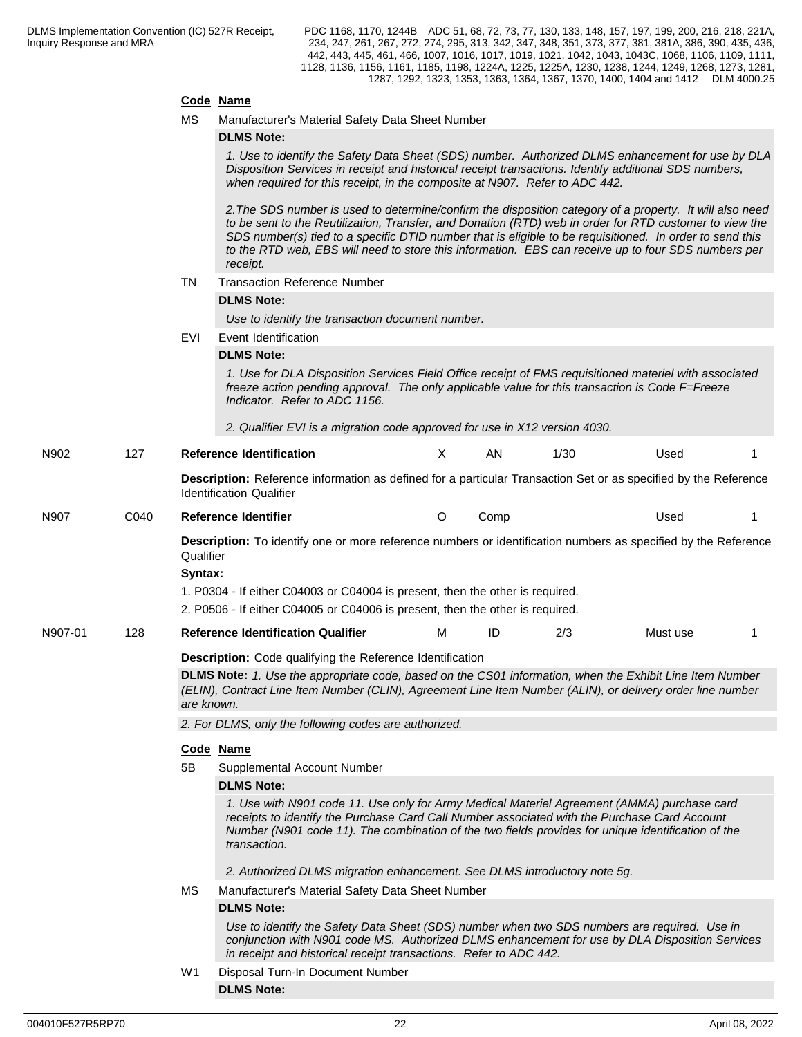### **Code Name**

MS Manufacturer's Material Safety Data Sheet Number

|         |      |                                                                                                                                                                                                                                                                                                                                                                                                                    | <b>DLMS Note:</b>                                                                                                                                                                                                                                                                                                                                                                                                                                  |         |      |      |          |    |  |  |  |  |
|---------|------|--------------------------------------------------------------------------------------------------------------------------------------------------------------------------------------------------------------------------------------------------------------------------------------------------------------------------------------------------------------------------------------------------------------------|----------------------------------------------------------------------------------------------------------------------------------------------------------------------------------------------------------------------------------------------------------------------------------------------------------------------------------------------------------------------------------------------------------------------------------------------------|---------|------|------|----------|----|--|--|--|--|
|         |      |                                                                                                                                                                                                                                                                                                                                                                                                                    | 1. Use to identify the Safety Data Sheet (SDS) number. Authorized DLMS enhancement for use by DLA<br>Disposition Services in receipt and historical receipt transactions. Identify additional SDS numbers,<br>when required for this receipt, in the composite at N907. Refer to ADC 442.                                                                                                                                                          |         |      |      |          |    |  |  |  |  |
|         |      |                                                                                                                                                                                                                                                                                                                                                                                                                    | 2. The SDS number is used to determine/confirm the disposition category of a property. It will also need<br>to be sent to the Reutilization, Transfer, and Donation (RTD) web in order for RTD customer to view the<br>SDS number(s) tied to a specific DTID number that is eligible to be requisitioned. In order to send this<br>to the RTD web, EBS will need to store this information. EBS can receive up to four SDS numbers per<br>receipt. |         |      |      |          |    |  |  |  |  |
|         |      | TN                                                                                                                                                                                                                                                                                                                                                                                                                 | <b>Transaction Reference Number</b>                                                                                                                                                                                                                                                                                                                                                                                                                |         |      |      |          |    |  |  |  |  |
|         |      |                                                                                                                                                                                                                                                                                                                                                                                                                    | <b>DLMS Note:</b>                                                                                                                                                                                                                                                                                                                                                                                                                                  |         |      |      |          |    |  |  |  |  |
|         |      |                                                                                                                                                                                                                                                                                                                                                                                                                    | Use to identify the transaction document number.                                                                                                                                                                                                                                                                                                                                                                                                   |         |      |      |          |    |  |  |  |  |
|         |      | EVI                                                                                                                                                                                                                                                                                                                                                                                                                | Event Identification                                                                                                                                                                                                                                                                                                                                                                                                                               |         |      |      |          |    |  |  |  |  |
|         |      |                                                                                                                                                                                                                                                                                                                                                                                                                    | <b>DLMS Note:</b>                                                                                                                                                                                                                                                                                                                                                                                                                                  |         |      |      |          |    |  |  |  |  |
|         |      |                                                                                                                                                                                                                                                                                                                                                                                                                    | 1. Use for DLA Disposition Services Field Office receipt of FMS requisitioned materiel with associated<br>freeze action pending approval. The only applicable value for this transaction is Code F=Freeze<br>Indicator. Refer to ADC 1156.                                                                                                                                                                                                         |         |      |      |          |    |  |  |  |  |
|         |      |                                                                                                                                                                                                                                                                                                                                                                                                                    | 2. Qualifier EVI is a migration code approved for use in X12 version 4030.                                                                                                                                                                                                                                                                                                                                                                         |         |      |      |          |    |  |  |  |  |
| N902    | 127  |                                                                                                                                                                                                                                                                                                                                                                                                                    | <b>Reference Identification</b>                                                                                                                                                                                                                                                                                                                                                                                                                    | X       | AN   | 1/30 | Used     |    |  |  |  |  |
|         |      |                                                                                                                                                                                                                                                                                                                                                                                                                    | Description: Reference information as defined for a particular Transaction Set or as specified by the Reference<br><b>Identification Qualifier</b>                                                                                                                                                                                                                                                                                                 |         |      |      |          |    |  |  |  |  |
| N907    | C040 |                                                                                                                                                                                                                                                                                                                                                                                                                    | Reference Identifier                                                                                                                                                                                                                                                                                                                                                                                                                               | $\circ$ | Comp |      | Used     |    |  |  |  |  |
|         |      | Qualifier<br>Syntax:                                                                                                                                                                                                                                                                                                                                                                                               | Description: To identify one or more reference numbers or identification numbers as specified by the Reference<br>1. P0304 - If either C04003 or C04004 is present, then the other is required.<br>2. P0506 - If either C04005 or C04006 is present, then the other is required.                                                                                                                                                                   |         |      |      |          |    |  |  |  |  |
| N907-01 | 128  |                                                                                                                                                                                                                                                                                                                                                                                                                    | <b>Reference Identification Qualifier</b>                                                                                                                                                                                                                                                                                                                                                                                                          | м       | ID   | 2/3  | Must use | -1 |  |  |  |  |
|         |      |                                                                                                                                                                                                                                                                                                                                                                                                                    | Description: Code qualifying the Reference Identification                                                                                                                                                                                                                                                                                                                                                                                          |         |      |      |          |    |  |  |  |  |
|         |      | DLMS Note: 1. Use the appropriate code, based on the CS01 information, when the Exhibit Line Item Number<br>(ELIN), Contract Line Item Number (CLIN), Agreement Line Item Number (ALIN), or delivery order line number<br>are known.                                                                                                                                                                               |                                                                                                                                                                                                                                                                                                                                                                                                                                                    |         |      |      |          |    |  |  |  |  |
|         |      | 2. For DLMS, only the following codes are authorized.                                                                                                                                                                                                                                                                                                                                                              |                                                                                                                                                                                                                                                                                                                                                                                                                                                    |         |      |      |          |    |  |  |  |  |
|         |      |                                                                                                                                                                                                                                                                                                                                                                                                                    | Code Name                                                                                                                                                                                                                                                                                                                                                                                                                                          |         |      |      |          |    |  |  |  |  |
|         |      | 5B                                                                                                                                                                                                                                                                                                                                                                                                                 | Supplemental Account Number                                                                                                                                                                                                                                                                                                                                                                                                                        |         |      |      |          |    |  |  |  |  |
|         |      | <b>DLMS Note:</b><br>1. Use with N901 code 11. Use only for Army Medical Materiel Agreement (AMMA) purchase card<br>receipts to identify the Purchase Card Call Number associated with the Purchase Card Account<br>Number (N901 code 11). The combination of the two fields provides for unique identification of the<br>transaction.<br>2. Authorized DLMS migration enhancement. See DLMS introductory note 5g. |                                                                                                                                                                                                                                                                                                                                                                                                                                                    |         |      |      |          |    |  |  |  |  |
|         |      |                                                                                                                                                                                                                                                                                                                                                                                                                    | Manufacturer's Material Safety Data Sheet Number                                                                                                                                                                                                                                                                                                                                                                                                   |         |      |      |          |    |  |  |  |  |
|         |      | MS.                                                                                                                                                                                                                                                                                                                                                                                                                | <b>DLMS Note:</b>                                                                                                                                                                                                                                                                                                                                                                                                                                  |         |      |      |          |    |  |  |  |  |
|         |      |                                                                                                                                                                                                                                                                                                                                                                                                                    |                                                                                                                                                                                                                                                                                                                                                                                                                                                    |         |      |      |          |    |  |  |  |  |

*Use to identify the Safety Data Sheet (SDS) number when two SDS numbers are required. Use in conjunction with N901 code MS. Authorized DLMS enhancement for use by DLA Disposition Services in receipt and historical receipt transactions. Refer to ADC 442.*

W1 Disposal Turn-In Document Number **DLMS Note:**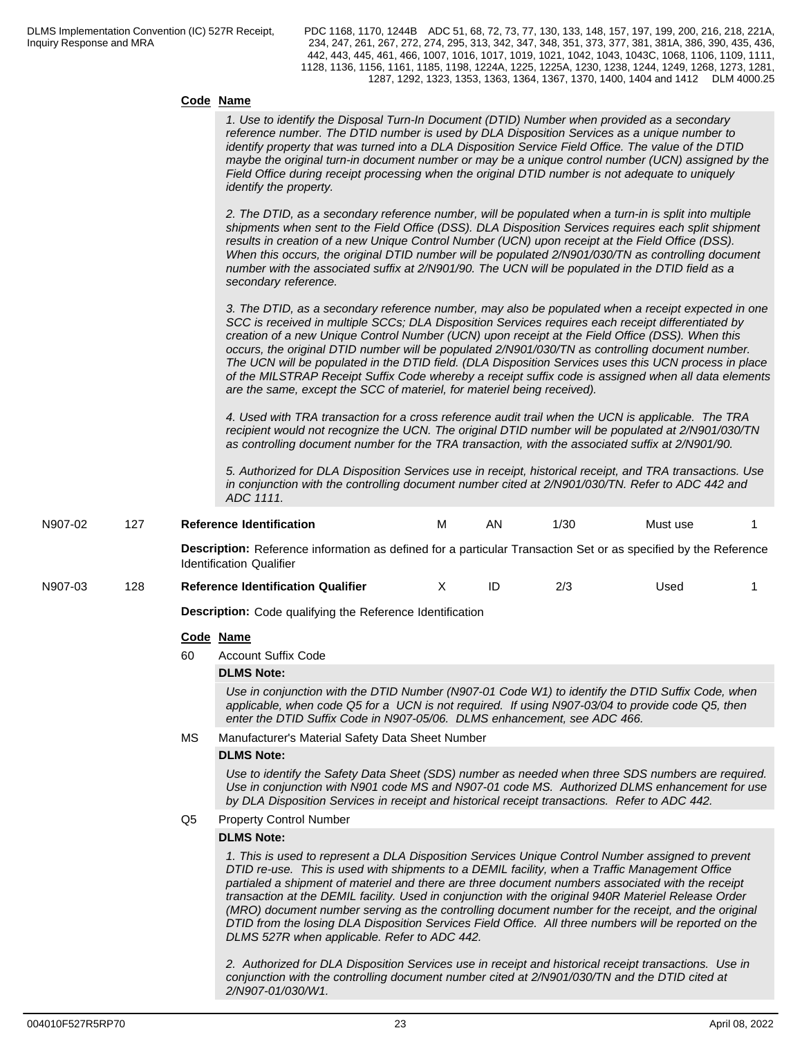#### **Code Name**

| <b>COULT INQUILE</b>                                                                                                                                                                                                                                                                                                                                                                                                                                                                                                                                                                                                                                                                                        |  |
|-------------------------------------------------------------------------------------------------------------------------------------------------------------------------------------------------------------------------------------------------------------------------------------------------------------------------------------------------------------------------------------------------------------------------------------------------------------------------------------------------------------------------------------------------------------------------------------------------------------------------------------------------------------------------------------------------------------|--|
| 1. Use to identify the Disposal Turn-In Document (DTID) Number when provided as a secondary<br>reference number. The DTID number is used by DLA Disposition Services as a unique number to<br>identify property that was turned into a DLA Disposition Service Field Office. The value of the DTID<br>maybe the original turn-in document number or may be a unique control number (UCN) assigned by the<br>Field Office during receipt processing when the original DTID number is not adequate to uniquely<br><i>identify the property.</i>                                                                                                                                                               |  |
| 2. The DTID, as a secondary reference number, will be populated when a turn-in is split into multiple<br>shipments when sent to the Field Office (DSS). DLA Disposition Services requires each split shipment<br>results in creation of a new Unique Control Number (UCN) upon receipt at the Field Office (DSS).<br>When this occurs, the original DTID number will be populated 2/N901/030/TN as controlling document<br>number with the associated suffix at 2/N901/90. The UCN will be populated in the DTID field as a<br>secondary reference.                                                                                                                                                         |  |
| 3. The DTID, as a secondary reference number, may also be populated when a receipt expected in one<br>SCC is received in multiple SCCs; DLA Disposition Services requires each receipt differentiated by<br>creation of a new Unique Control Number (UCN) upon receipt at the Field Office (DSS). When this<br>occurs, the original DTID number will be populated 2/N901/030/TN as controlling document number.<br>The UCN will be populated in the DTID field. (DLA Disposition Services uses this UCN process in place<br>of the MILSTRAP Receipt Suffix Code whereby a receipt suffix code is assigned when all data elements<br>are the same, except the SCC of materiel, for materiel being received). |  |

*4. Used with TRA transaction for a cross reference audit trail when the UCN is applicable. The TRA recipient would not recognize the UCN. The original DTID number will be populated at 2/N901/030/TN as controlling document number for the TRA transaction, with the associated suffix at 2/N901/90.*

*5. Authorized for DLA Disposition Services use in receipt, historical receipt, and TRA transactions. Use in conjunction with the controlling document number cited at 2/N901/030/TN. Refer to ADC 442 and ADC 1111.*

| N907-02 | 127 |    | <b>Reference Identification</b>                                                                                                                                                                                                                                                                                                                                                                                                                                                                                                                                                                                                                                                 | M | AN | 1/30 | Must use |  |
|---------|-----|----|---------------------------------------------------------------------------------------------------------------------------------------------------------------------------------------------------------------------------------------------------------------------------------------------------------------------------------------------------------------------------------------------------------------------------------------------------------------------------------------------------------------------------------------------------------------------------------------------------------------------------------------------------------------------------------|---|----|------|----------|--|
|         |     |    | Description: Reference information as defined for a particular Transaction Set or as specified by the Reference<br><b>Identification Qualifier</b>                                                                                                                                                                                                                                                                                                                                                                                                                                                                                                                              |   |    |      |          |  |
| N907-03 | 128 |    | <b>Reference Identification Qualifier</b>                                                                                                                                                                                                                                                                                                                                                                                                                                                                                                                                                                                                                                       | X | ID | 2/3  | Used     |  |
|         |     |    | <b>Description:</b> Code qualifying the Reference Identification                                                                                                                                                                                                                                                                                                                                                                                                                                                                                                                                                                                                                |   |    |      |          |  |
|         |     |    | Code Name                                                                                                                                                                                                                                                                                                                                                                                                                                                                                                                                                                                                                                                                       |   |    |      |          |  |
|         |     | 60 | <b>Account Suffix Code</b>                                                                                                                                                                                                                                                                                                                                                                                                                                                                                                                                                                                                                                                      |   |    |      |          |  |
|         |     |    | <b>DLMS Note:</b>                                                                                                                                                                                                                                                                                                                                                                                                                                                                                                                                                                                                                                                               |   |    |      |          |  |
|         |     |    | Use in conjunction with the DTID Number (N907-01 Code W1) to identify the DTID Suffix Code, when<br>applicable, when code Q5 for a UCN is not required. If using N907-03/04 to provide code Q5, then<br>enter the DTID Suffix Code in N907-05/06. DLMS enhancement, see ADC 466.                                                                                                                                                                                                                                                                                                                                                                                                |   |    |      |          |  |
|         |     | МS | Manufacturer's Material Safety Data Sheet Number                                                                                                                                                                                                                                                                                                                                                                                                                                                                                                                                                                                                                                |   |    |      |          |  |
|         |     |    | <b>DLMS Note:</b>                                                                                                                                                                                                                                                                                                                                                                                                                                                                                                                                                                                                                                                               |   |    |      |          |  |
|         |     |    | Use to identify the Safety Data Sheet (SDS) number as needed when three SDS numbers are required.<br>Use in conjunction with N901 code MS and N907-01 code MS. Authorized DLMS enhancement for use<br>by DLA Disposition Services in receipt and historical receipt transactions. Refer to ADC 442.                                                                                                                                                                                                                                                                                                                                                                             |   |    |      |          |  |
|         |     | Q5 | <b>Property Control Number</b>                                                                                                                                                                                                                                                                                                                                                                                                                                                                                                                                                                                                                                                  |   |    |      |          |  |
|         |     |    | <b>DLMS Note:</b>                                                                                                                                                                                                                                                                                                                                                                                                                                                                                                                                                                                                                                                               |   |    |      |          |  |
|         |     |    | 1. This is used to represent a DLA Disposition Services Unique Control Number assigned to prevent<br>DTID re-use. This is used with shipments to a DEMIL facility, when a Traffic Management Office<br>partialed a shipment of materiel and there are three document numbers associated with the receipt<br>transaction at the DEMIL facility. Used in conjunction with the original 940R Materiel Release Order<br>(MRO) document number serving as the controlling document number for the receipt, and the original<br>DTID from the losing DLA Disposition Services Field Office. All three numbers will be reported on the<br>DLMS 527R when applicable. Refer to ADC 442. |   |    |      |          |  |

*2. Authorized for DLA Disposition Services use in receipt and historical receipt transactions. Use in conjunction with the controlling document number cited at 2/N901/030/TN and the DTID cited at 2/N907-01/030/W1.*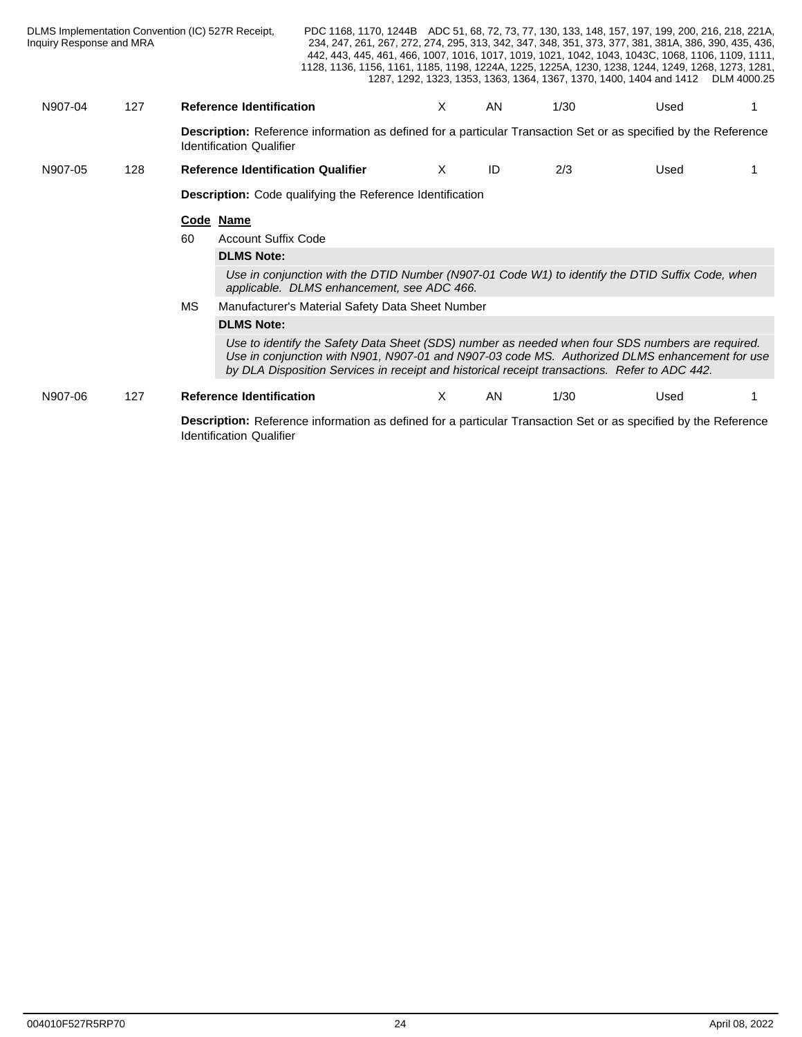| Inquiry Response and MRA |     | DLMS Implementation Convention (IC) 527R Receipt, | PDC 1168, 1170, 1244B ADC 51, 68, 72, 73, 77, 130, 133, 148, 157, 197, 199, 200, 216, 218, 221A,<br>234, 247, 261, 267, 272, 274, 295, 313, 342, 347, 348, 351, 373, 377, 381, 381A, 386, 390, 435, 436,<br>442, 443, 445, 461, 466, 1007, 1016, 1017, 1019, 1021, 1042, 1043, 1043C, 1068, 1106, 1109, 1111,<br>1128, 1136, 1156, 1161, 1185, 1198, 1224A, 1225, 1225A, 1230, 1238, 1244, 1249, 1268, 1273, 1281, |    |     |      | 1287, 1292, 1323, 1353, 1363, 1364, 1367, 1370, 1400, 1404 and 1412 DLM 4000.25 |  |
|--------------------------|-----|---------------------------------------------------|--------------------------------------------------------------------------------------------------------------------------------------------------------------------------------------------------------------------------------------------------------------------------------------------------------------------------------------------------------------------------------------------------------------------|----|-----|------|---------------------------------------------------------------------------------|--|
| N907-04                  | 127 | <b>Reference Identification</b>                   |                                                                                                                                                                                                                                                                                                                                                                                                                    | X. | AN. | 1/30 | Used                                                                            |  |
|                          |     | <b>Identification Qualifier</b>                   | Description: Reference information as defined for a particular Transaction Set or as specified by the Reference                                                                                                                                                                                                                                                                                                    |    |     |      |                                                                                 |  |
| N907-05                  | 128 | <b>Reference Identification Qualifier</b>         |                                                                                                                                                                                                                                                                                                                                                                                                                    | X. | ID  | 2/3  | Used                                                                            |  |
|                          |     |                                                   | <b>Description:</b> Code qualifying the Reference Identification                                                                                                                                                                                                                                                                                                                                                   |    |     |      |                                                                                 |  |
|                          |     | Code Name                                         |                                                                                                                                                                                                                                                                                                                                                                                                                    |    |     |      |                                                                                 |  |
|                          |     | <b>Account Suffix Code</b><br>60                  |                                                                                                                                                                                                                                                                                                                                                                                                                    |    |     |      |                                                                                 |  |
|                          |     | <b>DLMS Note:</b>                                 |                                                                                                                                                                                                                                                                                                                                                                                                                    |    |     |      |                                                                                 |  |
|                          |     |                                                   | Use in conjunction with the DTID Number (N907-01 Code W1) to identify the DTID Suffix Code, when<br>applicable. DLMS enhancement, see ADC 466.                                                                                                                                                                                                                                                                     |    |     |      |                                                                                 |  |
|                          |     | МS                                                | Manufacturer's Material Safety Data Sheet Number                                                                                                                                                                                                                                                                                                                                                                   |    |     |      |                                                                                 |  |
|                          |     | <b>DLMS Note:</b>                                 |                                                                                                                                                                                                                                                                                                                                                                                                                    |    |     |      |                                                                                 |  |
|                          |     |                                                   | Use to identify the Safety Data Sheet (SDS) number as needed when four SDS numbers are required.<br>Use in conjunction with N901, N907-01 and N907-03 code MS. Authorized DLMS enhancement for use<br>by DLA Disposition Services in receipt and historical receipt transactions. Refer to ADC 442.                                                                                                                |    |     |      |                                                                                 |  |
| N907-06                  | 127 | <b>Reference Identification</b>                   |                                                                                                                                                                                                                                                                                                                                                                                                                    | X. | AN  | 1/30 | Used                                                                            |  |
|                          |     |                                                   | <b>Description:</b> Reference information as defined for a particular Transaction Set or as specified by the Reference                                                                                                                                                                                                                                                                                             |    |     |      |                                                                                 |  |
|                          |     |                                                   |                                                                                                                                                                                                                                                                                                                                                                                                                    |    |     |      |                                                                                 |  |

**Identification Qualifier**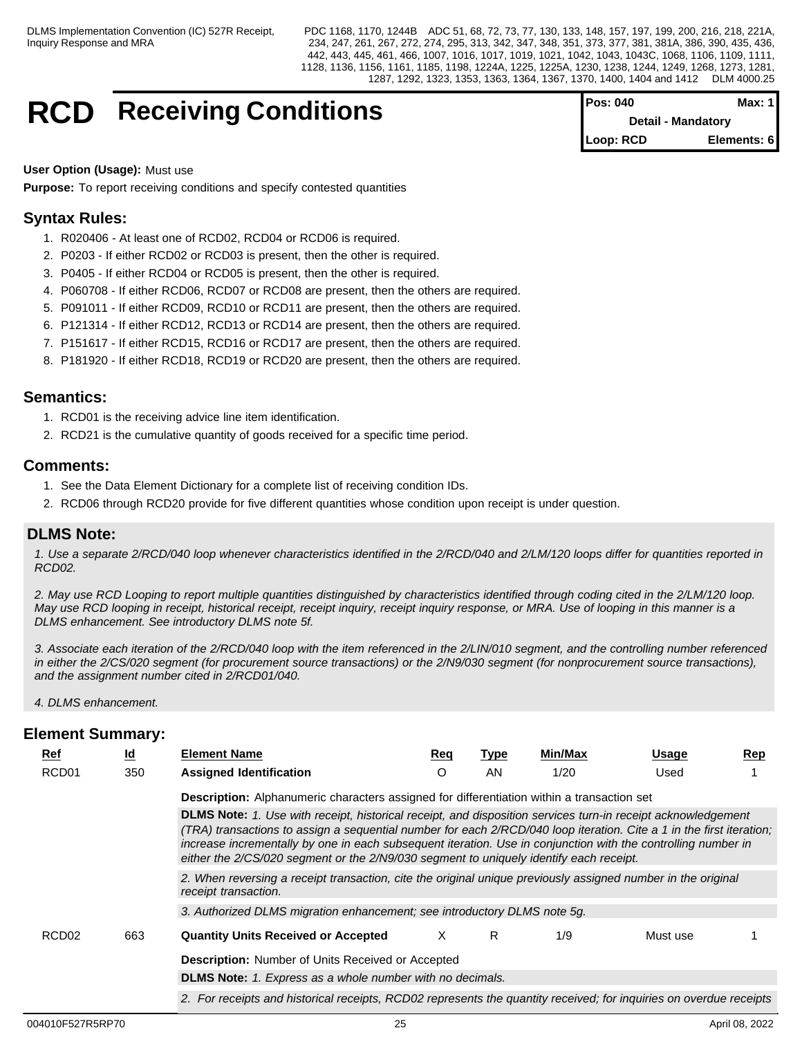## **RCD** Receiving Conditions

| Pos: 040                  | Max: 1 I    |  |
|---------------------------|-------------|--|
| <b>Detail - Mandatory</b> |             |  |
| Loop: RCD                 | Elements: 6 |  |

**User Option (Usage):** Must use

**Purpose:** To report receiving conditions and specify contested quantities

## **Syntax Rules:**

- 1. R020406 At least one of RCD02, RCD04 or RCD06 is required.
- 2. P0203 If either RCD02 or RCD03 is present, then the other is required.
- 3. P0405 If either RCD04 or RCD05 is present, then the other is required.
- 4. P060708 If either RCD06, RCD07 or RCD08 are present, then the others are required.
- 5. P091011 If either RCD09, RCD10 or RCD11 are present, then the others are required.
- 6. P121314 If either RCD12, RCD13 or RCD14 are present, then the others are required.
- 7. P151617 If either RCD15, RCD16 or RCD17 are present, then the others are required.
- 8. P181920 If either RCD18, RCD19 or RCD20 are present, then the others are required.

## **Semantics:**

- 1. RCD01 is the receiving advice line item identification.
- 2. RCD21 is the cumulative quantity of goods received for a specific time period.

## **Comments:**

- 1. See the Data Element Dictionary for a complete list of receiving condition IDs.
- 2. RCD06 through RCD20 provide for five different quantities whose condition upon receipt is under question.

## **DLMS Note:**

*1. Use a separate 2/RCD/040 loop whenever characteristics identified in the 2/RCD/040 and 2/LM/120 loops differ for quantities reported in RCD02.*

*2. May use RCD Looping to report multiple quantities distinguished by characteristics identified through coding cited in the 2/LM/120 loop. May use RCD looping in receipt, historical receipt, receipt inquiry, receipt inquiry response, or MRA. Use of looping in this manner is a DLMS enhancement. See introductory DLMS note 5f.*

*3. Associate each iteration of the 2/RCD/040 loop with the item referenced in the 2/LIN/010 segment, and the controlling number referenced in either the 2/CS/020 segment (for procurement source transactions) or the 2/N9/030 segment (for nonprocurement source transactions), and the assignment number cited in 2/RCD01/040.*

*4. DLMS enhancement.*

| Ref               | $\underline{\mathsf{Id}}$ | <b>Element Name</b>                                                                                                                                                                                                                                                                                                                                                                                                                             | Req | Type | Min/Max | <b>Usage</b> | Rep |
|-------------------|---------------------------|-------------------------------------------------------------------------------------------------------------------------------------------------------------------------------------------------------------------------------------------------------------------------------------------------------------------------------------------------------------------------------------------------------------------------------------------------|-----|------|---------|--------------|-----|
| RCD <sub>01</sub> | 350                       | <b>Assigned Identification</b>                                                                                                                                                                                                                                                                                                                                                                                                                  |     | AN.  | 1/20    | Used         |     |
|                   |                           | Description: Alphanumeric characters assigned for differentiation within a transaction set                                                                                                                                                                                                                                                                                                                                                      |     |      |         |              |     |
|                   |                           | DLMS Note: 1. Use with receipt, historical receipt, and disposition services turn-in receipt acknowledgement<br>(TRA) transactions to assign a seguential number for each 2/RCD/040 loop iteration. Cite a 1 in the first iteration;<br>increase incrementally by one in each subsequent iteration. Use in conjunction with the controlling number in<br>either the 2/CS/020 segment or the 2/N9/030 segment to uniquely identify each receipt. |     |      |         |              |     |
|                   |                           | 2. When reversing a receipt transaction, cite the original unique previously assigned number in the original<br>receipt transaction.                                                                                                                                                                                                                                                                                                            |     |      |         |              |     |
|                   |                           | 3. Authorized DLMS migration enhancement; see introductory DLMS note 5g.                                                                                                                                                                                                                                                                                                                                                                        |     |      |         |              |     |
| RCD <sub>02</sub> | 663                       | <b>Quantity Units Received or Accepted</b>                                                                                                                                                                                                                                                                                                                                                                                                      | x   | R.   | 1/9     | Must use     |     |
|                   |                           | <b>Description:</b> Number of Units Received or Accepted                                                                                                                                                                                                                                                                                                                                                                                        |     |      |         |              |     |
|                   |                           | <b>DLMS Note:</b> 1. Express as a whole number with no decimals.                                                                                                                                                                                                                                                                                                                                                                                |     |      |         |              |     |
|                   |                           | 2. For receipts and historical receipts, RCD02 represents the quantity received; for inquiries on overdue receipts                                                                                                                                                                                                                                                                                                                              |     |      |         |              |     |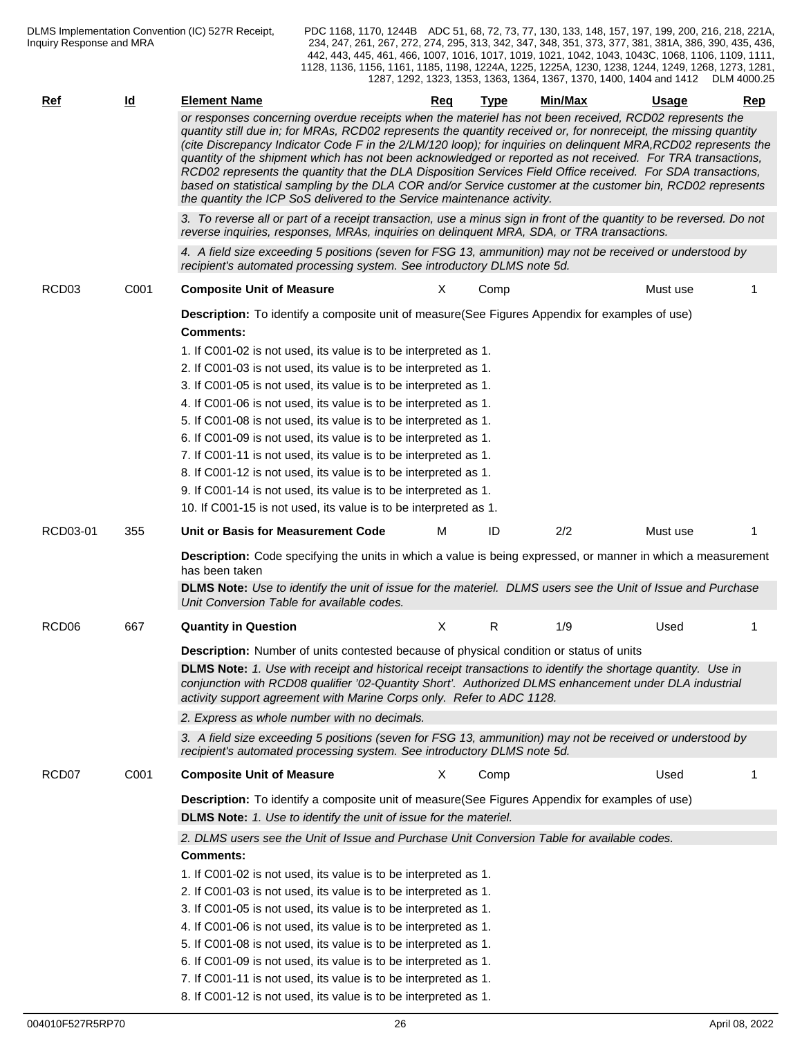| <u>Ref</u>        | <u>ld</u> | <b>Element Name</b>                                                                                                                                                                                                                                                                                                                                                                                                                                                                                                                                                                                                                                                                                                                                                   | Req          | Type | Min/Max | Usage    | Rep |
|-------------------|-----------|-----------------------------------------------------------------------------------------------------------------------------------------------------------------------------------------------------------------------------------------------------------------------------------------------------------------------------------------------------------------------------------------------------------------------------------------------------------------------------------------------------------------------------------------------------------------------------------------------------------------------------------------------------------------------------------------------------------------------------------------------------------------------|--------------|------|---------|----------|-----|
|                   |           | or responses concerning overdue receipts when the materiel has not been received, RCD02 represents the<br>quantity still due in; for MRAs, RCD02 represents the quantity received or, for nonreceipt, the missing quantity<br>(cite Discrepancy Indicator Code F in the 2/LM/120 loop); for inquiries on delinquent MRA, RCD02 represents the<br>quantity of the shipment which has not been acknowledged or reported as not received. For TRA transactions,<br>RCD02 represents the quantity that the DLA Disposition Services Field Office received. For SDA transactions,<br>based on statistical sampling by the DLA COR and/or Service customer at the customer bin, RCD02 represents<br>the quantity the ICP SoS delivered to the Service maintenance activity. |              |      |         |          |     |
|                   |           | 3. To reverse all or part of a receipt transaction, use a minus sign in front of the quantity to be reversed. Do not<br>reverse inquiries, responses, MRAs, inquiries on delinquent MRA, SDA, or TRA transactions.                                                                                                                                                                                                                                                                                                                                                                                                                                                                                                                                                    |              |      |         |          |     |
|                   |           | 4. A field size exceeding 5 positions (seven for FSG 13, ammunition) may not be received or understood by<br>recipient's automated processing system. See introductory DLMS note 5d.                                                                                                                                                                                                                                                                                                                                                                                                                                                                                                                                                                                  |              |      |         |          |     |
| RCD <sub>03</sub> | C001      | <b>Composite Unit of Measure</b>                                                                                                                                                                                                                                                                                                                                                                                                                                                                                                                                                                                                                                                                                                                                      | X.           | Comp |         | Must use |     |
|                   |           | Description: To identify a composite unit of measure(See Figures Appendix for examples of use)<br><b>Comments:</b><br>1. If C001-02 is not used, its value is to be interpreted as 1.<br>2. If C001-03 is not used, its value is to be interpreted as 1.                                                                                                                                                                                                                                                                                                                                                                                                                                                                                                              |              |      |         |          |     |
|                   |           | 3. If C001-05 is not used, its value is to be interpreted as 1.<br>4. If C001-06 is not used, its value is to be interpreted as 1.                                                                                                                                                                                                                                                                                                                                                                                                                                                                                                                                                                                                                                    |              |      |         |          |     |
|                   |           | 5. If C001-08 is not used, its value is to be interpreted as 1.                                                                                                                                                                                                                                                                                                                                                                                                                                                                                                                                                                                                                                                                                                       |              |      |         |          |     |
|                   |           | 6. If C001-09 is not used, its value is to be interpreted as 1.                                                                                                                                                                                                                                                                                                                                                                                                                                                                                                                                                                                                                                                                                                       |              |      |         |          |     |
|                   |           | 7. If C001-11 is not used, its value is to be interpreted as 1.                                                                                                                                                                                                                                                                                                                                                                                                                                                                                                                                                                                                                                                                                                       |              |      |         |          |     |
|                   |           | 8. If C001-12 is not used, its value is to be interpreted as 1.                                                                                                                                                                                                                                                                                                                                                                                                                                                                                                                                                                                                                                                                                                       |              |      |         |          |     |
|                   |           | 9. If C001-14 is not used, its value is to be interpreted as 1.                                                                                                                                                                                                                                                                                                                                                                                                                                                                                                                                                                                                                                                                                                       |              |      |         |          |     |
|                   |           | 10. If C001-15 is not used, its value is to be interpreted as 1.                                                                                                                                                                                                                                                                                                                                                                                                                                                                                                                                                                                                                                                                                                      |              |      |         |          |     |
| RCD03-01          | 355       | Unit or Basis for Measurement Code                                                                                                                                                                                                                                                                                                                                                                                                                                                                                                                                                                                                                                                                                                                                    | м            | ID   | 2/2     | Must use |     |
|                   |           | <b>Description:</b> Code specifying the units in which a value is being expressed, or manner in which a measurement<br>has been taken                                                                                                                                                                                                                                                                                                                                                                                                                                                                                                                                                                                                                                 |              |      |         |          |     |
|                   |           | DLMS Note: Use to identify the unit of issue for the materiel. DLMS users see the Unit of Issue and Purchase<br>Unit Conversion Table for available codes.                                                                                                                                                                                                                                                                                                                                                                                                                                                                                                                                                                                                            |              |      |         |          |     |
| RCD <sub>06</sub> | 667       | <b>Quantity in Question</b>                                                                                                                                                                                                                                                                                                                                                                                                                                                                                                                                                                                                                                                                                                                                           | $\mathsf{X}$ | R    | 1/9     | Used     |     |
|                   |           | <b>Description:</b> Number of units contested because of physical condition or status of units                                                                                                                                                                                                                                                                                                                                                                                                                                                                                                                                                                                                                                                                        |              |      |         |          |     |
|                   |           | DLMS Note: 1. Use with receipt and historical receipt transactions to identify the shortage quantity. Use in<br>conjunction with RCD08 qualifier '02-Quantity Short'. Authorized DLMS enhancement under DLA industrial<br>activity support agreement with Marine Corps only. Refer to ADC 1128.                                                                                                                                                                                                                                                                                                                                                                                                                                                                       |              |      |         |          |     |
|                   |           | 2. Express as whole number with no decimals.                                                                                                                                                                                                                                                                                                                                                                                                                                                                                                                                                                                                                                                                                                                          |              |      |         |          |     |
|                   |           | 3. A field size exceeding 5 positions (seven for FSG 13, ammunition) may not be received or understood by<br>recipient's automated processing system. See introductory DLMS note 5d.                                                                                                                                                                                                                                                                                                                                                                                                                                                                                                                                                                                  |              |      |         |          |     |
| RCD <sub>07</sub> | C001      | <b>Composite Unit of Measure</b>                                                                                                                                                                                                                                                                                                                                                                                                                                                                                                                                                                                                                                                                                                                                      | X            | Comp |         | Used     |     |
|                   |           | Description: To identify a composite unit of measure(See Figures Appendix for examples of use)                                                                                                                                                                                                                                                                                                                                                                                                                                                                                                                                                                                                                                                                        |              |      |         |          |     |
|                   |           | <b>DLMS Note:</b> 1. Use to identify the unit of issue for the materiel.                                                                                                                                                                                                                                                                                                                                                                                                                                                                                                                                                                                                                                                                                              |              |      |         |          |     |
|                   |           | 2. DLMS users see the Unit of Issue and Purchase Unit Conversion Table for available codes.<br><b>Comments:</b>                                                                                                                                                                                                                                                                                                                                                                                                                                                                                                                                                                                                                                                       |              |      |         |          |     |
|                   |           | 1. If C001-02 is not used, its value is to be interpreted as 1.                                                                                                                                                                                                                                                                                                                                                                                                                                                                                                                                                                                                                                                                                                       |              |      |         |          |     |
|                   |           | 2. If C001-03 is not used, its value is to be interpreted as 1.                                                                                                                                                                                                                                                                                                                                                                                                                                                                                                                                                                                                                                                                                                       |              |      |         |          |     |
|                   |           | 3. If C001-05 is not used, its value is to be interpreted as 1.                                                                                                                                                                                                                                                                                                                                                                                                                                                                                                                                                                                                                                                                                                       |              |      |         |          |     |
|                   |           | 4. If C001-06 is not used, its value is to be interpreted as 1.                                                                                                                                                                                                                                                                                                                                                                                                                                                                                                                                                                                                                                                                                                       |              |      |         |          |     |
|                   |           | 5. If C001-08 is not used, its value is to be interpreted as 1.                                                                                                                                                                                                                                                                                                                                                                                                                                                                                                                                                                                                                                                                                                       |              |      |         |          |     |
|                   |           | 6. If C001-09 is not used, its value is to be interpreted as 1.                                                                                                                                                                                                                                                                                                                                                                                                                                                                                                                                                                                                                                                                                                       |              |      |         |          |     |
|                   |           | 7. If C001-11 is not used, its value is to be interpreted as 1.                                                                                                                                                                                                                                                                                                                                                                                                                                                                                                                                                                                                                                                                                                       |              |      |         |          |     |
|                   |           | 8. If C001-12 is not used, its value is to be interpreted as 1.                                                                                                                                                                                                                                                                                                                                                                                                                                                                                                                                                                                                                                                                                                       |              |      |         |          |     |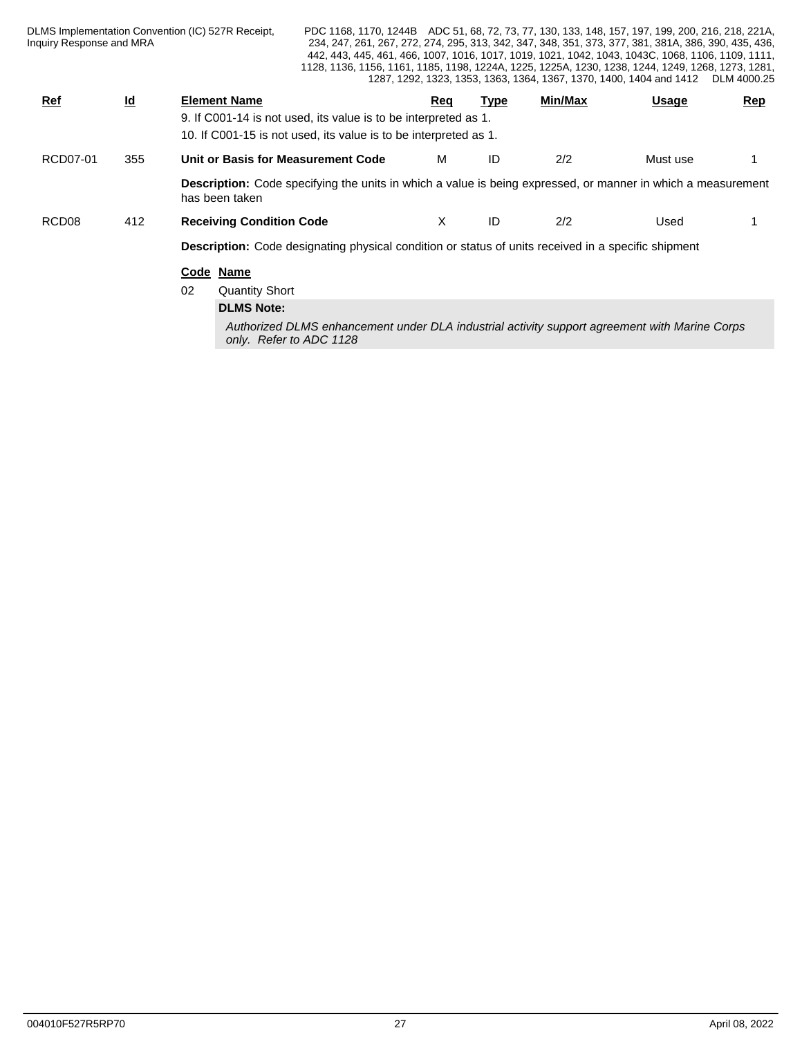| Inquiry Response and MRA |                           | DLMS Implementation Convention (IC) 527R Receipt, | PDC 1168, 1170, 1244B ADC 51, 68, 72, 73, 77, 130, 133, 148, 157, 197, 199, 200, 216, 218, 221A,<br>1128, 1136, 1156, 1161, 1185, 1198, 1224A, 1225, 1225A, 1230, 1238, 1244, 1249, 1268, 1273, 1281, |     |             |         | 234, 247, 261, 267, 272, 274, 295, 313, 342, 347, 348, 351, 373, 377, 381, 381A, 386, 390, 435, 436,<br>442, 443, 445, 461, 466, 1007, 1016, 1017, 1019, 1021, 1042, 1043, 1043C, 1068, 1106, 1109, 1111,<br>1287, 1292, 1323, 1353, 1363, 1364, 1367, 1370, 1400, 1404 and 1412 DLM 4000.25 |            |
|--------------------------|---------------------------|---------------------------------------------------|-------------------------------------------------------------------------------------------------------------------------------------------------------------------------------------------------------|-----|-------------|---------|----------------------------------------------------------------------------------------------------------------------------------------------------------------------------------------------------------------------------------------------------------------------------------------------|------------|
| Ref                      | $\underline{\mathsf{Id}}$ | <b>Element Name</b>                               | 9. If C001-14 is not used, its value is to be interpreted as 1.<br>10. If C001-15 is not used, its value is to be interpreted as 1.                                                                   | Req | <b>Type</b> | Min/Max | <b>Usage</b>                                                                                                                                                                                                                                                                                 | <u>Rep</u> |
| RCD07-01                 | 355                       | Unit or Basis for Measurement Code                |                                                                                                                                                                                                       | м   | ID          | 2/2     | Must use                                                                                                                                                                                                                                                                                     |            |
|                          |                           | has been taken                                    | <b>Description:</b> Code specifying the units in which a value is being expressed, or manner in which a measurement                                                                                   |     |             |         |                                                                                                                                                                                                                                                                                              |            |
| RCD <sub>08</sub>        | 412                       | <b>Receiving Condition Code</b>                   |                                                                                                                                                                                                       | X   | ID          | 2/2     | Used                                                                                                                                                                                                                                                                                         |            |
|                          |                           |                                                   | <b>Description:</b> Code designating physical condition or status of units received in a specific shipment                                                                                            |     |             |         |                                                                                                                                                                                                                                                                                              |            |
|                          |                           | Code Name<br>02<br><b>Quantity Short</b>          |                                                                                                                                                                                                       |     |             |         |                                                                                                                                                                                                                                                                                              |            |
|                          |                           | <b>DLMS Note:</b>                                 |                                                                                                                                                                                                       |     |             |         |                                                                                                                                                                                                                                                                                              |            |
|                          |                           |                                                   | Authorized DLMS enhancement under DLA industrial activity support agreement with Marine Corps<br>only. Refer to ADC 1128                                                                              |     |             |         |                                                                                                                                                                                                                                                                                              |            |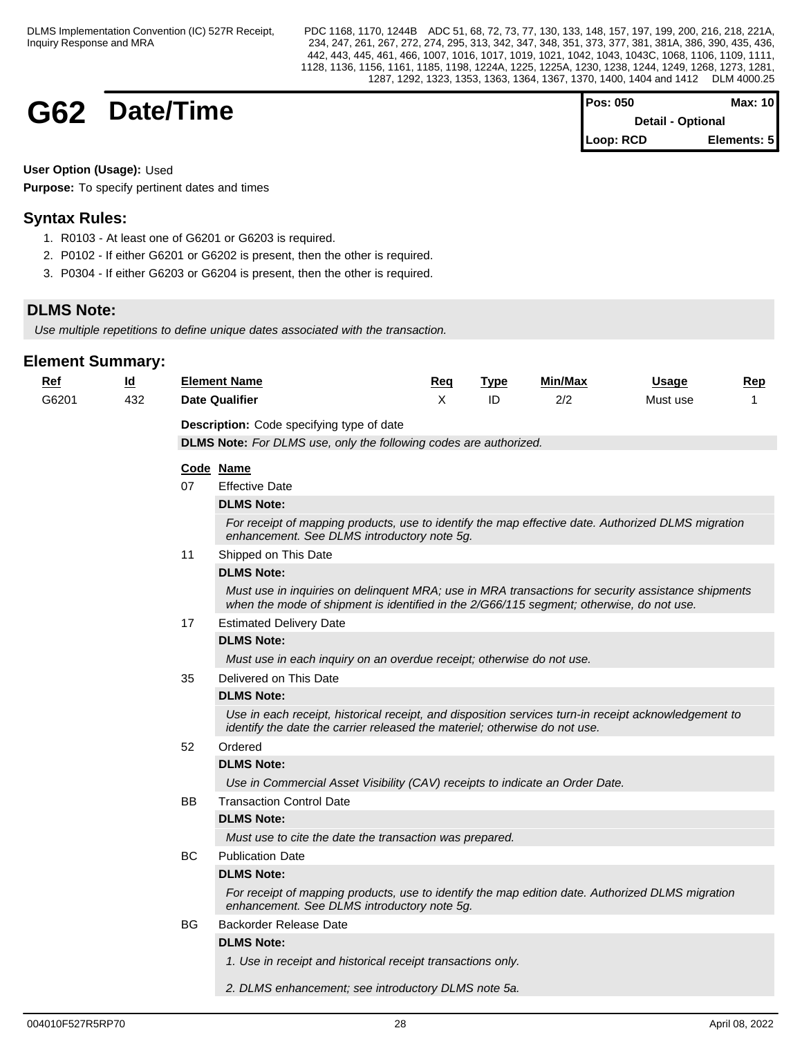## **G62 Date/Time**

| $Pos: 050$               | <b>Max: 101</b> |  |
|--------------------------|-----------------|--|
| <b>Detail - Optional</b> |                 |  |
| Loop: RCD                | Elements: 5     |  |

**User Option (Usage):** Used

**Purpose:** To specify pertinent dates and times

## **Syntax Rules:**

- 1. R0103 At least one of G6201 or G6203 is required.
- 2. P0102 If either G6201 or G6202 is present, then the other is required.
- 3. P0304 If either G6203 or G6204 is present, then the other is required.

## **DLMS Note:**

*Use multiple repetitions to define unique dates associated with the transaction.*

| <u>Ref</u> | <u>ld</u> |     | <b>Element Name</b>                                                                                                                                                                            | <u>Req</u> | <b>Type</b> | Min/Max | Usage    | Rep |
|------------|-----------|-----|------------------------------------------------------------------------------------------------------------------------------------------------------------------------------------------------|------------|-------------|---------|----------|-----|
| G6201      | 432       |     | <b>Date Qualifier</b>                                                                                                                                                                          | X          | ID          | 2/2     | Must use | 1   |
|            |           |     | Description: Code specifying type of date                                                                                                                                                      |            |             |         |          |     |
|            |           |     | <b>DLMS Note:</b> For DLMS use, only the following codes are authorized.                                                                                                                       |            |             |         |          |     |
|            |           |     | Code Name                                                                                                                                                                                      |            |             |         |          |     |
|            |           | 07  | <b>Effective Date</b>                                                                                                                                                                          |            |             |         |          |     |
|            |           |     | <b>DLMS Note:</b>                                                                                                                                                                              |            |             |         |          |     |
|            |           |     | For receipt of mapping products, use to identify the map effective date. Authorized DLMS migration<br>enhancement. See DLMS introductory note 5g.                                              |            |             |         |          |     |
|            |           | 11  | Shipped on This Date                                                                                                                                                                           |            |             |         |          |     |
|            |           |     | <b>DLMS Note:</b>                                                                                                                                                                              |            |             |         |          |     |
|            |           |     | Must use in inquiries on delinquent MRA; use in MRA transactions for security assistance shipments<br>when the mode of shipment is identified in the 2/G66/115 segment; otherwise, do not use. |            |             |         |          |     |
|            |           | 17  | <b>Estimated Delivery Date</b>                                                                                                                                                                 |            |             |         |          |     |
|            |           |     | <b>DLMS Note:</b>                                                                                                                                                                              |            |             |         |          |     |
|            |           |     | Must use in each inquiry on an overdue receipt; otherwise do not use.                                                                                                                          |            |             |         |          |     |
|            |           | 35  | Delivered on This Date                                                                                                                                                                         |            |             |         |          |     |
|            |           |     | <b>DLMS Note:</b>                                                                                                                                                                              |            |             |         |          |     |
|            |           |     | Use in each receipt, historical receipt, and disposition services turn-in receipt acknowledgement to<br>identify the date the carrier released the materiel; otherwise do not use.             |            |             |         |          |     |
|            |           | 52  | Ordered                                                                                                                                                                                        |            |             |         |          |     |
|            |           |     | <b>DLMS Note:</b>                                                                                                                                                                              |            |             |         |          |     |
|            |           |     | Use in Commercial Asset Visibility (CAV) receipts to indicate an Order Date.                                                                                                                   |            |             |         |          |     |
|            |           | BB  | <b>Transaction Control Date</b>                                                                                                                                                                |            |             |         |          |     |
|            |           |     | <b>DLMS Note:</b>                                                                                                                                                                              |            |             |         |          |     |
|            |           |     | Must use to cite the date the transaction was prepared.                                                                                                                                        |            |             |         |          |     |
|            |           | BC. | <b>Publication Date</b>                                                                                                                                                                        |            |             |         |          |     |
|            |           |     | <b>DLMS Note:</b>                                                                                                                                                                              |            |             |         |          |     |
|            |           |     | For receipt of mapping products, use to identify the map edition date. Authorized DLMS migration<br>enhancement. See DLMS introductory note 5g.                                                |            |             |         |          |     |
|            |           | BG. | Backorder Release Date                                                                                                                                                                         |            |             |         |          |     |
|            |           |     | <b>DLMS Note:</b>                                                                                                                                                                              |            |             |         |          |     |
|            |           |     | 1. Use in receipt and historical receipt transactions only.                                                                                                                                    |            |             |         |          |     |
|            |           |     | 2. DLMS enhancement; see introductory DLMS note 5a.                                                                                                                                            |            |             |         |          |     |
|            |           |     |                                                                                                                                                                                                |            |             |         |          |     |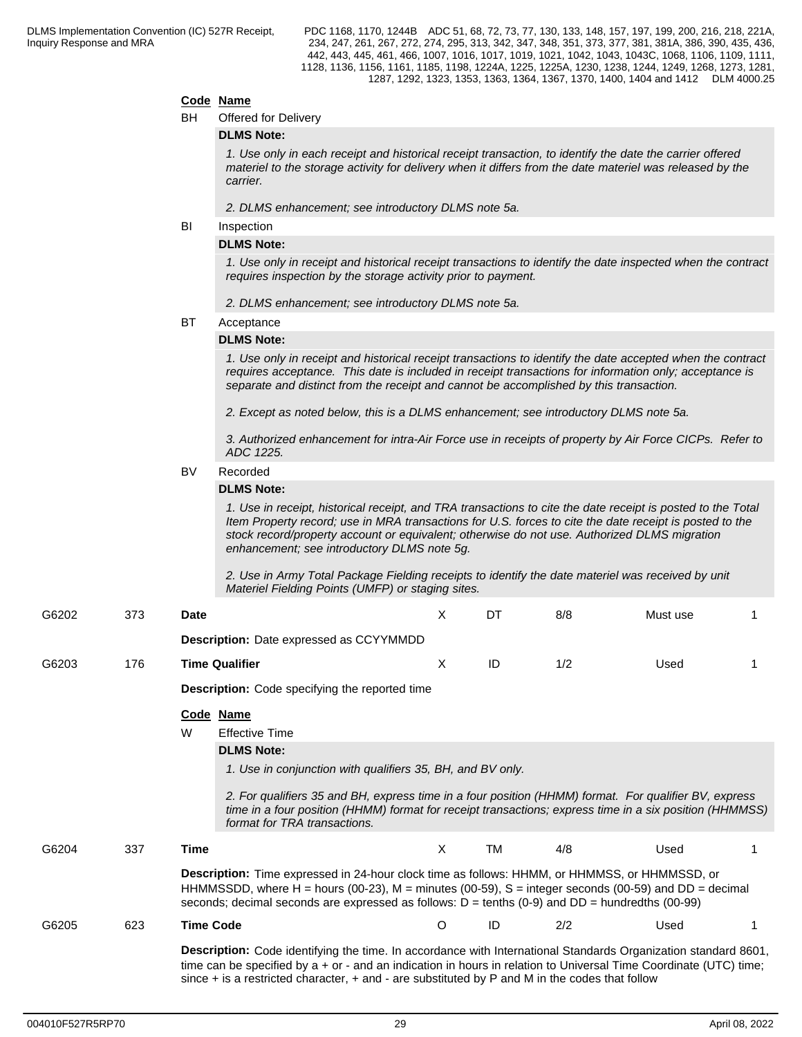#### **Code Name**

| BН | Offered for Delivery |  |
|----|----------------------|--|
|    |                      |  |

#### **DLMS Note:**

*1. Use only in each receipt and historical receipt transaction, to identify the date the carrier offered materiel to the storage activity for delivery when it differs from the date materiel was released by the carrier.*

*2. DLMS enhancement; see introductory DLMS note 5a.*

#### **BI** Inspection

#### **DLMS Note:**

*1. Use only in receipt and historical receipt transactions to identify the date inspected when the contract requires inspection by the storage activity prior to payment.*

*2. DLMS enhancement; see introductory DLMS note 5a.*

#### BT Acceptance

#### **DLMS Note:**

*1. Use only in receipt and historical receipt transactions to identify the date accepted when the contract requires acceptance. This date is included in receipt transactions for information only; acceptance is separate and distinct from the receipt and cannot be accomplished by this transaction.* 

*2. Except as noted below, this is a DLMS enhancement; see introductory DLMS note 5a.*

*3. Authorized enhancement for intra-Air Force use in receipts of property by Air Force CICPs. Refer to ADC 1225.*

## BV Recorded

## **DLMS Note:**

*1. Use in receipt, historical receipt, and TRA transactions to cite the date receipt is posted to the Total Item Property record; use in MRA transactions for U.S. forces to cite the date receipt is posted to the stock record/property account or equivalent; otherwise do not use. Authorized DLMS migration enhancement; see introductory DLMS note 5g.* 

*2. Use in Army Total Package Fielding receipts to identify the date materiel was received by unit Materiel Fielding Points (UMFP) or staging sites.*

| G6202 | 373 | Date             |                                                                                                                                                                                                                                                                                                                                                                             | X       | DT        | 8/8 | Must use |  |
|-------|-----|------------------|-----------------------------------------------------------------------------------------------------------------------------------------------------------------------------------------------------------------------------------------------------------------------------------------------------------------------------------------------------------------------------|---------|-----------|-----|----------|--|
|       |     |                  | <b>Description:</b> Date expressed as CCYYMMDD                                                                                                                                                                                                                                                                                                                              |         |           |     |          |  |
| G6203 | 176 |                  | <b>Time Qualifier</b>                                                                                                                                                                                                                                                                                                                                                       | X       | ID        | 1/2 | Used     |  |
|       |     |                  | <b>Description:</b> Code specifying the reported time                                                                                                                                                                                                                                                                                                                       |         |           |     |          |  |
|       |     | Code<br>W        | <u>Name</u><br><b>Effective Time</b><br><b>DLMS Note:</b><br>1. Use in conjunction with qualifiers 35, BH, and BV only.<br>2. For qualifiers 35 and BH, express time in a four position (HHMM) format. For qualifier BV, express<br>time in a four position (HHMM) format for receipt transactions; express time in a six position (HHMMSS)<br>format for TRA transactions. |         |           |     |          |  |
| G6204 | 337 | Time             | Description: Time expressed in 24-hour clock time as follows: HHMM, or HHMMSS, or HHMMSSD, or<br>HHMMSSDD, where H = hours (00-23), M = minutes (00-59), S = integer seconds (00-59) and DD = decimal<br>seconds; decimal seconds are expressed as follows: $D = \text{tenths} (0.9)$ and $DD = \text{hundredths} (00-99)$                                                  | X       | <b>TM</b> | 4/8 | Used     |  |
| G6205 | 623 | <b>Time Code</b> | Description: Code identifying the time. In accordance with International Standards Organization standard 8601,<br>time can be specified by a + or - and an indication in hours in relation to Universal Time Coordinate (UTC) time;<br>since $+$ is a restricted character, $+$ and $-$ are substituted by P and M in the codes that follow                                 | $\circ$ | ID        | 2/2 | Used     |  |
|       |     |                  |                                                                                                                                                                                                                                                                                                                                                                             |         |           |     |          |  |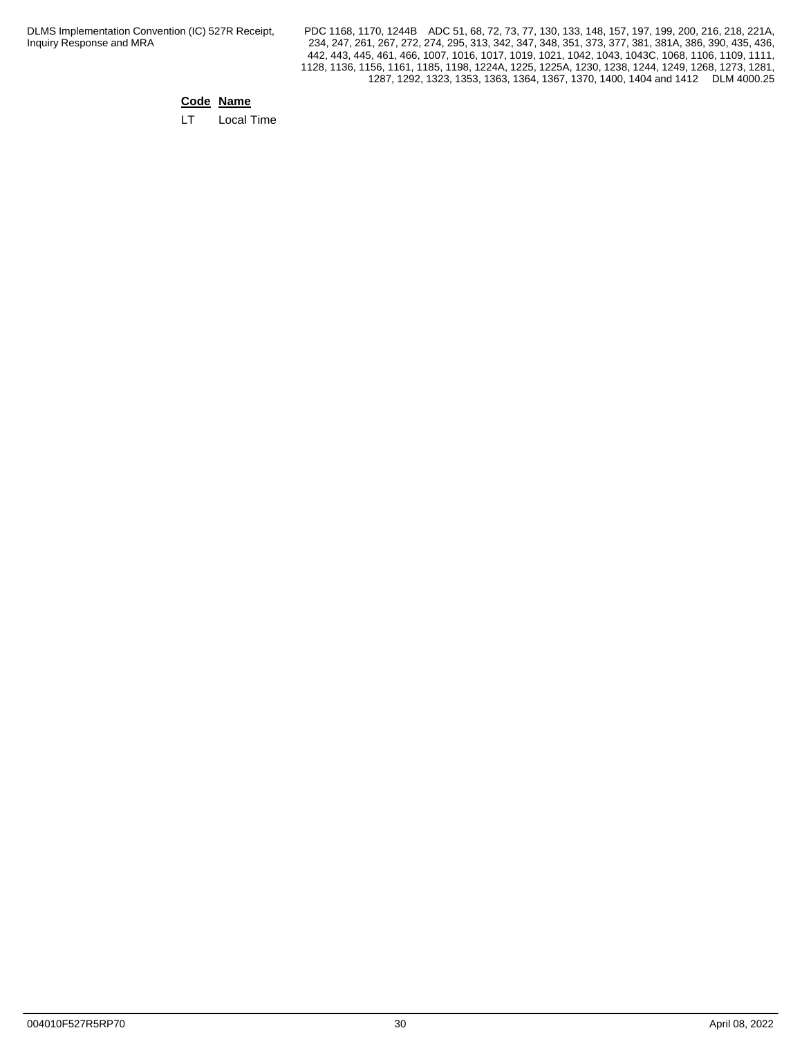PDC 1168, 1170, 1244B ADC 51, 68, 72, 73, 77, 130, 133, 148, 157, 197, 199, 200, 216, 218, 221A, 234, 247, 261, 267, 272, 274, 295, 313, 342, 347, 348, 351, 373, 377, 381, 381A, 386, 390, 435, 436, 442, 443, 445, 461, 466, 1007, 1016, 1017, 1019, 1021, 1042, 1043, 1043C, 1068, 1106, 1109, 1111, 1128, 1136, 1156, 1161, 1185, 1198, 1224A, 1225, 1225A, 1230, 1238, 1244, 1249, 1268, 1273, 1281, 1287, 1292, 1323, 1353, 1363, 1364, 1367, 1370, 1400, 1404 and 1412 DLM 4000.25

## **Code Name**

LT Local Time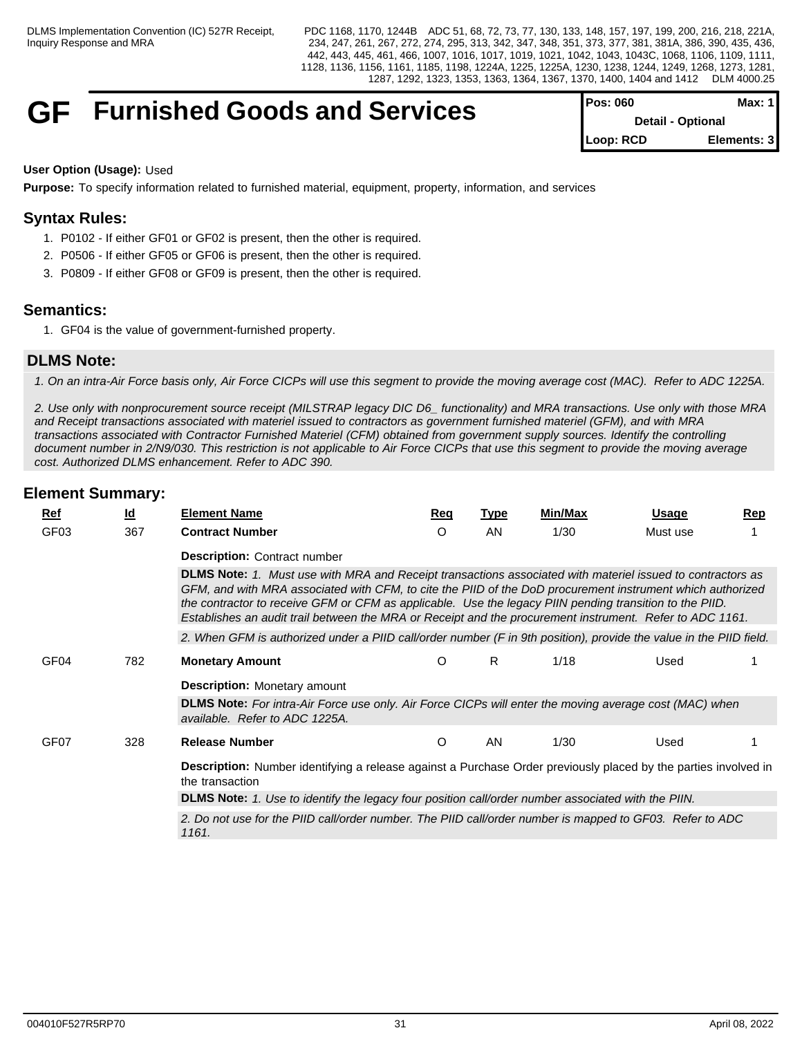## **GF** Furnished Goods and Services

| <b>IPOS: 060</b>         | Max: 1 I    |
|--------------------------|-------------|
| <b>Detail - Optional</b> |             |
| Loop: RCD                | Elements: 3 |

### **User Option (Usage):** Used

**Purpose:** To specify information related to furnished material, equipment, property, information, and services

## **Syntax Rules:**

- 1. P0102 If either GF01 or GF02 is present, then the other is required.
- 2. P0506 If either GF05 or GF06 is present, then the other is required.
- 3. P0809 If either GF08 or GF09 is present, then the other is required.

## **Semantics:**

1. GF04 is the value of government-furnished property.

## **DLMS Note:**

*1. On an intra-Air Force basis only, Air Force CICPs will use this segment to provide the moving average cost (MAC). Refer to ADC 1225A.*

*2. Use only with nonprocurement source receipt (MILSTRAP legacy DIC D6\_ functionality) and MRA transactions. Use only with those MRA and Receipt transactions associated with materiel issued to contractors as government furnished materiel (GFM), and with MRA transactions associated with Contractor Furnished Materiel (CFM) obtained from government supply sources. Identify the controlling document number in 2/N9/030. This restriction is not applicable to Air Force CICPs that use this segment to provide the moving average cost. Authorized DLMS enhancement. Refer to ADC 390.*

|                  |                                                                                                                   | <b>Element Name</b>                                                                                                                                                                                                                                                                                                                                                                                                                             |            |             | Min/Max |              |            |  |  |  |  |
|------------------|-------------------------------------------------------------------------------------------------------------------|-------------------------------------------------------------------------------------------------------------------------------------------------------------------------------------------------------------------------------------------------------------------------------------------------------------------------------------------------------------------------------------------------------------------------------------------------|------------|-------------|---------|--------------|------------|--|--|--|--|
| <u>Ref</u>       | $\underline{\mathsf{Id}}$                                                                                         |                                                                                                                                                                                                                                                                                                                                                                                                                                                 | <u>Req</u> | <b>Type</b> |         | <u>Usage</u> | <u>Rep</u> |  |  |  |  |
| GF <sub>03</sub> | 367                                                                                                               | <b>Contract Number</b>                                                                                                                                                                                                                                                                                                                                                                                                                          | O          | AN          | 1/30    | Must use     |            |  |  |  |  |
|                  |                                                                                                                   | <b>Description: Contract number</b>                                                                                                                                                                                                                                                                                                                                                                                                             |            |             |         |              |            |  |  |  |  |
|                  |                                                                                                                   | DLMS Note: 1. Must use with MRA and Receipt transactions associated with materiel issued to contractors as<br>GFM, and with MRA associated with CFM, to cite the PIID of the DoD procurement instrument which authorized<br>the contractor to receive GFM or CFM as applicable. Use the legacy PIIN pending transition to the PIID.<br>Establishes an audit trail between the MRA or Receipt and the procurement instrument. Refer to ADC 1161. |            |             |         |              |            |  |  |  |  |
|                  |                                                                                                                   | 2. When GFM is authorized under a PIID call/order number (F in 9th position), provide the value in the PIID field.                                                                                                                                                                                                                                                                                                                              |            |             |         |              |            |  |  |  |  |
| GF <sub>04</sub> | 782                                                                                                               | <b>Monetary Amount</b>                                                                                                                                                                                                                                                                                                                                                                                                                          | O          | R           | 1/18    | Used         |            |  |  |  |  |
|                  |                                                                                                                   | <b>Description:</b> Monetary amount                                                                                                                                                                                                                                                                                                                                                                                                             |            |             |         |              |            |  |  |  |  |
|                  |                                                                                                                   | DLMS Note: For intra-Air Force use only. Air Force CICPs will enter the moving average cost (MAC) when<br>available. Refer to ADC 1225A.                                                                                                                                                                                                                                                                                                        |            |             |         |              |            |  |  |  |  |
| GF <sub>07</sub> | 328                                                                                                               | <b>Release Number</b>                                                                                                                                                                                                                                                                                                                                                                                                                           | O          | AN          | 1/30    | Used         |            |  |  |  |  |
|                  |                                                                                                                   | Description: Number identifying a release against a Purchase Order previously placed by the parties involved in<br>the transaction                                                                                                                                                                                                                                                                                                              |            |             |         |              |            |  |  |  |  |
|                  |                                                                                                                   | DLMS Note: 1. Use to identify the legacy four position call/order number associated with the PIIN.                                                                                                                                                                                                                                                                                                                                              |            |             |         |              |            |  |  |  |  |
|                  | 2. Do not use for the PIID call/order number. The PIID call/order number is mapped to GF03. Refer to ADC<br>1161. |                                                                                                                                                                                                                                                                                                                                                                                                                                                 |            |             |         |              |            |  |  |  |  |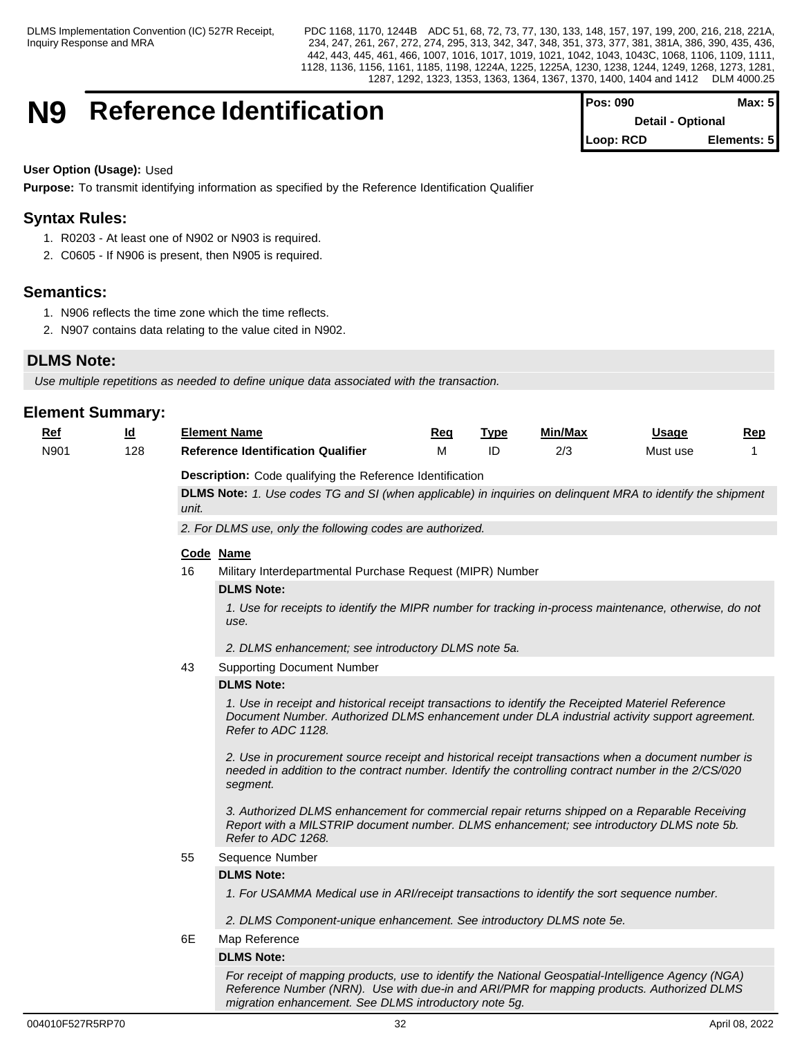## **N9** Reference Identification

| IPos: 090                | Max: 51     |  |
|--------------------------|-------------|--|
| <b>Detail - Optional</b> |             |  |
| Loop: RCD                | Elements: 5 |  |

### **User Option (Usage):** Used

**Purpose:** To transmit identifying information as specified by the Reference Identification Qualifier

## **Syntax Rules:**

- 1. R0203 At least one of N902 or N903 is required.
- 2. C0605 If N906 is present, then N905 is required.

## **Semantics:**

- 1. N906 reflects the time zone which the time reflects.
- 2. N907 contains data relating to the value cited in N902.

## **DLMS Note:**

*Use multiple repetitions as needed to define unique data associated with the transaction.*

## **Element Summary:**

| Ref  | $\underline{\mathsf{Id}}$ |                                                           | <b>Element Name</b>                                                                                                                                                                                                       | <u>Req</u> | <b>Type</b> | Min/Max | <b>Usage</b> | Rep |  |  |  |  |
|------|---------------------------|-----------------------------------------------------------|---------------------------------------------------------------------------------------------------------------------------------------------------------------------------------------------------------------------------|------------|-------------|---------|--------------|-----|--|--|--|--|
| N901 | 128                       |                                                           | <b>Reference Identification Qualifier</b>                                                                                                                                                                                 | M          | ID          | 2/3     | Must use     |     |  |  |  |  |
|      |                           | Description: Code qualifying the Reference Identification |                                                                                                                                                                                                                           |            |             |         |              |     |  |  |  |  |
|      |                           |                                                           | <b>DLMS Note:</b> 1. Use codes TG and SI (when applicable) in inquiries on delinguent MRA to identify the shipment                                                                                                        |            |             |         |              |     |  |  |  |  |
|      |                           | unit.                                                     |                                                                                                                                                                                                                           |            |             |         |              |     |  |  |  |  |
|      |                           | 2. For DLMS use, only the following codes are authorized. |                                                                                                                                                                                                                           |            |             |         |              |     |  |  |  |  |
|      |                           |                                                           | Code Name                                                                                                                                                                                                                 |            |             |         |              |     |  |  |  |  |
|      |                           | 16                                                        | Military Interdepartmental Purchase Request (MIPR) Number                                                                                                                                                                 |            |             |         |              |     |  |  |  |  |
|      |                           |                                                           | <b>DLMS Note:</b>                                                                                                                                                                                                         |            |             |         |              |     |  |  |  |  |
|      |                           |                                                           | 1. Use for receipts to identify the MIPR number for tracking in-process maintenance, otherwise, do not<br>use.                                                                                                            |            |             |         |              |     |  |  |  |  |
|      |                           |                                                           | 2. DLMS enhancement; see introductory DLMS note 5a.                                                                                                                                                                       |            |             |         |              |     |  |  |  |  |
|      |                           | 43                                                        | <b>Supporting Document Number</b>                                                                                                                                                                                         |            |             |         |              |     |  |  |  |  |
|      |                           |                                                           | <b>DLMS Note:</b>                                                                                                                                                                                                         |            |             |         |              |     |  |  |  |  |
|      |                           |                                                           | 1. Use in receipt and historical receipt transactions to identify the Receipted Materiel Reference<br>Document Number. Authorized DLMS enhancement under DLA industrial activity support agreement.<br>Refer to ADC 1128. |            |             |         |              |     |  |  |  |  |
|      |                           |                                                           | 2. Use in procurement source receipt and historical receipt transactions when a document number is<br>needed in addition to the contract number. Identify the controlling contract number in the 2/CS/020<br>segment.     |            |             |         |              |     |  |  |  |  |
|      |                           |                                                           | 3. Authorized DLMS enhancement for commercial repair returns shipped on a Reparable Receiving<br>Report with a MILSTRIP document number. DLMS enhancement; see introductory DLMS note 5b.<br>Refer to ADC 1268.           |            |             |         |              |     |  |  |  |  |
|      |                           | 55                                                        | Sequence Number                                                                                                                                                                                                           |            |             |         |              |     |  |  |  |  |
|      |                           |                                                           | <b>DLMS Note:</b>                                                                                                                                                                                                         |            |             |         |              |     |  |  |  |  |
|      |                           |                                                           | 1. For USAMMA Medical use in ARI/receipt transactions to identify the sort sequence number.                                                                                                                               |            |             |         |              |     |  |  |  |  |
|      |                           |                                                           | 2. DLMS Component-unique enhancement. See introductory DLMS note 5e.                                                                                                                                                      |            |             |         |              |     |  |  |  |  |
|      |                           | 6E                                                        | Map Reference                                                                                                                                                                                                             |            |             |         |              |     |  |  |  |  |
|      |                           |                                                           | <b>DLMS Note:</b>                                                                                                                                                                                                         |            |             |         |              |     |  |  |  |  |
|      |                           |                                                           | For receipt of mapping products, use to identify the National Geospatial-Intelligence Agency (NGA)<br>Reference Number (NRN). Use with due-in and ARI/PMR for mapping products. Authorized DLMS                           |            |             |         |              |     |  |  |  |  |

*migration enhancement. See DLMS introductory note 5g.*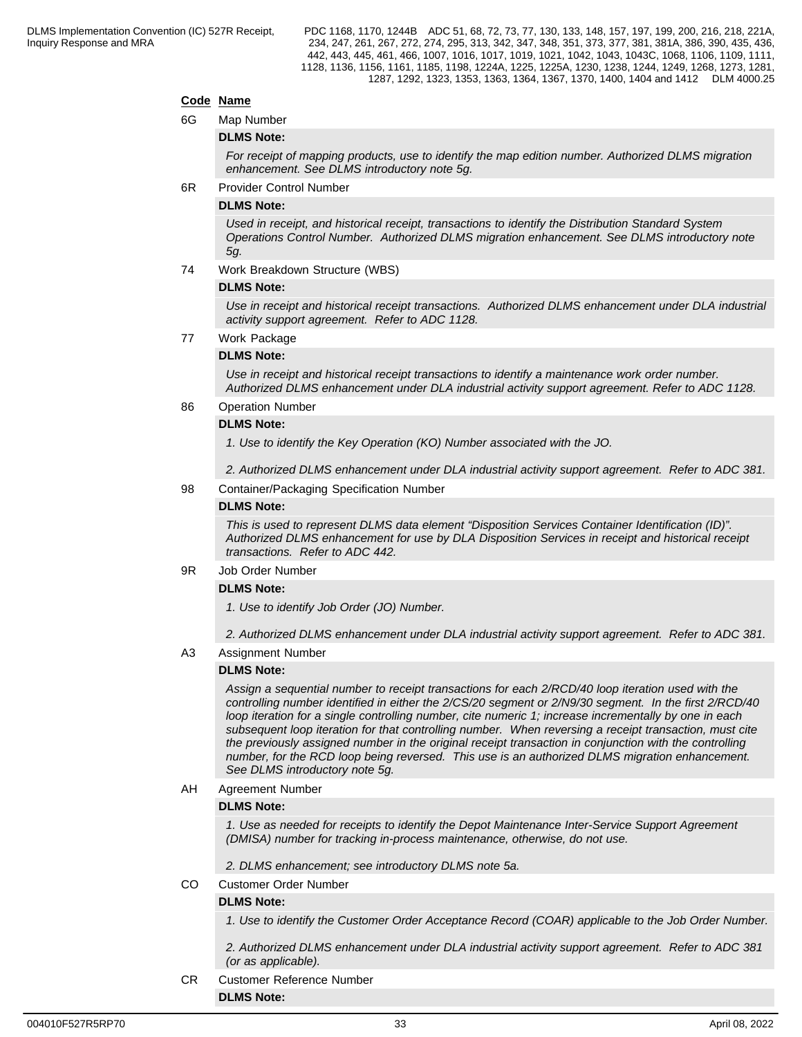## **Code Name**

6G Map Number

#### **DLMS Note:**

*For receipt of mapping products, use to identify the map edition number. Authorized DLMS migration enhancement. See DLMS introductory note 5g.*

6R Provider Control Number

#### **DLMS Note:**

*Used in receipt, and historical receipt, transactions to identify the Distribution Standard System Operations Control Number. Authorized DLMS migration enhancement. See DLMS introductory note 5g.*

74 Work Breakdown Structure (WBS)

#### **DLMS Note:**

*Use in receipt and historical receipt transactions. Authorized DLMS enhancement under DLA industrial activity support agreement. Refer to ADC 1128.*

77 Work Package

#### **DLMS Note:**

*Use in receipt and historical receipt transactions to identify a maintenance work order number. Authorized DLMS enhancement under DLA industrial activity support agreement. Refer to ADC 1128.*

#### 86 Operation Number

#### **DLMS Note:**

*1. Use to identify the Key Operation (KO) Number associated with the JO.* 

*2. Authorized DLMS enhancement under DLA industrial activity support agreement. Refer to ADC 381.*

98 Container/Packaging Specification Number

#### **DLMS Note:**

*This is used to represent DLMS data element "Disposition Services Container Identification (ID)". Authorized DLMS enhancement for use by DLA Disposition Services in receipt and historical receipt transactions. Refer to ADC 442.*

#### 9R Job Order Number

#### **DLMS Note:**

*1. Use to identify Job Order (JO) Number.* 

*2. Authorized DLMS enhancement under DLA industrial activity support agreement. Refer to ADC 381.*

A3 Assignment Number

#### **DLMS Note:**

*Assign a sequential number to receipt transactions for each 2/RCD/40 loop iteration used with the controlling number identified in either the 2/CS/20 segment or 2/N9/30 segment. In the first 2/RCD/40 loop iteration for a single controlling number, cite numeric 1; increase incrementally by one in each subsequent loop iteration for that controlling number. When reversing a receipt transaction, must cite the previously assigned number in the original receipt transaction in conjunction with the controlling number, for the RCD loop being reversed. This use is an authorized DLMS migration enhancement. See DLMS introductory note 5g.*

#### AH Agreement Number

#### **DLMS Note:**

*1. Use as needed for receipts to identify the Depot Maintenance Inter-Service Support Agreement (DMISA) number for tracking in-process maintenance, otherwise, do not use.*

*2. DLMS enhancement; see introductory DLMS note 5a.*

CO Customer Order Number

#### **DLMS Note:**

**DLMS Note:**

*1. Use to identify the Customer Order Acceptance Record (COAR) applicable to the Job Order Number.*

*2. Authorized DLMS enhancement under DLA industrial activity support agreement. Refer to ADC 381 (or as applicable).*

CR Customer Reference Number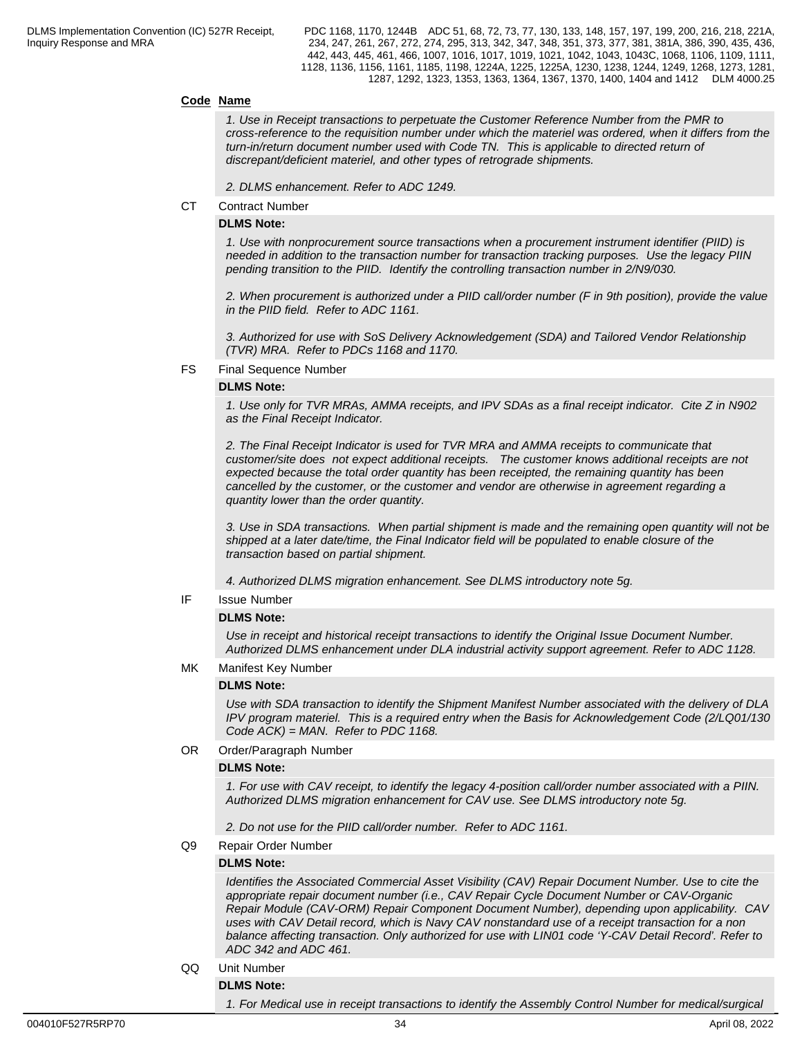#### **Code Name**

*1. Use in Receipt transactions to perpetuate the Customer Reference Number from the PMR to cross-reference to the requisition number under which the materiel was ordered, when it differs from the turn-in/return document number used with Code TN. This is applicable to directed return of discrepant/deficient materiel, and other types of retrograde shipments.*

*2. DLMS enhancement. Refer to ADC 1249.*

CT Contract Number

#### **DLMS Note:**

*1. Use with nonprocurement source transactions when a procurement instrument identifier (PIID) is needed in addition to the transaction number for transaction tracking purposes. Use the legacy PIIN pending transition to the PIID. Identify the controlling transaction number in 2/N9/030.*

*2. When procurement is authorized under a PIID call/order number (F in 9th position), provide the value in the PIID field. Refer to ADC 1161.*

*3. Authorized for use with SoS Delivery Acknowledgement (SDA) and Tailored Vendor Relationship (TVR) MRA. Refer to PDCs 1168 and 1170.*

FS Final Sequence Number

#### **DLMS Note:**

*1. Use only for TVR MRAs, AMMA receipts, and IPV SDAs as a final receipt indicator. Cite Z in N902 as the Final Receipt Indicator.*

*2. The Final Receipt Indicator is used for TVR MRA and AMMA receipts to communicate that customer/site does not expect additional receipts. The customer knows additional receipts are not expected because the total order quantity has been receipted, the remaining quantity has been cancelled by the customer, or the customer and vendor are otherwise in agreement regarding a quantity lower than the order quantity.*

 *3. Use in SDA transactions. When partial shipment is made and the remaining open quantity will not be shipped at a later date/time, the Final Indicator field will be populated to enable closure of the transaction based on partial shipment.* 

*4. Authorized DLMS migration enhancement. See DLMS introductory note 5g.*

IF Issue Number

#### **DLMS Note:**

*Use in receipt and historical receipt transactions to identify the Original Issue Document Number. Authorized DLMS enhancement under DLA industrial activity support agreement. Refer to ADC 1128.*

MK Manifest Key Number

#### **DLMS Note:**

*Use with SDA transaction to identify the Shipment Manifest Number associated with the delivery of DLA IPV program materiel. This is a required entry when the Basis for Acknowledgement Code (2/LQ01/130 Code ACK) = MAN. Refer to PDC 1168.*

OR Order/Paragraph Number

#### **DLMS Note:**

*1. For use with CAV receipt, to identify the legacy 4-position call/order number associated with a PIIN. Authorized DLMS migration enhancement for CAV use. See DLMS introductory note 5g.*

*2. Do not use for the PIID call/order number. Refer to ADC 1161.*

#### Q9 Repair Order Number

#### **DLMS Note:**

*Identifies the Associated Commercial Asset Visibility (CAV) Repair Document Number. Use to cite the appropriate repair document number (i.e., CAV Repair Cycle Document Number or CAV-Organic Repair Module (CAV-ORM) Repair Component Document Number), depending upon applicability. CAV uses with CAV Detail record, which is Navy CAV nonstandard use of a receipt transaction for a non balance affecting transaction. Only authorized for use with LIN01 code 'Y-CAV Detail Record'. Refer to ADC 342 and ADC 461.*

QQ Unit Number

#### **DLMS Note:**

*1. For Medical use in receipt transactions to identify the Assembly Control Number for medical/surgical*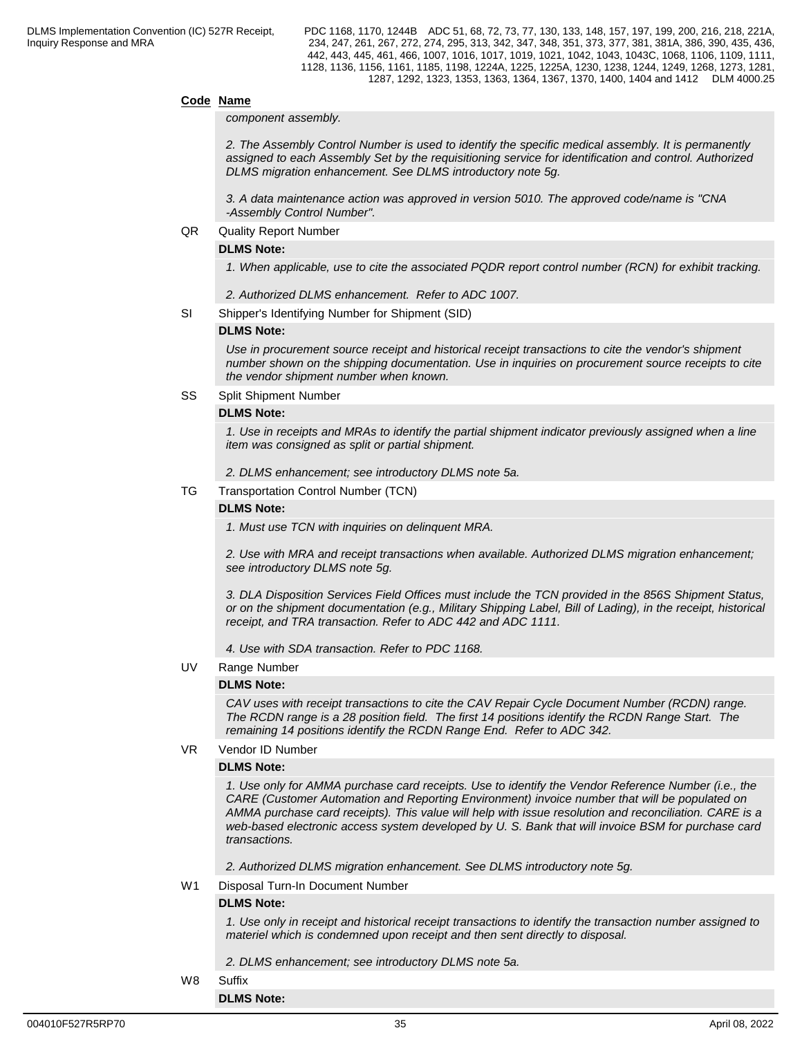#### **Code Name**

*component assembly.*

*2. The Assembly Control Number is used to identify the specific medical assembly. It is permanently assigned to each Assembly Set by the requisitioning service for identification and control. Authorized DLMS migration enhancement. See DLMS introductory note 5g.*

*3. A data maintenance action was approved in version 5010. The approved code/name is "CNA -Assembly Control Number".*

#### QR Quality Report Number

#### **DLMS Note:**

*1. When applicable, use to cite the associated PQDR report control number (RCN) for exhibit tracking.*

- *2. Authorized DLMS enhancement. Refer to ADC 1007.*
- SI Shipper's Identifying Number for Shipment (SID)

#### **DLMS Note:**

*Use in procurement source receipt and historical receipt transactions to cite the vendor's shipment number shown on the shipping documentation. Use in inquiries on procurement source receipts to cite the vendor shipment number when known.*

#### SS Split Shipment Number

#### **DLMS Note:**

*1. Use in receipts and MRAs to identify the partial shipment indicator previously assigned when a line item was consigned as split or partial shipment.*

*2. DLMS enhancement; see introductory DLMS note 5a.*

TG Transportation Control Number (TCN)

#### **DLMS Note:**

*1. Must use TCN with inquiries on delinquent MRA.*

*2. Use with MRA and receipt transactions when available. Authorized DLMS migration enhancement; see introductory DLMS note 5g.*

*3. DLA Disposition Services Field Offices must include the TCN provided in the 856S Shipment Status, or on the shipment documentation (e.g., Military Shipping Label, Bill of Lading), in the receipt, historical receipt, and TRA transaction. Refer to ADC 442 and ADC 1111.*

*4. Use with SDA transaction. Refer to PDC 1168.*

#### UV Range Number

#### **DLMS Note:**

*CAV uses with receipt transactions to cite the CAV Repair Cycle Document Number (RCDN) range. The RCDN range is a 28 position field. The first 14 positions identify the RCDN Range Start. The remaining 14 positions identify the RCDN Range End. Refer to ADC 342.*

VR Vendor ID Number

#### **DLMS Note:**

*1. Use only for AMMA purchase card receipts. Use to identify the Vendor Reference Number (i.e., the CARE (Customer Automation and Reporting Environment) invoice number that will be populated on AMMA purchase card receipts). This value will help with issue resolution and reconciliation. CARE is a web-based electronic access system developed by U. S. Bank that will invoice BSM for purchase card transactions.*

*2. Authorized DLMS migration enhancement. See DLMS introductory note 5g.*

W1 Disposal Turn-In Document Number

#### **DLMS Note:**

*1. Use only in receipt and historical receipt transactions to identify the transaction number assigned to materiel which is condemned upon receipt and then sent directly to disposal.*

#### *2. DLMS enhancement; see introductory DLMS note 5a.*

W8 Suffix

**DLMS Note:**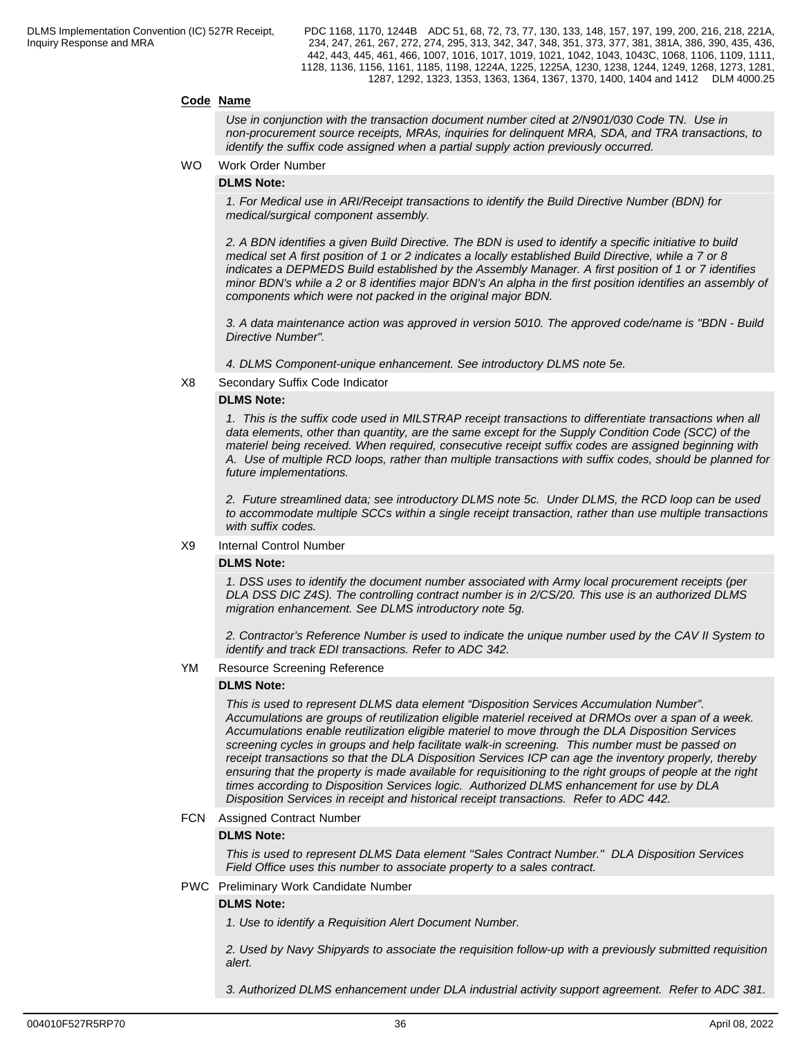#### **Code Name**

*Use in conjunction with the transaction document number cited at 2/N901/030 Code TN. Use in non-procurement source receipts, MRAs, inquiries for delinquent MRA, SDA, and TRA transactions, to identify the suffix code assigned when a partial supply action previously occurred.*

WO Work Order Number

#### **DLMS Note:**

*1. For Medical use in ARI/Receipt transactions to identify the Build Directive Number (BDN) for medical/surgical component assembly.*

*2. A BDN identifies a given Build Directive. The BDN is used to identify a specific initiative to build medical set A first position of 1 or 2 indicates a locally established Build Directive, while a 7 or 8 indicates a DEPMEDS Build established by the Assembly Manager. A first position of 1 or 7 identifies minor BDN's while a 2 or 8 identifies major BDN's An alpha in the first position identifies an assembly of components which were not packed in the original major BDN.*

*3. A data maintenance action was approved in version 5010. The approved code/name is "BDN - Build Directive Number".*

- *4. DLMS Component-unique enhancement. See introductory DLMS note 5e.*
- X8 Secondary Suffix Code Indicator

#### **DLMS Note:**

*1. This is the suffix code used in MILSTRAP receipt transactions to differentiate transactions when all data elements, other than quantity, are the same except for the Supply Condition Code (SCC) of the materiel being received. When required, consecutive receipt suffix codes are assigned beginning with A. Use of multiple RCD loops, rather than multiple transactions with suffix codes, should be planned for future implementations.* 

*2. Future streamlined data; see introductory DLMS note 5c. Under DLMS, the RCD loop can be used to accommodate multiple SCCs within a single receipt transaction, rather than use multiple transactions with suffix codes.*

#### X9 Internal Control Number

#### **DLMS Note:**

*1. DSS uses to identify the document number associated with Army local procurement receipts (per DLA DSS DIC Z4S). The controlling contract number is in 2/CS/20. This use is an authorized DLMS migration enhancement. See DLMS introductory note 5g.*

*2. Contractor's Reference Number is used to indicate the unique number used by the CAV II System to identify and track EDI transactions. Refer to ADC 342.*

YM Resource Screening Reference

#### **DLMS Note:**

*This is used to represent DLMS data element "Disposition Services Accumulation Number". Accumulations are groups of reutilization eligible materiel received at DRMOs over a span of a week. Accumulations enable reutilization eligible materiel to move through the DLA Disposition Services screening cycles in groups and help facilitate walk-in screening. This number must be passed on receipt transactions so that the DLA Disposition Services ICP can age the inventory properly, thereby ensuring that the property is made available for requisitioning to the right groups of people at the right times according to Disposition Services logic. Authorized DLMS enhancement for use by DLA Disposition Services in receipt and historical receipt transactions. Refer to ADC 442.*

#### FCN Assigned Contract Number

#### **DLMS Note:**

*This is used to represent DLMS Data element ''Sales Contract Number.'' DLA Disposition Services Field Office uses this number to associate property to a sales contract.*

PWC Preliminary Work Candidate Number

#### **DLMS Note:**

*1. Use to identify a Requisition Alert Document Number.* 

*2. Used by Navy Shipyards to associate the requisition follow-up with a previously submitted requisition alert.* 

*3. Authorized DLMS enhancement under DLA industrial activity support agreement. Refer to ADC 381.*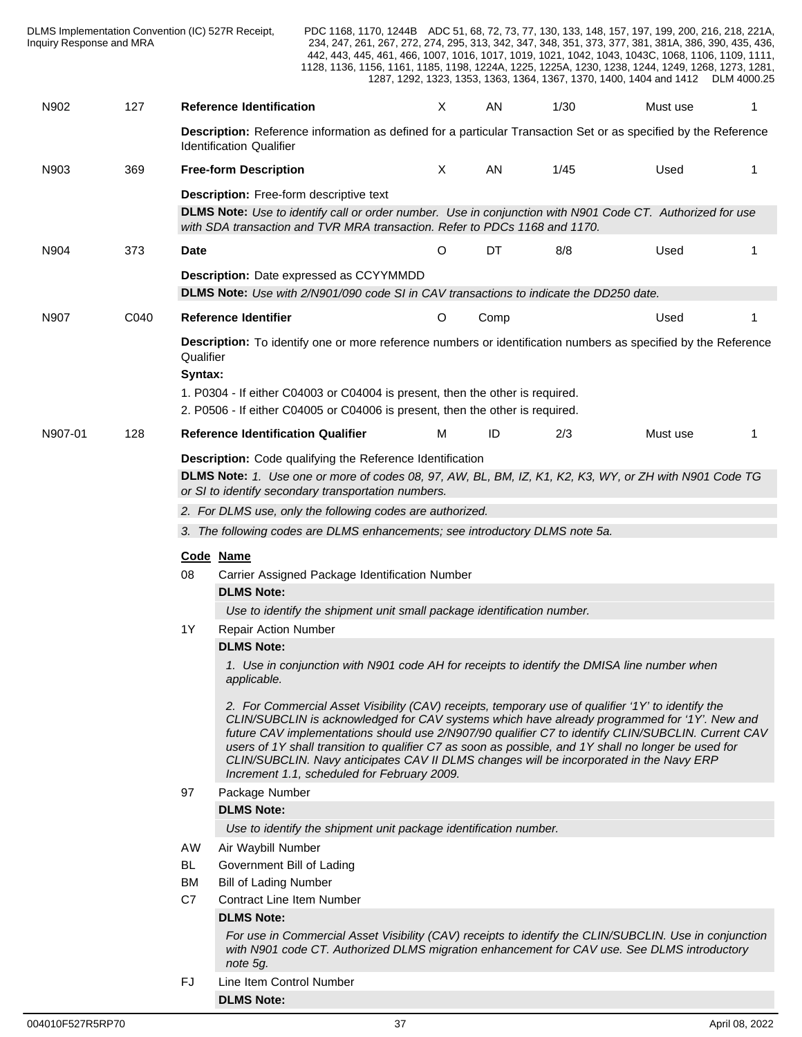|         | DLMS Implementation Convention (IC) 527R Receipt,<br>Inquiry Response and MRA |                            |                                                                                                                                                                                             |                                                                                                                                                                                                                                                                                                                                                                                                                                                                                          |          |      |      | PDC 1168, 1170, 1244B ADC 51, 68, 72, 73, 77, 130, 133, 148, 157, 197, 199, 200, 216, 218, 221A,<br>234, 247, 261, 267, 272, 274, 295, 313, 342, 347, 348, 351, 373, 377, 381, 381A, 386, 390, 435, 436,<br>442, 443, 445, 461, 466, 1007, 1016, 1017, 1019, 1021, 1042, 1043, 1043C, 1068, 1106, 1109, 1111,<br>1128, 1136, 1156, 1161, 1185, 1198, 1224A, 1225, 1225A, 1230, 1238, 1244, 1249, 1268, 1273, 1281,<br>1287, 1292, 1323, 1353, 1363, 1364, 1367, 1370, 1400, 1404 and 1412 DLM 4000.25                      |  |
|---------|-------------------------------------------------------------------------------|----------------------------|---------------------------------------------------------------------------------------------------------------------------------------------------------------------------------------------|------------------------------------------------------------------------------------------------------------------------------------------------------------------------------------------------------------------------------------------------------------------------------------------------------------------------------------------------------------------------------------------------------------------------------------------------------------------------------------------|----------|------|------|----------------------------------------------------------------------------------------------------------------------------------------------------------------------------------------------------------------------------------------------------------------------------------------------------------------------------------------------------------------------------------------------------------------------------------------------------------------------------------------------------------------------------|--|
| N902    | 127                                                                           |                            | <b>Reference Identification</b>                                                                                                                                                             |                                                                                                                                                                                                                                                                                                                                                                                                                                                                                          | $\times$ | AN   | 1/30 | Must use                                                                                                                                                                                                                                                                                                                                                                                                                                                                                                                   |  |
|         |                                                                               |                            | <b>Identification Qualifier</b>                                                                                                                                                             |                                                                                                                                                                                                                                                                                                                                                                                                                                                                                          |          |      |      | Description: Reference information as defined for a particular Transaction Set or as specified by the Reference                                                                                                                                                                                                                                                                                                                                                                                                            |  |
| N903    | 369                                                                           |                            | <b>Free-form Description</b>                                                                                                                                                                |                                                                                                                                                                                                                                                                                                                                                                                                                                                                                          | X        | AN   | 1/45 | Used                                                                                                                                                                                                                                                                                                                                                                                                                                                                                                                       |  |
|         |                                                                               |                            |                                                                                                                                                                                             | <b>Description:</b> Free-form descriptive text<br>with SDA transaction and TVR MRA transaction. Refer to PDCs 1168 and 1170.                                                                                                                                                                                                                                                                                                                                                             |          |      |      | <b>DLMS Note:</b> Use to identify call or order number. Use in conjunction with N901 Code CT. Authorized for use                                                                                                                                                                                                                                                                                                                                                                                                           |  |
| N904    | 373                                                                           | Date                       |                                                                                                                                                                                             |                                                                                                                                                                                                                                                                                                                                                                                                                                                                                          | O        | DT   | 8/8  | Used                                                                                                                                                                                                                                                                                                                                                                                                                                                                                                                       |  |
|         |                                                                               |                            |                                                                                                                                                                                             | <b>Description:</b> Date expressed as CCYYMMDD<br><b>DLMS Note:</b> Use with 2/N901/090 code SI in CAV transactions to indicate the DD250 date.                                                                                                                                                                                                                                                                                                                                          |          |      |      |                                                                                                                                                                                                                                                                                                                                                                                                                                                                                                                            |  |
| N907    | C040                                                                          |                            | <b>Reference Identifier</b>                                                                                                                                                                 |                                                                                                                                                                                                                                                                                                                                                                                                                                                                                          | O        | Comp |      | Used                                                                                                                                                                                                                                                                                                                                                                                                                                                                                                                       |  |
|         |                                                                               | Qualifier<br>Syntax:       |                                                                                                                                                                                             | 1. P0304 - If either C04003 or C04004 is present, then the other is required.<br>2. P0506 - If either C04005 or C04006 is present, then the other is required.                                                                                                                                                                                                                                                                                                                           |          |      |      | Description: To identify one or more reference numbers or identification numbers as specified by the Reference                                                                                                                                                                                                                                                                                                                                                                                                             |  |
| N907-01 | 128                                                                           |                            | <b>Reference Identification Qualifier</b>                                                                                                                                                   |                                                                                                                                                                                                                                                                                                                                                                                                                                                                                          | M        | ID   | 2/3  | Must use                                                                                                                                                                                                                                                                                                                                                                                                                                                                                                                   |  |
|         |                                                                               | Code Name<br>08<br>1Y      | <b>DLMS Note:</b><br><b>Repair Action Number</b><br><b>DLMS Note:</b><br>applicable.                                                                                                        | Description: Code qualifying the Reference Identification<br>or SI to identify secondary transportation numbers.<br>2. For DLMS use, only the following codes are authorized.<br>3. The following codes are DLMS enhancements; see introductory DLMS note 5a.<br>Carrier Assigned Package Identification Number<br>Use to identify the shipment unit small package identification number.<br>1. Use in conjunction with N901 code AH for receipts to identify the DMISA line number when |          |      |      | DLMS Note: 1. Use one or more of codes 08, 97, AW, BL, BM, IZ, K1, K2, K3, WY, or ZH with N901 Code TG<br>2. For Commercial Asset Visibility (CAV) receipts, temporary use of qualifier '1Y' to identify the<br>CLIN/SUBCLIN is acknowledged for CAV systems which have already programmed for '1Y'. New and<br>future CAV implementations should use 2/N907/90 qualifier C7 to identify CLIN/SUBCLIN. Current CAV<br>users of 1Y shall transition to qualifier C7 as soon as possible, and 1Y shall no longer be used for |  |
|         |                                                                               | 97<br>AW<br>BL<br>BM<br>C7 | Package Number<br><b>DLMS Note:</b><br>Air Waybill Number<br>Government Bill of Lading<br><b>Bill of Lading Number</b><br><b>Contract Line Item Number</b><br><b>DLMS Note:</b><br>note 5g. | CLIN/SUBCLIN. Navy anticipates CAV II DLMS changes will be incorporated in the Navy ERP<br>Increment 1.1, scheduled for February 2009.<br>Use to identify the shipment unit package identification number.                                                                                                                                                                                                                                                                               |          |      |      | For use in Commercial Asset Visibility (CAV) receipts to identify the CLIN/SUBCLIN. Use in conjunction<br>with N901 code CT. Authorized DLMS migration enhancement for CAV use. See DLMS introductory                                                                                                                                                                                                                                                                                                                      |  |
|         |                                                                               | <b>FJ</b>                  | Line Item Control Number<br><b>DLMS Note:</b>                                                                                                                                               |                                                                                                                                                                                                                                                                                                                                                                                                                                                                                          |          |      |      |                                                                                                                                                                                                                                                                                                                                                                                                                                                                                                                            |  |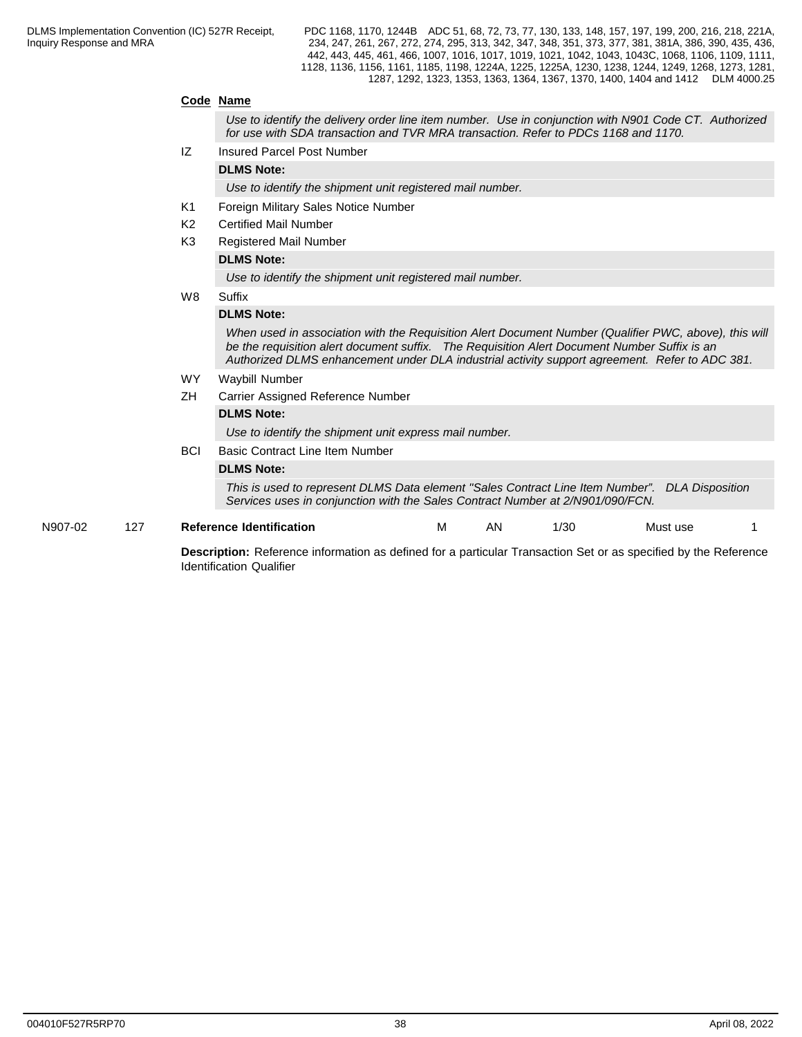### **Code Name**

*Use to identify the delivery order line item number. Use in conjunction with N901 Code CT. Authorized for use with SDA transaction and TVR MRA transaction. Refer to PDCs 1168 and 1170.*

IZ Insured Parcel Post Number

**DLMS Note:**

*Use to identify the shipment unit registered mail number.* 

- K1 Foreign Military Sales Notice Number
- K2 Certified Mail Number
- K3 Registered Mail Number

### **DLMS Note:**

*Use to identify the shipment unit registered mail number.* 

W8 Suffix

#### **DLMS Note:**

*When used in association with the Requisition Alert Document Number (Qualifier PWC, above), this will be the requisition alert document suffix. The Requisition Alert Document Number Suffix is an Authorized DLMS enhancement under DLA industrial activity support agreement. Refer to ADC 381.*

- WY Waybill Number
- ZH Carrier Assigned Reference Number

#### **DLMS Note:**

*Use to identify the shipment unit express mail number.* 

**BCI** Basic Contract Line Item Number

#### **DLMS Note:**

*This is used to represent DLMS Data element ''Sales Contract Line Item Number". DLA Disposition Services uses in conjunction with the Sales Contract Number at 2/N901/090/FCN.*

N907-02 127 **Reference Identification** M AN 1/30 Must use 1

**Description:** Reference information as defined for a particular Transaction Set or as specified by the Reference Identification Qualifier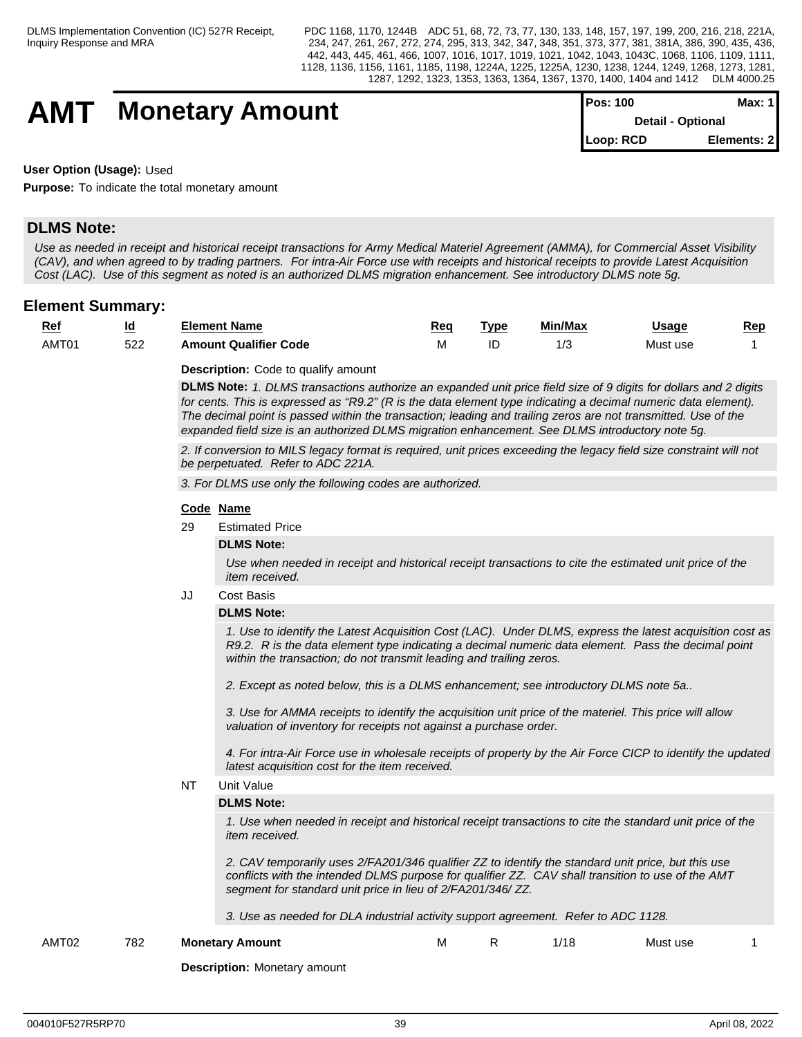## **AMT** Monetary Amount

| <b>IPos: 100</b> | Max: 1 I                 |
|------------------|--------------------------|
|                  | <b>Detail - Optional</b> |
| Loop: RCD        | Elements: 21             |

**User Option (Usage):** Used

**Purpose:** To indicate the total monetary amount

## **DLMS Note:**

*Use as needed in receipt and historical receipt transactions for Army Medical Materiel Agreement (AMMA), for Commercial Asset Visibility (CAV), and when agreed to by trading partners. For intra-Air Force use with receipts and historical receipts to provide Latest Acquisition Cost (LAC). Use of this segment as noted is an authorized DLMS migration enhancement. See introductory DLMS note 5g.*

## **Element Summary:**

| <u>Rei</u> | ıd  | Element Name                 | <u>Req</u> | ™vp | Min/Max | <u>Usage</u> | Rep |
|------------|-----|------------------------------|------------|-----|---------|--------------|-----|
| AMT01      | 522 | <b>Amount Qualifier Code</b> | .          | ᄔ   | ں ، ا   | Must use     |     |

**Description:** Code to qualify amount

**DLMS Note:** *1. DLMS transactions authorize an expanded unit price field size of 9 digits for dollars and 2 digits for cents. This is expressed as "R9.2" (R is the data element type indicating a decimal numeric data element). The decimal point is passed within the transaction; leading and trailing zeros are not transmitted. Use of the expanded field size is an authorized DLMS migration enhancement. See DLMS introductory note 5g.*

*2. If conversion to MILS legacy format is required, unit prices exceeding the legacy field size constraint will not be perpetuated. Refer to ADC 221A.*

*3. For DLMS use only the following codes are authorized.*

#### **Code Name**

29 Estimated Price

#### **DLMS Note:**

*Use when needed in receipt and historical receipt transactions to cite the estimated unit price of the item received.*

JJ Cost Basis

#### **DLMS Note:**

*1. Use to identify the Latest Acquisition Cost (LAC). Under DLMS, express the latest acquisition cost as R9.2. R is the data element type indicating a decimal numeric data element. Pass the decimal point within the transaction; do not transmit leading and trailing zeros.*

*2. Except as noted below, this is a DLMS enhancement; see introductory DLMS note 5a..*

*3. Use for AMMA receipts to identify the acquisition unit price of the materiel. This price will allow valuation of inventory for receipts not against a purchase order.*

*4. For intra-Air Force use in wholesale receipts of property by the Air Force CICP to identify the updated latest acquisition cost for the item received.* 

NT Unit Value

#### **DLMS Note:**

*1. Use when needed in receipt and historical receipt transactions to cite the standard unit price of the item received.*

*2. CAV temporarily uses 2/FA201/346 qualifier ZZ to identify the standard unit price, but this use conflicts with the intended DLMS purpose for qualifier ZZ. CAV shall transition to use of the AMT segment for standard unit price in lieu of 2/FA201/346/ ZZ.*

*3. Use as needed for DLA industrial activity support agreement. Refer to ADC 1128.*

AMT02 782 **Monetary Amount** M R 1/18 Must use 1

**Description:** Monetary amount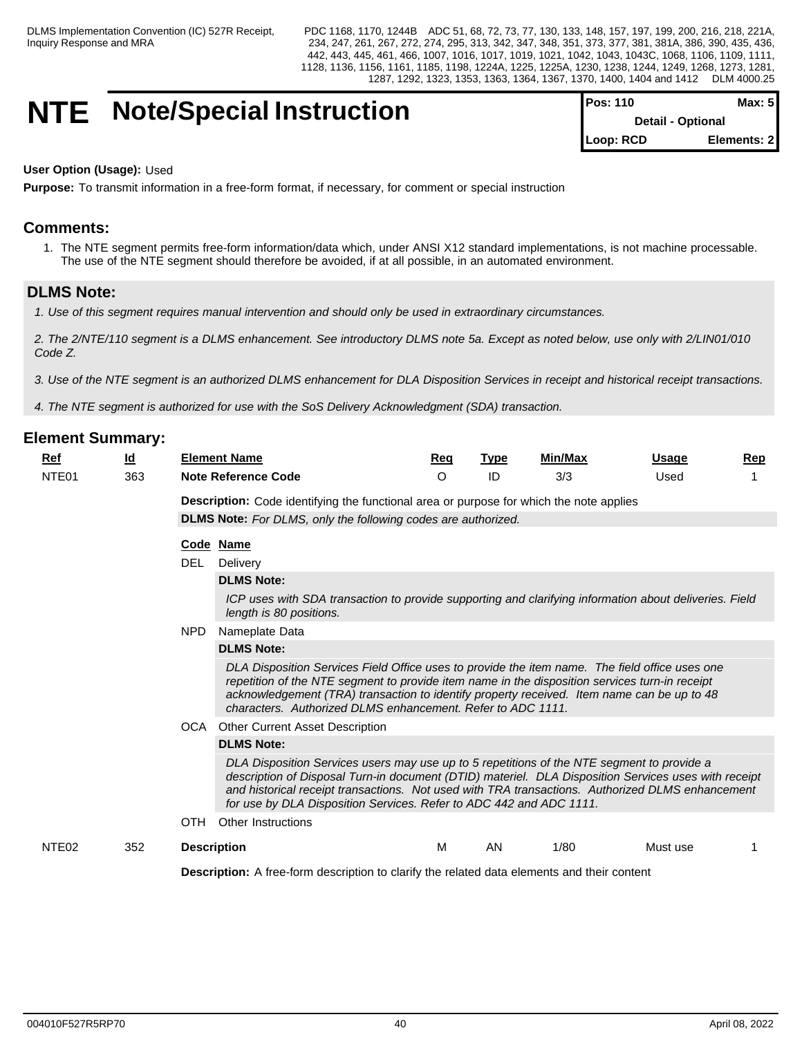## **NTE** Note/Special Instruction

| <b>Pos: 110</b>          | Max: 51     |
|--------------------------|-------------|
| <b>Detail - Optional</b> |             |
| Loop: RCD                | Elements: 2 |

#### **User Option (Usage):** Used

**Purpose:** To transmit information in a free-form format, if necessary, for comment or special instruction

## **Comments:**

1. The NTE segment permits free-form information/data which, under ANSI X12 standard implementations, is not machine processable. The use of the NTE segment should therefore be avoided, if at all possible, in an automated environment.

## **DLMS Note:**

*1. Use of this segment requires manual intervention and should only be used in extraordinary circumstances.*

*2. The 2/NTE/110 segment is a DLMS enhancement. See introductory DLMS note 5a. Except as noted below, use only with 2/LIN01/010 Code Z.*

 *3. Use of the NTE segment is an authorized DLMS enhancement for DLA Disposition Services in receipt and historical receipt transactions.*

*4. The NTE segment is authorized for use with the SoS Delivery Acknowledgment (SDA) transaction.* 

| Ref               | $\underline{\mathsf{Id}}$ | <b>Element Name</b>                                                                                                                                                                                                                                                                                                                                                           | <u>Req</u> | <b>Type</b> | Min/Max | <b>Usage</b> | Rep |  |  |  |  |  |
|-------------------|---------------------------|-------------------------------------------------------------------------------------------------------------------------------------------------------------------------------------------------------------------------------------------------------------------------------------------------------------------------------------------------------------------------------|------------|-------------|---------|--------------|-----|--|--|--|--|--|
| NTE <sub>01</sub> | 363                       | <b>Note Reference Code</b>                                                                                                                                                                                                                                                                                                                                                    | $\Omega$   | ID          | 3/3     | Used         |     |  |  |  |  |  |
|                   |                           | <b>Description:</b> Code identifying the functional area or purpose for which the note applies                                                                                                                                                                                                                                                                                |            |             |         |              |     |  |  |  |  |  |
|                   |                           | DLMS Note: For DLMS, only the following codes are authorized.                                                                                                                                                                                                                                                                                                                 |            |             |         |              |     |  |  |  |  |  |
|                   |                           | Code Name                                                                                                                                                                                                                                                                                                                                                                     |            |             |         |              |     |  |  |  |  |  |
|                   |                           | DEL.<br>Delivery                                                                                                                                                                                                                                                                                                                                                              |            |             |         |              |     |  |  |  |  |  |
|                   |                           | <b>DLMS Note:</b>                                                                                                                                                                                                                                                                                                                                                             |            |             |         |              |     |  |  |  |  |  |
|                   |                           | ICP uses with SDA transaction to provide supporting and clarifying information about deliveries. Field<br>length is 80 positions.                                                                                                                                                                                                                                             |            |             |         |              |     |  |  |  |  |  |
|                   |                           | <b>NPD</b><br>Nameplate Data                                                                                                                                                                                                                                                                                                                                                  |            |             |         |              |     |  |  |  |  |  |
|                   |                           | <b>DLMS Note:</b>                                                                                                                                                                                                                                                                                                                                                             |            |             |         |              |     |  |  |  |  |  |
|                   |                           | DLA Disposition Services Field Office uses to provide the item name. The field office uses one<br>repetition of the NTE segment to provide item name in the disposition services turn-in receipt<br>acknowledgement (TRA) transaction to identify property received. Item name can be up to 48<br>characters. Authorized DLMS enhancement. Refer to ADC 1111.                 |            |             |         |              |     |  |  |  |  |  |
|                   |                           | OCA<br>Other Current Asset Description                                                                                                                                                                                                                                                                                                                                        |            |             |         |              |     |  |  |  |  |  |
|                   |                           | <b>DLMS Note:</b>                                                                                                                                                                                                                                                                                                                                                             |            |             |         |              |     |  |  |  |  |  |
|                   |                           | DLA Disposition Services users may use up to 5 repetitions of the NTE segment to provide a<br>description of Disposal Turn-in document (DTID) materiel. DLA Disposition Services uses with receipt<br>and historical receipt transactions. Not used with TRA transactions. Authorized DLMS enhancement<br>for use by DLA Disposition Services. Refer to ADC 442 and ADC 1111. |            |             |         |              |     |  |  |  |  |  |
|                   |                           | <b>OTH</b><br>Other Instructions                                                                                                                                                                                                                                                                                                                                              |            |             |         |              |     |  |  |  |  |  |
| NTE <sub>02</sub> | 352                       | <b>Description</b>                                                                                                                                                                                                                                                                                                                                                            | м          | AN          | 1/80    | Must use     |     |  |  |  |  |  |
|                   |                           | <b>Description:</b> A free-form description to clarify the related data elements and their content                                                                                                                                                                                                                                                                            |            |             |         |              |     |  |  |  |  |  |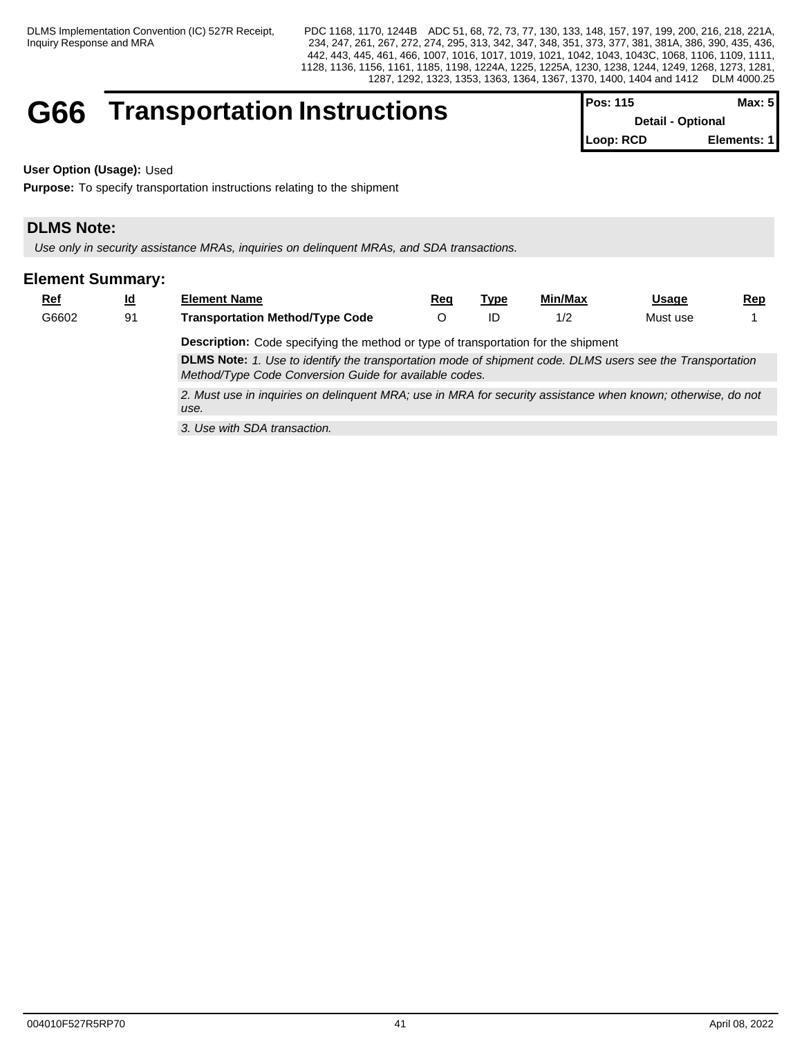# G66 **Transportation Instructions** Pos: 115 **Max: 115 Max: 115 Max: 115 Max: 2Detail - Optional**

| I POS: 115               | max: 51     |
|--------------------------|-------------|
| <b>Detail - Optional</b> |             |
| Loop: RCD                | Elements: 1 |

**User Option (Usage):** Used

**Purpose:** To specify transportation instructions relating to the shipment

## **DLMS Note:**

*Use only in security assistance MRAs, inquiries on delinquent MRAs, and SDA transactions.*

| $Ref$ | $\underline{\mathsf{Id}}$ | <b>Element Name</b>                                                                                                                                                 | Rea | Type | Min/Max | Usage    | <u>Rep</u> |  |  |  |  |
|-------|---------------------------|---------------------------------------------------------------------------------------------------------------------------------------------------------------------|-----|------|---------|----------|------------|--|--|--|--|
| G6602 | 91                        | <b>Transportation Method/Type Code</b>                                                                                                                              |     |      | 1/2     | Must use |            |  |  |  |  |
|       |                           | <b>Description:</b> Code specifying the method or type of transportation for the shipment                                                                           |     |      |         |          |            |  |  |  |  |
|       |                           | DLMS Note: 1. Use to identify the transportation mode of shipment code. DLMS users see the Transportation<br>Method/Type Code Conversion Guide for available codes. |     |      |         |          |            |  |  |  |  |
|       |                           | 2. Must use in inquiries on delinquent MRA; use in MRA for security assistance when known; otherwise, do not<br>use.                                                |     |      |         |          |            |  |  |  |  |
|       |                           | 3. Use with SDA transaction.                                                                                                                                        |     |      |         |          |            |  |  |  |  |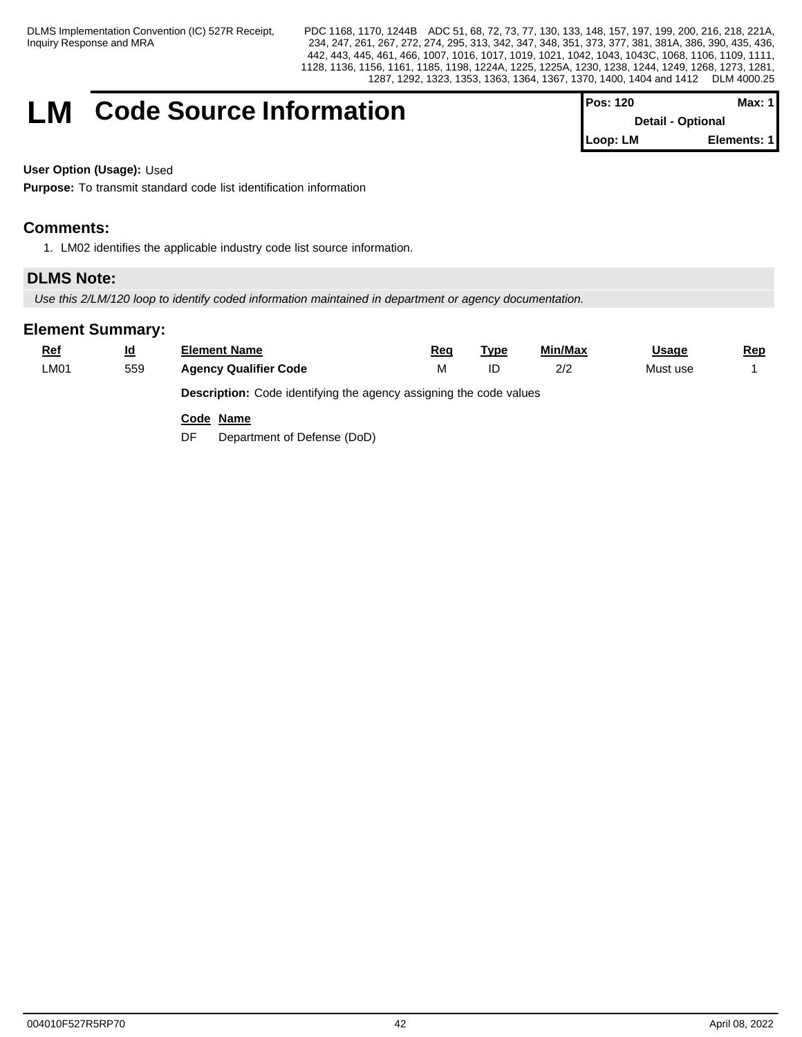## **LM** Code Source Information

| ⊦Pos: 120                | Max: 1 I    |
|--------------------------|-------------|
| <b>Detail - Optional</b> |             |
| l Loop: LM               | Elements: 1 |

**User Option (Usage):** Used

**Purpose:** To transmit standard code list identification information

## **Comments:**

1. LM02 identifies the applicable industry code list source information.

## **DLMS Note:**

*Use this 2/LM/120 loop to identify coded information maintained in department or agency documentation.* 

| $Ref$ | $\underline{\mathsf{Id}}$ | <b>Element Name</b>               | Req                                                                       | <u>Type</u> | Min/Max | <b>Usage</b> | <u>Rep</u> |  |  |  |  |  |
|-------|---------------------------|-----------------------------------|---------------------------------------------------------------------------|-------------|---------|--------------|------------|--|--|--|--|--|
| LM01  | 559                       | <b>Agency Qualifier Code</b>      | М                                                                         | ID          | 2/2     | Must use     |            |  |  |  |  |  |
|       |                           |                                   | <b>Description:</b> Code identifying the agency assigning the code values |             |         |              |            |  |  |  |  |  |
|       |                           | Code Name                         |                                                                           |             |         |              |            |  |  |  |  |  |
|       |                           | Department of Defense (DoD)<br>DF |                                                                           |             |         |              |            |  |  |  |  |  |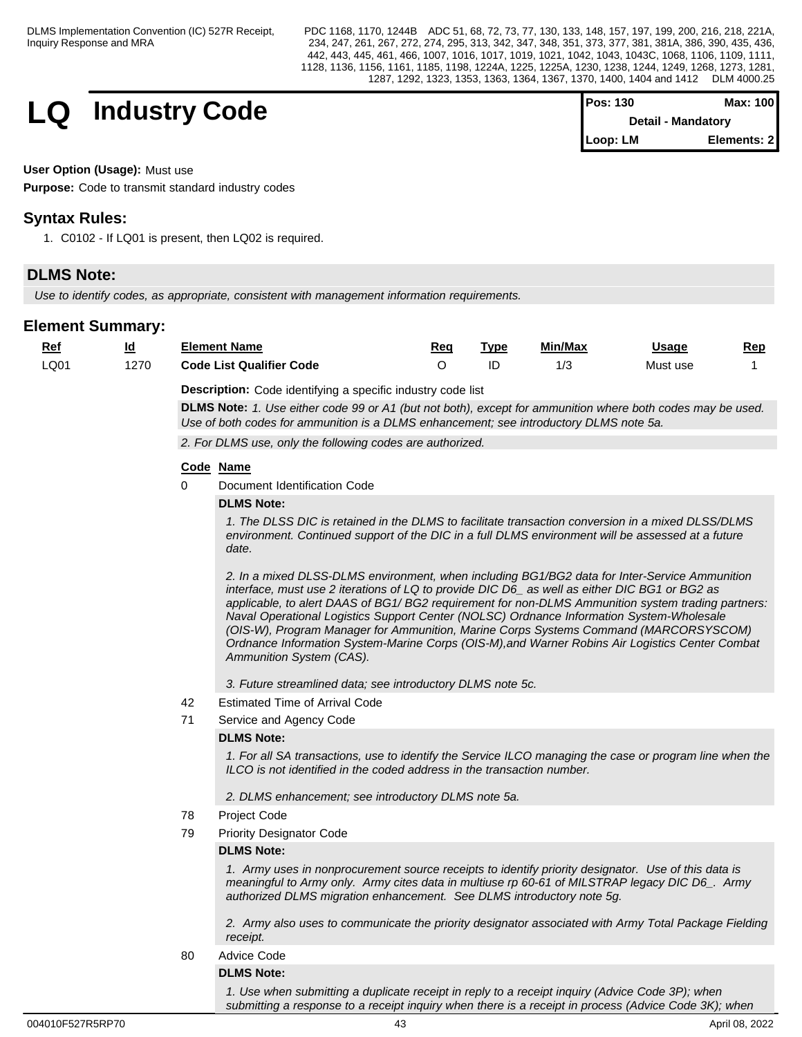$$
\begin{array}{c|c|c|c|c} \textbf{Industry Code} & & \textbf{Pos: 130} & \textbf{Max: 100} \\ \textbf{Detail - Mandatory} & & \textbf{Detail - Mandatory} \end{array}
$$

| <b>Pos: 130</b> | Max: 100                  |
|-----------------|---------------------------|
|                 | <b>Detail - Mandatory</b> |
| Loop: LM        | Elements: 21              |

### **User Option (Usage):** Must use

**Purpose:** Code to transmit standard industry codes

## **Syntax Rules:**

1. C0102 - If LQ01 is present, then LQ02 is required.

## **DLMS Note:**

*Use to identify codes, as appropriate, consistent with management information requirements.* 

| $Ref$ | <u>ld</u> |           | <b>Element Name</b>                                                                                                                                                                                                                                                                                                                                                                                                                                                                                                                                                                                                     | Req      | <u>Type</u> | Min/Max | Usage    | Rep |
|-------|-----------|-----------|-------------------------------------------------------------------------------------------------------------------------------------------------------------------------------------------------------------------------------------------------------------------------------------------------------------------------------------------------------------------------------------------------------------------------------------------------------------------------------------------------------------------------------------------------------------------------------------------------------------------------|----------|-------------|---------|----------|-----|
| LQ01  | 1270      |           | <b>Code List Qualifier Code</b>                                                                                                                                                                                                                                                                                                                                                                                                                                                                                                                                                                                         | $\Omega$ | ID          | 1/3     | Must use |     |
|       |           |           | <b>Description:</b> Code identifying a specific industry code list<br>DLMS Note: 1. Use either code 99 or A1 (but not both), except for ammunition where both codes may be used.                                                                                                                                                                                                                                                                                                                                                                                                                                        |          |             |         |          |     |
|       |           |           | Use of both codes for ammunition is a DLMS enhancement; see introductory DLMS note 5a.                                                                                                                                                                                                                                                                                                                                                                                                                                                                                                                                  |          |             |         |          |     |
|       |           |           | 2. For DLMS use, only the following codes are authorized.                                                                                                                                                                                                                                                                                                                                                                                                                                                                                                                                                               |          |             |         |          |     |
|       |           | Code Name |                                                                                                                                                                                                                                                                                                                                                                                                                                                                                                                                                                                                                         |          |             |         |          |     |
|       |           | 0         | Document Identification Code                                                                                                                                                                                                                                                                                                                                                                                                                                                                                                                                                                                            |          |             |         |          |     |
|       |           |           | <b>DLMS Note:</b>                                                                                                                                                                                                                                                                                                                                                                                                                                                                                                                                                                                                       |          |             |         |          |     |
|       |           |           | 1. The DLSS DIC is retained in the DLMS to facilitate transaction conversion in a mixed DLSS/DLMS<br>environment. Continued support of the DIC in a full DLMS environment will be assessed at a future<br>date.                                                                                                                                                                                                                                                                                                                                                                                                         |          |             |         |          |     |
|       |           |           | 2. In a mixed DLSS-DLMS environment, when including BG1/BG2 data for Inter-Service Ammunition<br>interface, must use 2 iterations of LQ to provide DIC D6_ as well as either DIC BG1 or BG2 as<br>applicable, to alert DAAS of BG1/ BG2 requirement for non-DLMS Ammunition system trading partners:<br>Naval Operational Logistics Support Center (NOLSC) Ordnance Information System-Wholesale<br>(OIS-W), Program Manager for Ammunition, Marine Corps Systems Command (MARCORSYSCOM)<br>Ordnance Information System-Marine Corps (OIS-M), and Warner Robins Air Logistics Center Combat<br>Ammunition System (CAS). |          |             |         |          |     |
|       |           |           | 3. Future streamlined data; see introductory DLMS note 5c.                                                                                                                                                                                                                                                                                                                                                                                                                                                                                                                                                              |          |             |         |          |     |
|       |           | 42        | <b>Estimated Time of Arrival Code</b>                                                                                                                                                                                                                                                                                                                                                                                                                                                                                                                                                                                   |          |             |         |          |     |
|       |           | 71        | Service and Agency Code                                                                                                                                                                                                                                                                                                                                                                                                                                                                                                                                                                                                 |          |             |         |          |     |
|       |           |           | <b>DLMS Note:</b>                                                                                                                                                                                                                                                                                                                                                                                                                                                                                                                                                                                                       |          |             |         |          |     |
|       |           |           | 1. For all SA transactions, use to identify the Service ILCO managing the case or program line when the<br>ILCO is not identified in the coded address in the transaction number.                                                                                                                                                                                                                                                                                                                                                                                                                                       |          |             |         |          |     |
|       |           |           | 2. DLMS enhancement; see introductory DLMS note 5a.                                                                                                                                                                                                                                                                                                                                                                                                                                                                                                                                                                     |          |             |         |          |     |
|       |           | 78        | Project Code                                                                                                                                                                                                                                                                                                                                                                                                                                                                                                                                                                                                            |          |             |         |          |     |
|       |           | 79        | <b>Priority Designator Code</b>                                                                                                                                                                                                                                                                                                                                                                                                                                                                                                                                                                                         |          |             |         |          |     |
|       |           |           | <b>DLMS Note:</b>                                                                                                                                                                                                                                                                                                                                                                                                                                                                                                                                                                                                       |          |             |         |          |     |
|       |           |           | 1. Army uses in nonprocurement source receipts to identify priority designator. Use of this data is<br>meaningful to Army only. Army cites data in multiuse rp 60-61 of MILSTRAP legacy DIC D6_. Army<br>authorized DLMS migration enhancement. See DLMS introductory note 5g.                                                                                                                                                                                                                                                                                                                                          |          |             |         |          |     |
|       |           |           | 2. Army also uses to communicate the priority designator associated with Army Total Package Fielding<br>receipt.                                                                                                                                                                                                                                                                                                                                                                                                                                                                                                        |          |             |         |          |     |
|       |           | 80        | <b>Advice Code</b>                                                                                                                                                                                                                                                                                                                                                                                                                                                                                                                                                                                                      |          |             |         |          |     |
|       |           |           | <b>DLMS Note:</b>                                                                                                                                                                                                                                                                                                                                                                                                                                                                                                                                                                                                       |          |             |         |          |     |
|       |           |           | 1. Use when submitting a duplicate receipt in reply to a receipt inquiry (Advice Code 3P); when<br>submitting a response to a receipt inquiry when there is a receipt in process (Advice Code 3K); when                                                                                                                                                                                                                                                                                                                                                                                                                 |          |             |         |          |     |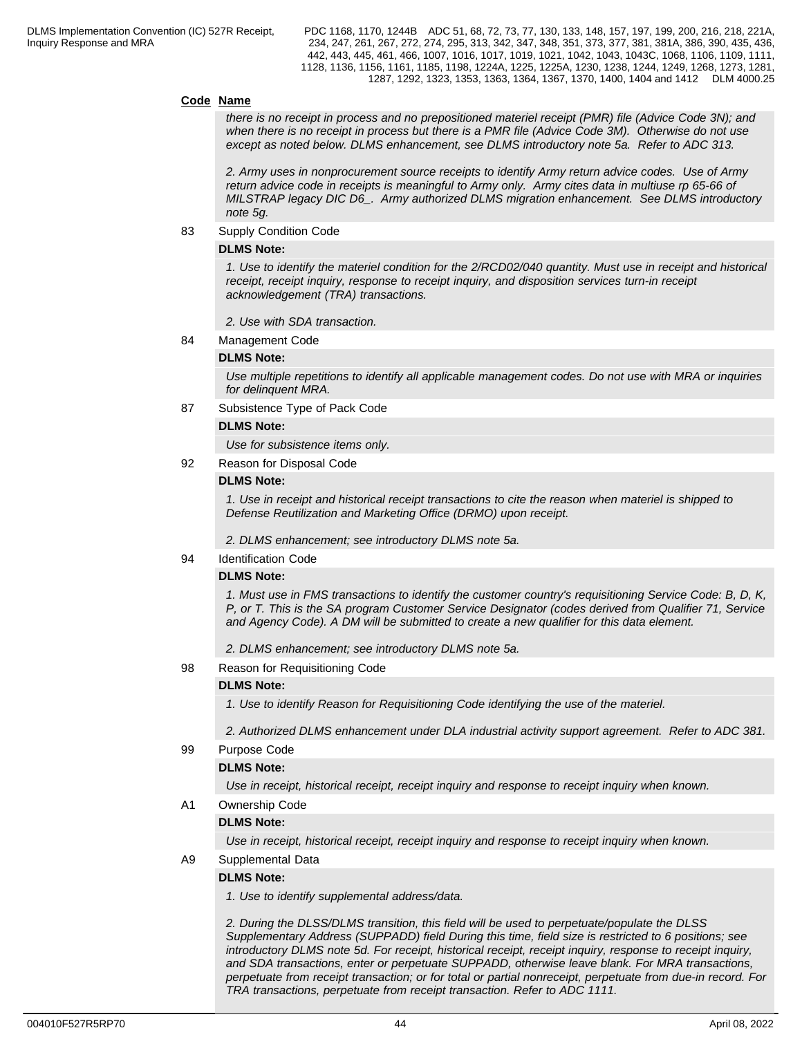#### **Code Name**

*there is no receipt in process and no prepositioned materiel receipt (PMR) file (Advice Code 3N); and when there is no receipt in process but there is a PMR file (Advice Code 3M). Otherwise do not use except as noted below. DLMS enhancement, see DLMS introductory note 5a. Refer to ADC 313.*

*2. Army uses in nonprocurement source receipts to identify Army return advice codes. Use of Army return advice code in receipts is meaningful to Army only. Army cites data in multiuse rp 65-66 of MILSTRAP legacy DIC D6\_. Army authorized DLMS migration enhancement. See DLMS introductory note 5g.*

83 Supply Condition Code

#### **DLMS Note:**

*1. Use to identify the materiel condition for the 2/RCD02/040 quantity. Must use in receipt and historical receipt, receipt inquiry, response to receipt inquiry, and disposition services turn-in receipt acknowledgement (TRA) transactions.*

*2. Use with SDA transaction.*

84 Management Code

#### **DLMS Note:**

*Use multiple repetitions to identify all applicable management codes. Do not use with MRA or inquiries for delinquent MRA.*

87 Subsistence Type of Pack Code

#### **DLMS Note:**

*Use for subsistence items only.* 

92 Reason for Disposal Code

#### **DLMS Note:**

*1. Use in receipt and historical receipt transactions to cite the reason when materiel is shipped to Defense Reutilization and Marketing Office (DRMO) upon receipt.*

*2. DLMS enhancement; see introductory DLMS note 5a.*

94 Identification Code

#### **DLMS Note:**

*1. Must use in FMS transactions to identify the customer country's requisitioning Service Code: B, D, K, P, or T. This is the SA program Customer Service Designator (codes derived from Qualifier 71, Service and Agency Code). A DM will be submitted to create a new qualifier for this data element.*

*2. DLMS enhancement; see introductory DLMS note 5a.*

98 Reason for Requisitioning Code

#### **DLMS Note:**

*1. Use to identify Reason for Requisitioning Code identifying the use of the materiel.* 

*2. Authorized DLMS enhancement under DLA industrial activity support agreement. Refer to ADC 381.*

99 Purpose Code

#### **DLMS Note:**

*Use in receipt, historical receipt, receipt inquiry and response to receipt inquiry when known.*

#### A1 Ownership Code

#### **DLMS Note:**

*Use in receipt, historical receipt, receipt inquiry and response to receipt inquiry when known.* 

A9 Supplemental Data

#### **DLMS Note:**

*1. Use to identify supplemental address/data.*

*2. During the DLSS/DLMS transition, this field will be used to perpetuate/populate the DLSS Supplementary Address (SUPPADD) field During this time, field size is restricted to 6 positions; see introductory DLMS note 5d. For receipt, historical receipt, receipt inquiry, response to receipt inquiry, and SDA transactions, enter or perpetuate SUPPADD, otherwise leave blank. For MRA transactions, perpetuate from receipt transaction; or for total or partial nonreceipt, perpetuate from due-in record. For TRA transactions, perpetuate from receipt transaction. Refer to ADC 1111.*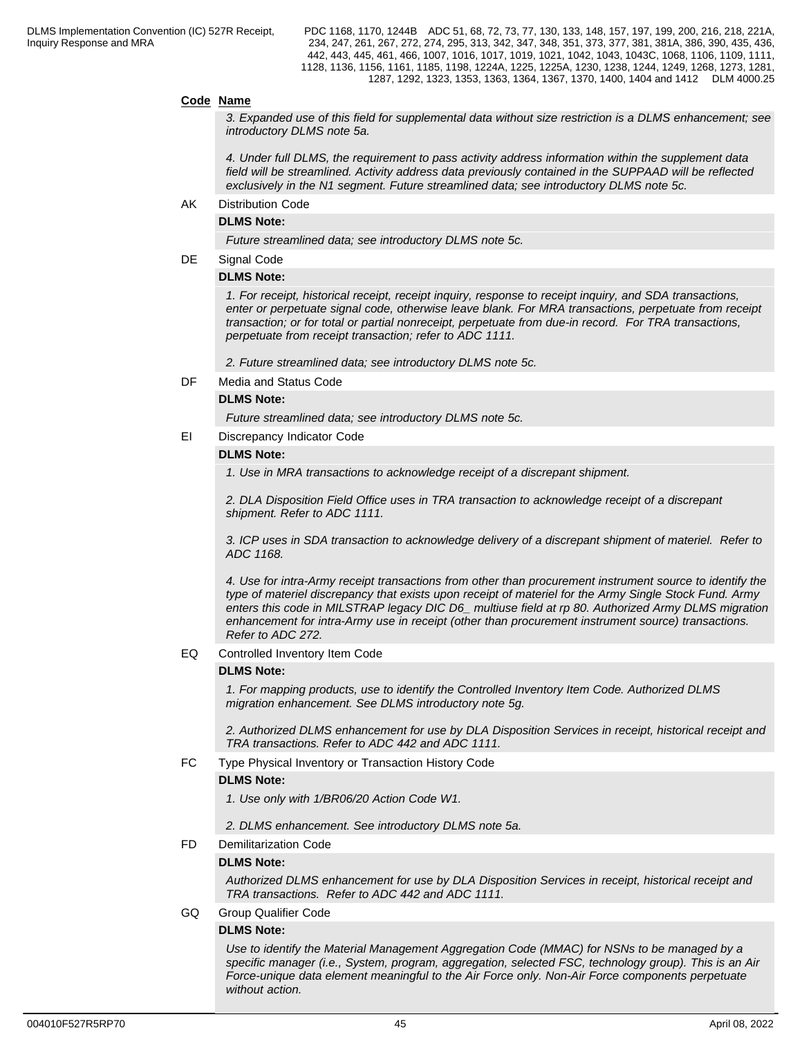#### **Code Name**

*3. Expanded use of this field for supplemental data without size restriction is a DLMS enhancement; see introductory DLMS note 5a.*

*4. Under full DLMS, the requirement to pass activity address information within the supplement data field will be streamlined. Activity address data previously contained in the SUPPAAD will be reflected exclusively in the N1 segment. Future streamlined data; see introductory DLMS note 5c.*

AK Distribution Code

#### **DLMS Note:**

*Future streamlined data; see introductory DLMS note 5c.*

#### DE Signal Code

#### **DLMS Note:**

*1. For receipt, historical receipt, receipt inquiry, response to receipt inquiry, and SDA transactions, enter or perpetuate signal code, otherwise leave blank. For MRA transactions, perpetuate from receipt transaction; or for total or partial nonreceipt, perpetuate from due-in record. For TRA transactions, perpetuate from receipt transaction; refer to ADC 1111.*

*2. Future streamlined data; see introductory DLMS note 5c.*

DF Media and Status Code

#### **DLMS Note:**

*Future streamlined data; see introductory DLMS note 5c.* 

EI Discrepancy Indicator Code

#### **DLMS Note:**

*1. Use in MRA transactions to acknowledge receipt of a discrepant shipment.*

*2. DLA Disposition Field Office uses in TRA transaction to acknowledge receipt of a discrepant shipment. Refer to ADC 1111.*

*3. ICP uses in SDA transaction to acknowledge delivery of a discrepant shipment of materiel. Refer to ADC 1168.* 

*4. Use for intra-Army receipt transactions from other than procurement instrument source to identify the type of materiel discrepancy that exists upon receipt of materiel for the Army Single Stock Fund. Army enters this code in MILSTRAP legacy DIC D6\_ multiuse field at rp 80. Authorized Army DLMS migration enhancement for intra-Army use in receipt (other than procurement instrument source) transactions. Refer to ADC 272.*

EQ Controlled Inventory Item Code

#### **DLMS Note:**

*1. For mapping products, use to identify the Controlled Inventory Item Code. Authorized DLMS migration enhancement. See DLMS introductory note 5g.*

*2. Authorized DLMS enhancement for use by DLA Disposition Services in receipt, historical receipt and TRA transactions. Refer to ADC 442 and ADC 1111.*

FC Type Physical Inventory or Transaction History Code

#### **DLMS Note:**

*1. Use only with 1/BR06/20 Action Code W1.*

*2. DLMS enhancement. See introductory DLMS note 5a.*

FD Demilitarization Code

#### **DLMS Note:**

*Authorized DLMS enhancement for use by DLA Disposition Services in receipt, historical receipt and TRA transactions. Refer to ADC 442 and ADC 1111.*

GQ Group Qualifier Code

#### **DLMS Note:**

*Use to identify the Material Management Aggregation Code (MMAC) for NSNs to be managed by a specific manager (i.e., System, program, aggregation, selected FSC, technology group). This is an Air Force-unique data element meaningful to the Air Force only. Non-Air Force components perpetuate without action.*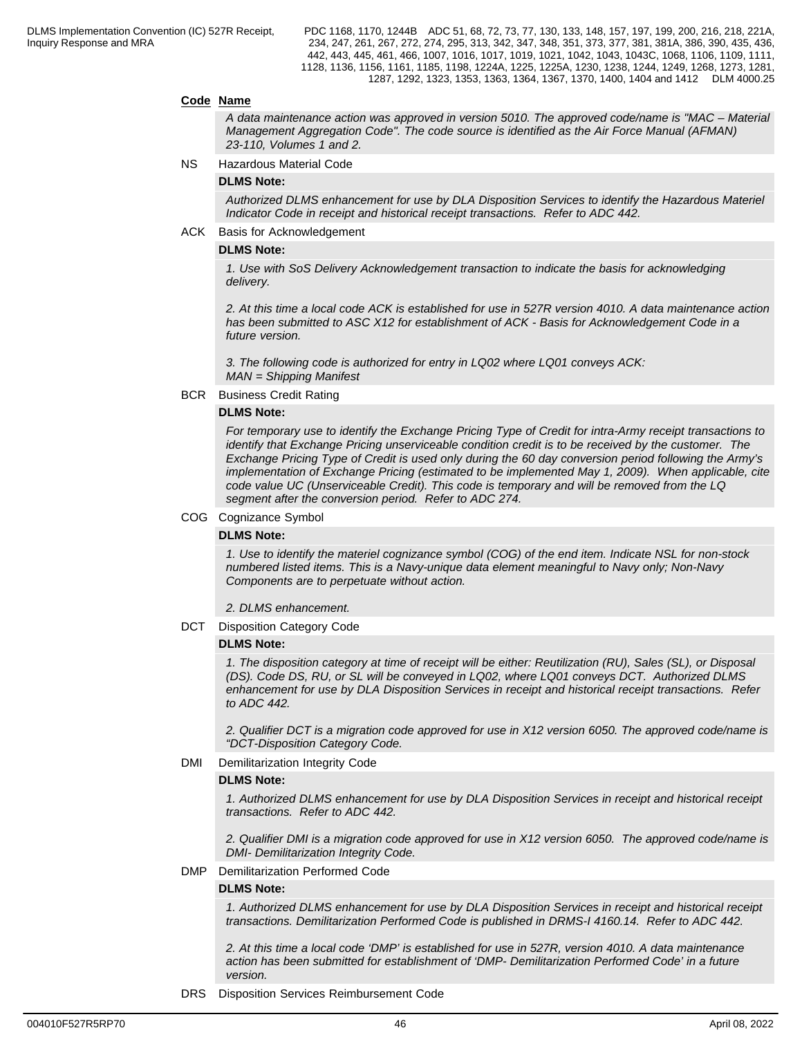#### **Code Name**

*A data maintenance action was approved in version 5010. The approved code/name is "MAC – Material Management Aggregation Code". The code source is identified as the Air Force Manual (AFMAN) 23-110, Volumes 1 and 2.*

NS Hazardous Material Code

#### **DLMS Note:**

*Authorized DLMS enhancement for use by DLA Disposition Services to identify the Hazardous Materiel Indicator Code in receipt and historical receipt transactions. Refer to ADC 442.*

#### ACK Basis for Acknowledgement

#### **DLMS Note:**

*1. Use with SoS Delivery Acknowledgement transaction to indicate the basis for acknowledging delivery.*

*2. At this time a local code ACK is established for use in 527R version 4010. A data maintenance action has been submitted to ASC X12 for establishment of ACK - Basis for Acknowledgement Code in a future version.*

*3. The following code is authorized for entry in LQ02 where LQ01 conveys ACK: MAN = Shipping Manifest*

BCR Business Credit Rating

#### **DLMS Note:**

*For temporary use to identify the Exchange Pricing Type of Credit for intra-Army receipt transactions to identify that Exchange Pricing unserviceable condition credit is to be received by the customer. The Exchange Pricing Type of Credit is used only during the 60 day conversion period following the Army's implementation of Exchange Pricing (estimated to be implemented May 1, 2009). When applicable, cite code value UC (Unserviceable Credit). This code is temporary and will be removed from the LQ segment after the conversion period. Refer to ADC 274.*

#### COG Cognizance Symbol

#### **DLMS Note:**

*1. Use to identify the materiel cognizance symbol (COG) of the end item. Indicate NSL for non-stock numbered listed items. This is a Navy-unique data element meaningful to Navy only; Non-Navy Components are to perpetuate without action.* 

*2. DLMS enhancement.*

DCT Disposition Category Code

#### **DLMS Note:**

*1. The disposition category at time of receipt will be either: Reutilization (RU), Sales (SL), or Disposal (DS). Code DS, RU, or SL will be conveyed in LQ02, where LQ01 conveys DCT. Authorized DLMS enhancement for use by DLA Disposition Services in receipt and historical receipt transactions. Refer to ADC 442.*

*2. Qualifier DCT is a migration code approved for use in X12 version 6050. The approved code/name is "DCT-Disposition Category Code.*

DMI Demilitarization Integrity Code

#### **DLMS Note:**

*1. Authorized DLMS enhancement for use by DLA Disposition Services in receipt and historical receipt transactions. Refer to ADC 442.* 

*2. Qualifier DMI is a migration code approved for use in X12 version 6050. The approved code/name is DMI- Demilitarization Integrity Code.*

#### DMP Demilitarization Performed Code

#### **DLMS Note:**

*1. Authorized DLMS enhancement for use by DLA Disposition Services in receipt and historical receipt transactions. Demilitarization Performed Code is published in DRMS-I 4160.14. Refer to ADC 442.*

*2. At this time a local code 'DMP' is established for use in 527R, version 4010. A data maintenance action has been submitted for establishment of 'DMP- Demilitarization Performed Code' in a future version.*

DRS Disposition Services Reimbursement Code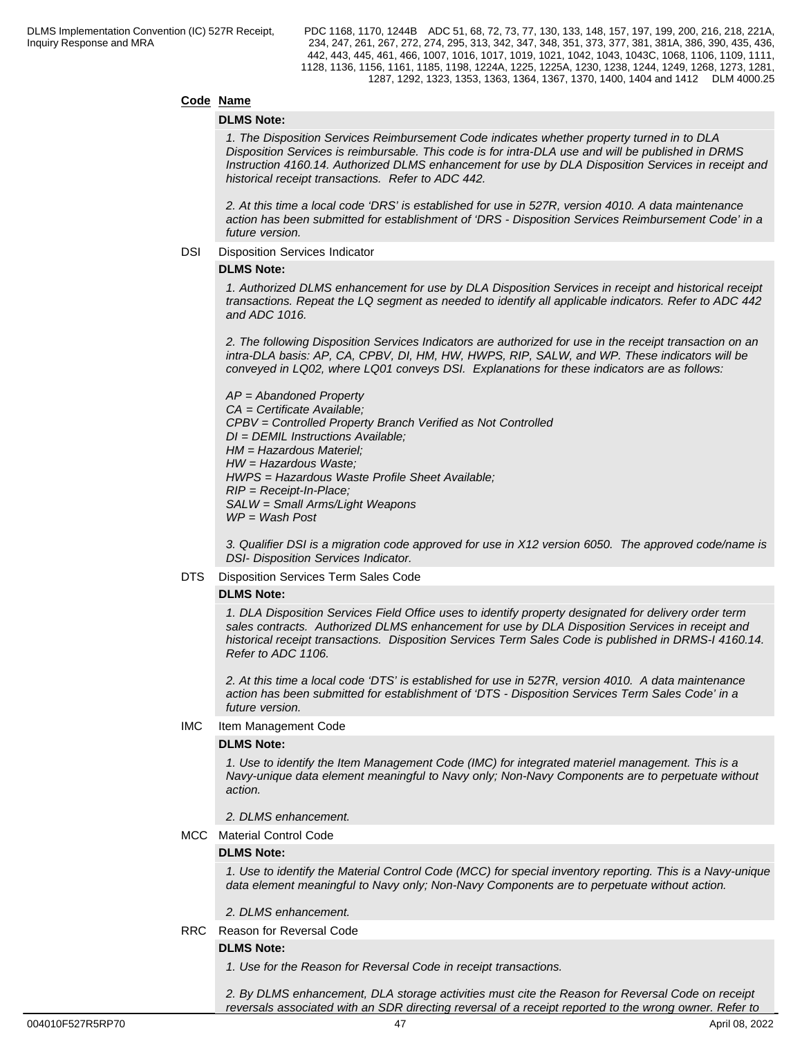### **Code Name**

#### **DLMS Note:**

*1. The Disposition Services Reimbursement Code indicates whether property turned in to DLA Disposition Services is reimbursable. This code is for intra-DLA use and will be published in DRMS Instruction 4160.14. Authorized DLMS enhancement for use by DLA Disposition Services in receipt and historical receipt transactions. Refer to ADC 442.*

*2. At this time a local code 'DRS' is established for use in 527R, version 4010. A data maintenance action has been submitted for establishment of 'DRS - Disposition Services Reimbursement Code' in a future version.*

#### DSI Disposition Services Indicator

#### **DLMS Note:**

*1. Authorized DLMS enhancement for use by DLA Disposition Services in receipt and historical receipt transactions. Repeat the LQ segment as needed to identify all applicable indicators. Refer to ADC 442 and ADC 1016.*

*2. The following Disposition Services Indicators are authorized for use in the receipt transaction on an intra-DLA basis: AP, CA, CPBV, DI, HM, HW, HWPS, RIP, SALW, and WP. These indicators will be conveyed in LQ02, where LQ01 conveys DSI. Explanations for these indicators are as follows:*

 *AP = Abandoned Property CA = Certificate Available; CPBV = Controlled Property Branch Verified as Not Controlled DI = DEMIL Instructions Available; HM = Hazardous Materiel; HW = Hazardous Waste; HWPS = Hazardous Waste Profile Sheet Available; RIP = Receipt-In-Place; SALW = Small Arms/Light Weapons WP = Wash Post*

*3. Qualifier DSI is a migration code approved for use in X12 version 6050. The approved code/name is DSI- Disposition Services Indicator.*

#### DTS Disposition Services Term Sales Code

#### **DLMS Note:**

*1. DLA Disposition Services Field Office uses to identify property designated for delivery order term sales contracts. Authorized DLMS enhancement for use by DLA Disposition Services in receipt and historical receipt transactions. Disposition Services Term Sales Code is published in DRMS-I 4160.14. Refer to ADC 1106.*

*2. At this time a local code 'DTS' is established for use in 527R, version 4010. A data maintenance action has been submitted for establishment of 'DTS - Disposition Services Term Sales Code' in a future version.*

IMC Item Management Code

#### **DLMS Note:**

*1. Use to identify the Item Management Code (IMC) for integrated materiel management. This is a Navy-unique data element meaningful to Navy only; Non-Navy Components are to perpetuate without action.*

*2. DLMS enhancement.*

MCC Material Control Code

#### **DLMS Note:**

*1. Use to identify the Material Control Code (MCC) for special inventory reporting. This is a Navy-unique data element meaningful to Navy only; Non-Navy Components are to perpetuate without action.* 

*2. DLMS enhancement.*

RRC Reason for Reversal Code

#### **DLMS Note:**

*1. Use for the Reason for Reversal Code in receipt transactions.*

*2. By DLMS enhancement, DLA storage activities must cite the Reason for Reversal Code on receipt reversals associated with an SDR directing reversal of a receipt reported to the wrong owner. Refer to*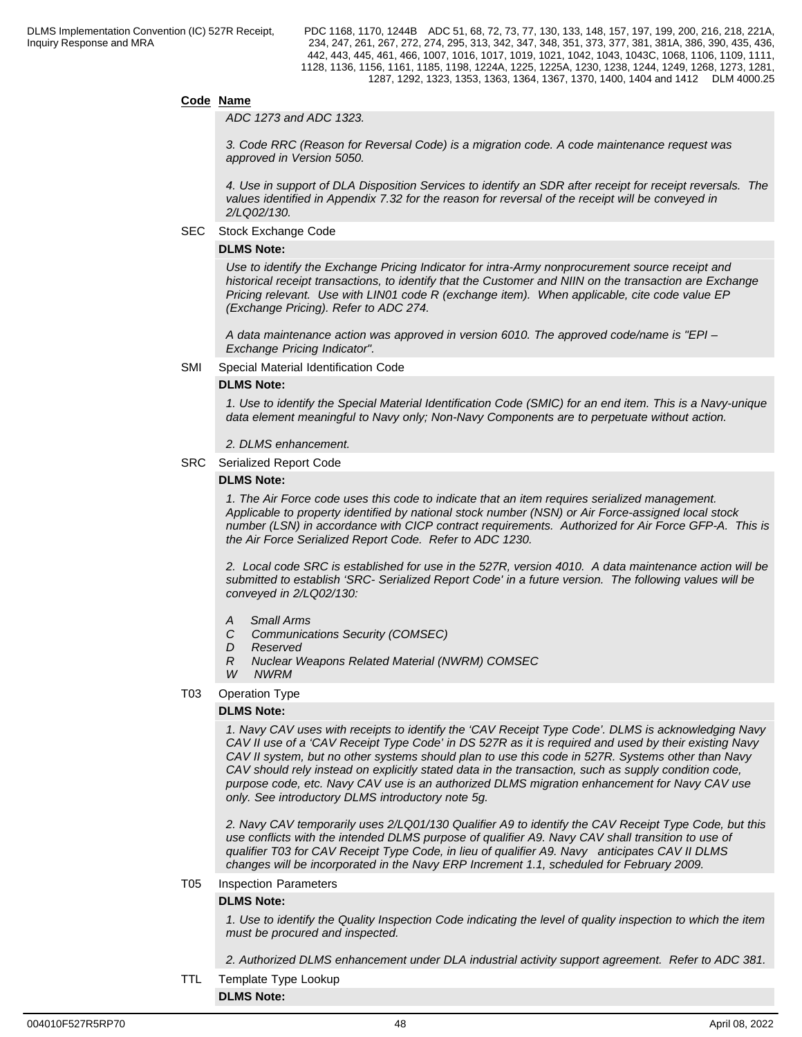#### **Code Name**

*ADC 1273 and ADC 1323.*

*3. Code RRC (Reason for Reversal Code) is a migration code. A code maintenance request was approved in Version 5050.*

*4. Use in support of DLA Disposition Services to identify an SDR after receipt for receipt reversals. The values identified in Appendix 7.32 for the reason for reversal of the receipt will be conveyed in 2/LQ02/130.*

SEC Stock Exchange Code

#### **DLMS Note:**

*Use to identify the Exchange Pricing Indicator for intra-Army nonprocurement source receipt and historical receipt transactions, to identify that the Customer and NIIN on the transaction are Exchange Pricing relevant. Use with LIN01 code R (exchange item). When applicable, cite code value EP (Exchange Pricing). Refer to ADC 274.*

*A data maintenance action was approved in version 6010. The approved code/name is "EPI – Exchange Pricing Indicator".*

#### SMI Special Material Identification Code

#### **DLMS Note:**

*1. Use to identify the Special Material Identification Code (SMIC) for an end item. This is a Navy-unique data element meaningful to Navy only; Non-Navy Components are to perpetuate without action.*

*2. DLMS enhancement.*

SRC Serialized Report Code

#### **DLMS Note:**

*1. The Air Force code uses this code to indicate that an item requires serialized management. Applicable to property identified by national stock number (NSN) or Air Force-assigned local stock number (LSN) in accordance with CICP contract requirements. Authorized for Air Force GFP-A. This is the Air Force Serialized Report Code. Refer to ADC 1230.*

*2. Local code SRC is established for use in the 527R, version 4010. A data maintenance action will be submitted to establish 'SRC- Serialized Report Code' in a future version. The following values will be conveyed in 2/LQ02/130:*

- *A Small Arms*
- *C Communications Security (COMSEC)*
- *D Reserved*
- *R Nuclear Weapons Related Material (NWRM) COMSEC*
- *W NWRM*

#### T03 Operation Type

#### **DLMS Note:**

*1. Navy CAV uses with receipts to identify the 'CAV Receipt Type Code'. DLMS is acknowledging Navy CAV II use of a 'CAV Receipt Type Code' in DS 527R as it is required and used by their existing Navy CAV II system, but no other systems should plan to use this code in 527R. Systems other than Navy CAV should rely instead on explicitly stated data in the transaction, such as supply condition code, purpose code, etc. Navy CAV use is an authorized DLMS migration enhancement for Navy CAV use only. See introductory DLMS introductory note 5g.*

*2. Navy CAV temporarily uses 2/LQ01/130 Qualifier A9 to identify the CAV Receipt Type Code, but this use conflicts with the intended DLMS purpose of qualifier A9. Navy CAV shall transition to use of qualifier T03 for CAV Receipt Type Code, in lieu of qualifier A9. Navy anticipates CAV II DLMS changes will be incorporated in the Navy ERP Increment 1.1, scheduled for February 2009.*

#### T05 Inspection Parameters

#### **DLMS Note:**

*1. Use to identify the Quality Inspection Code indicating the level of quality inspection to which the item must be procured and inspected.*

*2. Authorized DLMS enhancement under DLA industrial activity support agreement. Refer to ADC 381.*

TTL Template Type Lookup

**DLMS Note:**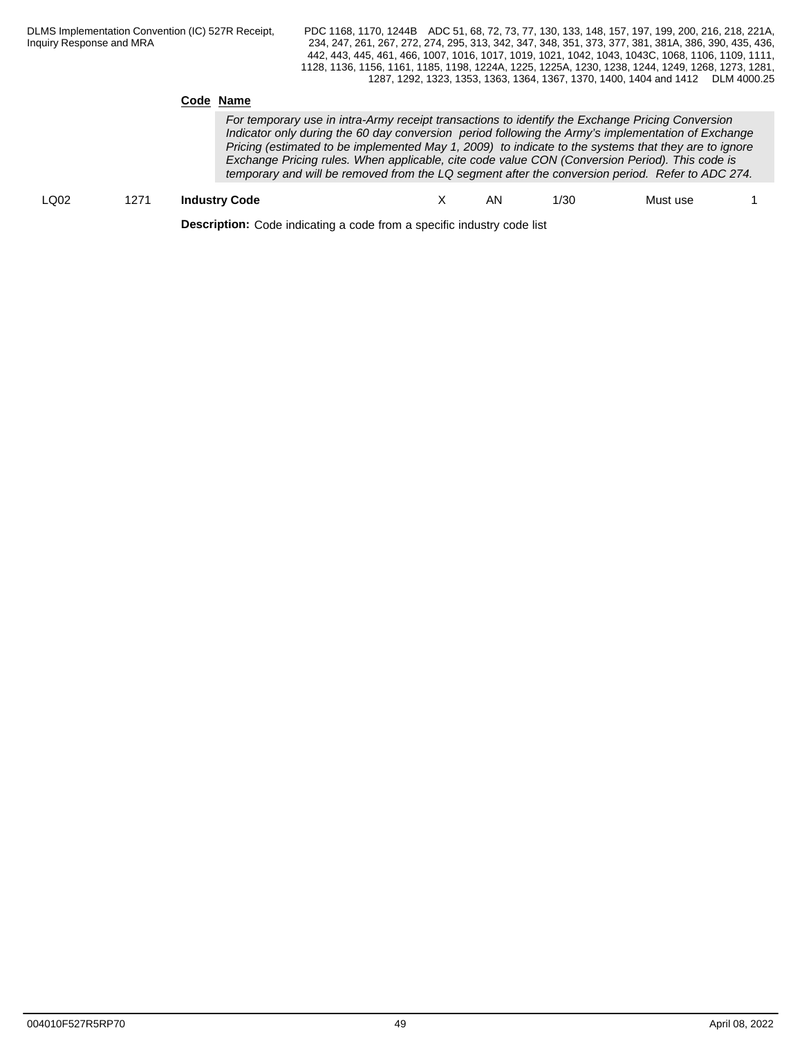#### **Code Name**

*For temporary use in intra-Army receipt transactions to identify the Exchange Pricing Conversion Indicator only during the 60 day conversion period following the Army's implementation of Exchange Pricing (estimated to be implemented May 1, 2009) to indicate to the systems that they are to ignore Exchange Pricing rules. When applicable, cite code value CON (Conversion Period). This code is temporary and will be removed from the LQ segment after the conversion period. Refer to ADC 274.*

## LQ02 1271 **Industry Code** X AN 1/30 Must use 1

**Description:** Code indicating a code from a specific industry code list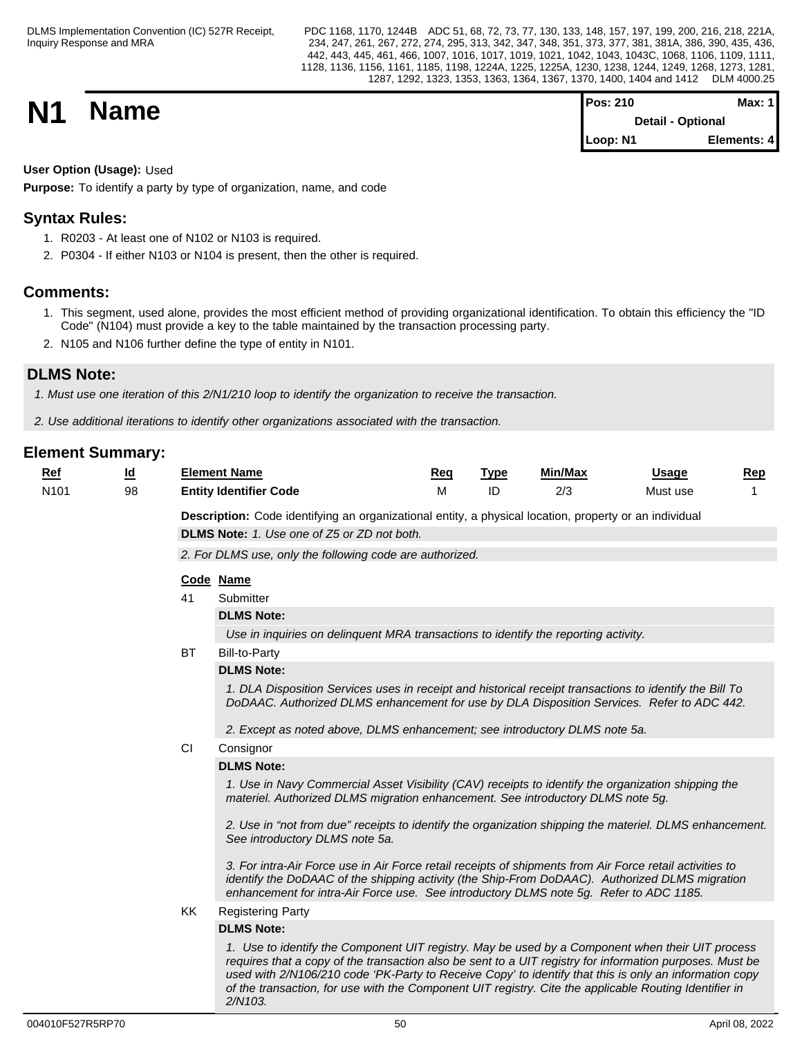PDC 1168, 1170, 1244B ADC 51, 68, 72, 73, 77, 130, 133, 148, 157, 197, 199, 200, 216, 218, 221A, 234, 247, 261, 267, 272, 274, 295, 313, 342, 347, 348, 351, 373, 377, 381, 381A, 386, 390, 435, 436, 442, 443, 445, 461, 466, 1007, 1016, 1017, 1019, 1021, 1042, 1043, 1043C, 1068, 1106, 1109, 1111, 1128, 1136, 1156, 1161, 1185, 1198, 1224A, 1225, 1225A, 1230, 1238, 1244, 1249, 1268, 1273, 1281, 1287, 1292, 1323, 1353, 1363, 1364, 1367, 1370, 1400, 1404 and 1412 DLM 4000.25

| <b>N1</b><br><b>Name</b> | Pos: 210<br><b>Detail - Optional</b> | Max: 1 <i>'</i> |  |
|--------------------------|--------------------------------------|-----------------|--|
|                          | Loop: N1                             | Elements: 4     |  |

## **User Option (Usage):** Used

**Purpose:** To identify a party by type of organization, name, and code

## **Syntax Rules:**

- 1. R0203 At least one of N102 or N103 is required.
- 2. P0304 If either N103 or N104 is present, then the other is required.

## **Comments:**

- 1. This segment, used alone, provides the most efficient method of providing organizational identification. To obtain this efficiency the "ID Code" (N104) must provide a key to the table maintained by the transaction processing party.
- 2. N105 and N106 further define the type of entity in N101.

## **DLMS Note:**

*1. Must use one iteration of this 2/N1/210 loop to identify the organization to receive the transaction.*

*2. Use additional iterations to identify other organizations associated with the transaction.*

| $Ref$            | $\underline{\mathsf{Id}}$ |           | <b>Element Name</b>                                                                                                                                                                                                                                                                                                                                                                                                                         | Req | <b>Type</b> | Min/Max | <b>Usage</b> | Rep |
|------------------|---------------------------|-----------|---------------------------------------------------------------------------------------------------------------------------------------------------------------------------------------------------------------------------------------------------------------------------------------------------------------------------------------------------------------------------------------------------------------------------------------------|-----|-------------|---------|--------------|-----|
| N <sub>101</sub> | 98                        |           | <b>Entity Identifier Code</b>                                                                                                                                                                                                                                                                                                                                                                                                               | М   | ID          | 2/3     | Must use     |     |
|                  |                           |           | Description: Code identifying an organizational entity, a physical location, property or an individual                                                                                                                                                                                                                                                                                                                                      |     |             |         |              |     |
|                  |                           |           | DLMS Note: 1. Use one of Z5 or ZD not both.                                                                                                                                                                                                                                                                                                                                                                                                 |     |             |         |              |     |
|                  |                           |           | 2. For DLMS use, only the following code are authorized.                                                                                                                                                                                                                                                                                                                                                                                    |     |             |         |              |     |
|                  |                           |           |                                                                                                                                                                                                                                                                                                                                                                                                                                             |     |             |         |              |     |
|                  |                           | 41        | Code Name<br>Submitter                                                                                                                                                                                                                                                                                                                                                                                                                      |     |             |         |              |     |
|                  |                           |           | <b>DLMS Note:</b>                                                                                                                                                                                                                                                                                                                                                                                                                           |     |             |         |              |     |
|                  |                           |           | Use in inquiries on delinquent MRA transactions to identify the reporting activity.                                                                                                                                                                                                                                                                                                                                                         |     |             |         |              |     |
|                  |                           | <b>BT</b> |                                                                                                                                                                                                                                                                                                                                                                                                                                             |     |             |         |              |     |
|                  |                           |           | <b>Bill-to-Party</b><br><b>DLMS Note:</b>                                                                                                                                                                                                                                                                                                                                                                                                   |     |             |         |              |     |
|                  |                           |           |                                                                                                                                                                                                                                                                                                                                                                                                                                             |     |             |         |              |     |
|                  |                           |           | 1. DLA Disposition Services uses in receipt and historical receipt transactions to identify the Bill To<br>DoDAAC. Authorized DLMS enhancement for use by DLA Disposition Services. Refer to ADC 442.                                                                                                                                                                                                                                       |     |             |         |              |     |
|                  |                           |           | 2. Except as noted above, DLMS enhancement; see introductory DLMS note 5a.                                                                                                                                                                                                                                                                                                                                                                  |     |             |         |              |     |
|                  |                           | CI        | Consignor                                                                                                                                                                                                                                                                                                                                                                                                                                   |     |             |         |              |     |
|                  |                           |           | <b>DLMS Note:</b>                                                                                                                                                                                                                                                                                                                                                                                                                           |     |             |         |              |     |
|                  |                           |           | 1. Use in Navy Commercial Asset Visibility (CAV) receipts to identify the organization shipping the<br>materiel. Authorized DLMS migration enhancement. See introductory DLMS note 5g.                                                                                                                                                                                                                                                      |     |             |         |              |     |
|                  |                           |           | 2. Use in "not from due" receipts to identify the organization shipping the materiel. DLMS enhancement.<br>See introductory DLMS note 5a.                                                                                                                                                                                                                                                                                                   |     |             |         |              |     |
|                  |                           |           | 3. For intra-Air Force use in Air Force retail receipts of shipments from Air Force retail activities to<br>identify the DoDAAC of the shipping activity (the Ship-From DoDAAC). Authorized DLMS migration<br>enhancement for intra-Air Force use. See introductory DLMS note 5g. Refer to ADC 1185.                                                                                                                                        |     |             |         |              |     |
|                  |                           | KK        | <b>Registering Party</b>                                                                                                                                                                                                                                                                                                                                                                                                                    |     |             |         |              |     |
|                  |                           |           | <b>DLMS Note:</b>                                                                                                                                                                                                                                                                                                                                                                                                                           |     |             |         |              |     |
|                  |                           |           | 1. Use to identify the Component UIT registry. May be used by a Component when their UIT process<br>requires that a copy of the transaction also be sent to a UIT registry for information purposes. Must be<br>used with 2/N106/210 code 'PK-Party to Receive Copy' to identify that this is only an information copy<br>of the transaction, for use with the Component UIT registry. Cite the applicable Routing Identifier in<br>2/N103. |     |             |         |              |     |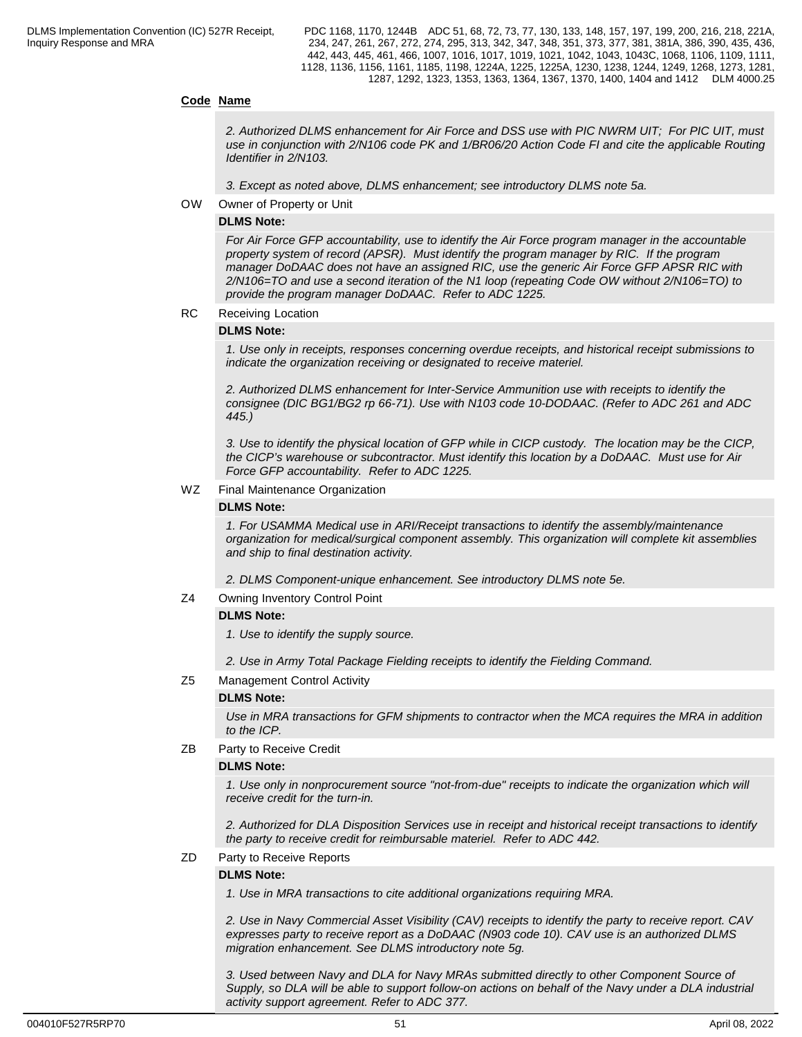### **Code Name**

*2. Authorized DLMS enhancement for Air Force and DSS use with PIC NWRM UIT; For PIC UIT, must use in conjunction with 2/N106 code PK and 1/BR06/20 Action Code FI and cite the applicable Routing Identifier in 2/N103.* 

*3. Except as noted above, DLMS enhancement; see introductory DLMS note 5a.*

OW Owner of Property or Unit

#### **DLMS Note:**

*For Air Force GFP accountability, use to identify the Air Force program manager in the accountable property system of record (APSR). Must identify the program manager by RIC. If the program manager DoDAAC does not have an assigned RIC, use the generic Air Force GFP APSR RIC with 2/N106=TO and use a second iteration of the N1 loop (repeating Code OW without 2/N106=TO) to provide the program manager DoDAAC. Refer to ADC 1225.*

RC Receiving Location

#### **DLMS Note:**

*1. Use only in receipts, responses concerning overdue receipts, and historical receipt submissions to indicate the organization receiving or designated to receive materiel.*

*2. Authorized DLMS enhancement for Inter-Service Ammunition use with receipts to identify the consignee (DIC BG1/BG2 rp 66-71). Use with N103 code 10-DODAAC. (Refer to ADC 261 and ADC 445.)*

*3. Use to identify the physical location of GFP while in CICP custody. The location may be the CICP, the CICP's warehouse or subcontractor. Must identify this location by a DoDAAC. Must use for Air Force GFP accountability. Refer to ADC 1225.*

#### WZ Final Maintenance Organization

#### **DLMS Note:**

*1. For USAMMA Medical use in ARI/Receipt transactions to identify the assembly/maintenance organization for medical/surgical component assembly. This organization will complete kit assemblies and ship to final destination activity.*

*2. DLMS Component-unique enhancement. See introductory DLMS note 5e.*

#### Z4 Owning Inventory Control Point

#### **DLMS Note:**

*1. Use to identify the supply source.*

*2. Use in Army Total Package Fielding receipts to identify the Fielding Command.*

#### Z5 Management Control Activity

#### **DLMS Note:**

*Use in MRA transactions for GFM shipments to contractor when the MCA requires the MRA in addition to the ICP.*

#### ZB Party to Receive Credit

#### **DLMS Note:**

*1. Use only in nonprocurement source "not-from-due" receipts to indicate the organization which will receive credit for the turn-in.*

*2. Authorized for DLA Disposition Services use in receipt and historical receipt transactions to identify the party to receive credit for reimbursable materiel. Refer to ADC 442.*

### ZD Party to Receive Reports

#### **DLMS Note:**

*1. Use in MRA transactions to cite additional organizations requiring MRA.*

*2. Use in Navy Commercial Asset Visibility (CAV) receipts to identify the party to receive report. CAV expresses party to receive report as a DoDAAC (N903 code 10). CAV use is an authorized DLMS migration enhancement. See DLMS introductory note 5g.*

*3. Used between Navy and DLA for Navy MRAs submitted directly to other Component Source of Supply, so DLA will be able to support follow-on actions on behalf of the Navy under a DLA industrial activity support agreement. Refer to ADC 377.*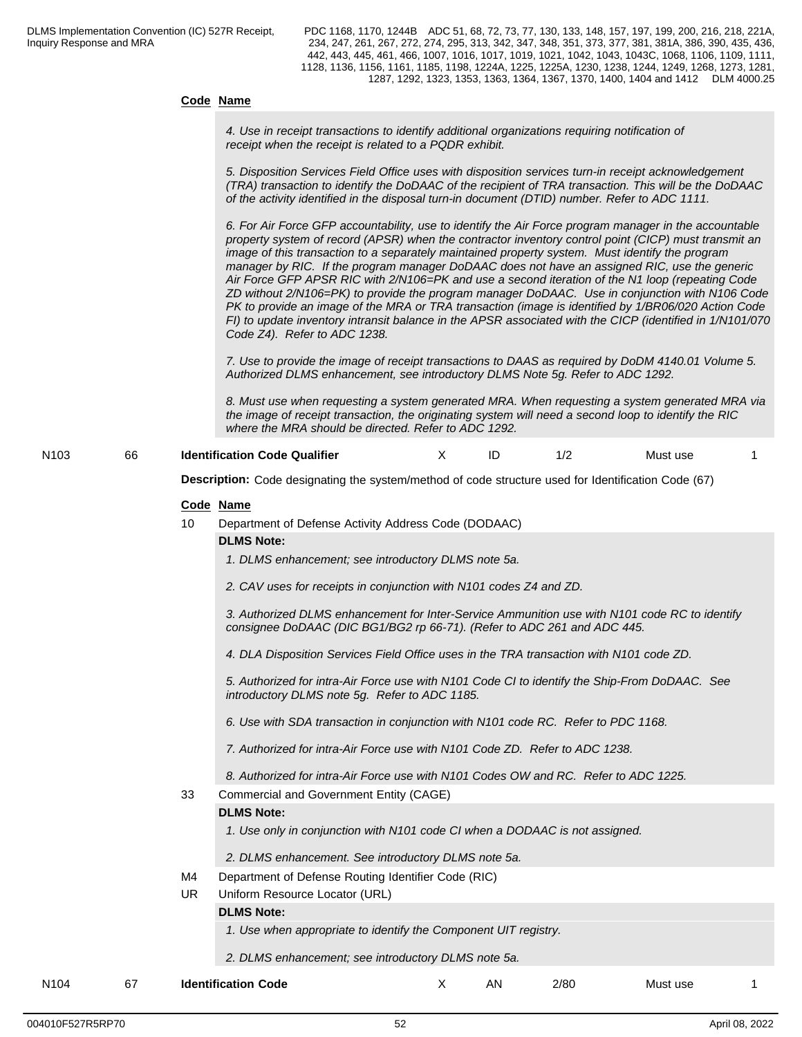| Code Name |  |  |
|-----------|--|--|
|           |  |  |

*4. Use in receipt transactions to identify additional organizations requiring notification of receipt when the receipt is related to a PQDR exhibit.*

*5. Disposition Services Field Office uses with disposition services turn-in receipt acknowledgement (TRA) transaction to identify the DoDAAC of the recipient of TRA transaction. This will be the DoDAAC of the activity identified in the disposal turn-in document (DTID) number. Refer to ADC 1111.*

*6. For Air Force GFP accountability, use to identify the Air Force program manager in the accountable property system of record (APSR) when the contractor inventory control point (CICP) must transmit an image of this transaction to a separately maintained property system. Must identify the program manager by RIC. If the program manager DoDAAC does not have an assigned RIC, use the generic Air Force GFP APSR RIC with 2/N106=PK and use a second iteration of the N1 loop (repeating Code ZD without 2/N106=PK) to provide the program manager DoDAAC. Use in conjunction with N106 Code PK to provide an image of the MRA or TRA transaction (image is identified by 1/BR06/020 Action Code FI) to update inventory intransit balance in the APSR associated with the CICP (identified in 1/N101/070 Code Z4). Refer to ADC 1238.*

*7. Use to provide the image of receipt transactions to DAAS as required by DoDM 4140.01 Volume 5. Authorized DLMS enhancement, see introductory DLMS Note 5g. Refer to ADC 1292.*

*8. Must use when requesting a system generated MRA. When requesting a system generated MRA via the image of receipt transaction, the originating system will need a second loop to identify the RIC where the MRA should be directed. Refer to ADC 1292.*

N103 66 **Identification Code Qualifier** Must Note 1/2 Must use 1

**Description:** Code designating the system/method of code structure used for Identification Code (67)

#### **Code Name**

10 Department of Defense Activity Address Code (DODAAC)

#### **DLMS Note:**

*1. DLMS enhancement; see introductory DLMS note 5a.*

*2. CAV uses for receipts in conjunction with N101 codes Z4 and ZD.*

*3. Authorized DLMS enhancement for Inter-Service Ammunition use with N101 code RC to identify consignee DoDAAC (DIC BG1/BG2 rp 66-71). (Refer to ADC 261 and ADC 445.*

*4. DLA Disposition Services Field Office uses in the TRA transaction with N101 code ZD.*

*5. Authorized for intra-Air Force use with N101 Code CI to identify the Ship-From DoDAAC. See introductory DLMS note 5g. Refer to ADC 1185.* 

*6. Use with SDA transaction in conjunction with N101 code RC. Refer to PDC 1168.*

*7. Authorized for intra-Air Force use with N101 Code ZD. Refer to ADC 1238.*

*8. Authorized for intra-Air Force use with N101 Codes OW and RC. Refer to ADC 1225.*

### 33 Commercial and Government Entity (CAGE)

#### **DLMS Note:**

*1. Use only in conjunction with N101 code CI when a DODAAC is not assigned.*

*2. DLMS enhancement. See introductory DLMS note 5a.*

M4 Department of Defense Routing Identifier Code (RIC)

UR Uniform Resource Locator (URL)

#### **DLMS Note:**

- *1. Use when appropriate to identify the Component UIT registry.*
- *2. DLMS enhancement; see introductory DLMS note 5a.*

N104 67 **Identification Code** X AN 2/80 Must use 1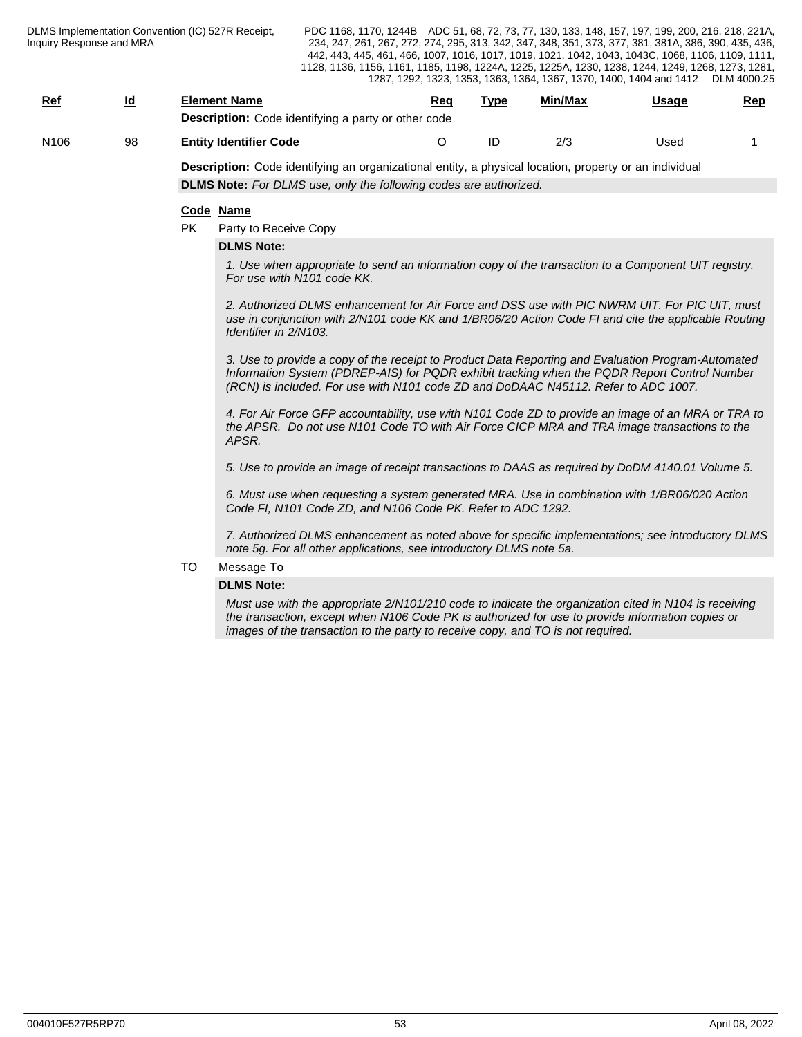| <b>Ref</b> | <u>ld</u> | Element Name                                               | Rec | Type | Min/Max | Usage | <u>Rep</u> |
|------------|-----------|------------------------------------------------------------|-----|------|---------|-------|------------|
|            |           | <b>Description:</b> Code identifying a party or other code |     |      |         |       |            |
| N106       | 98        | <b>Entity Identifier Code</b>                              |     |      | 2/3     | Used  |            |

**Description:** Code identifying an organizational entity, a physical location, property or an individual **DLMS Note:** *For DLMS use, only the following codes are authorized.*

#### **Code Name**

PK Party to Receive Copy

#### **DLMS Note:**

*1. Use when appropriate to send an information copy of the transaction to a Component UIT registry. For use with N101 code KK.*

*2. Authorized DLMS enhancement for Air Force and DSS use with PIC NWRM UIT. For PIC UIT, must use in conjunction with 2/N101 code KK and 1/BR06/20 Action Code FI and cite the applicable Routing Identifier in 2/N103.*

*3. Use to provide a copy of the receipt to Product Data Reporting and Evaluation Program-Automated Information System (PDREP-AIS) for PQDR exhibit tracking when the PQDR Report Control Number (RCN) is included. For use with N101 code ZD and DoDAAC N45112. Refer to ADC 1007.* 

*4. For Air Force GFP accountability, use with N101 Code ZD to provide an image of an MRA or TRA to the APSR. Do not use N101 Code TO with Air Force CICP MRA and TRA image transactions to the APSR.*

*5. Use to provide an image of receipt transactions to DAAS as required by DoDM 4140.01 Volume 5.* 

*6. Must use when requesting a system generated MRA. Use in combination with 1/BR06/020 Action Code FI, N101 Code ZD, and N106 Code PK. Refer to ADC 1292.* 

*7. Authorized DLMS enhancement as noted above for specific implementations; see introductory DLMS note 5g. For all other applications, see introductory DLMS note 5a.* 

#### TO Message To

#### **DLMS Note:**

*Must use with the appropriate 2/N101/210 code to indicate the organization cited in N104 is receiving the transaction, except when N106 Code PK is authorized for use to provide information copies or images of the transaction to the party to receive copy, and TO is not required.*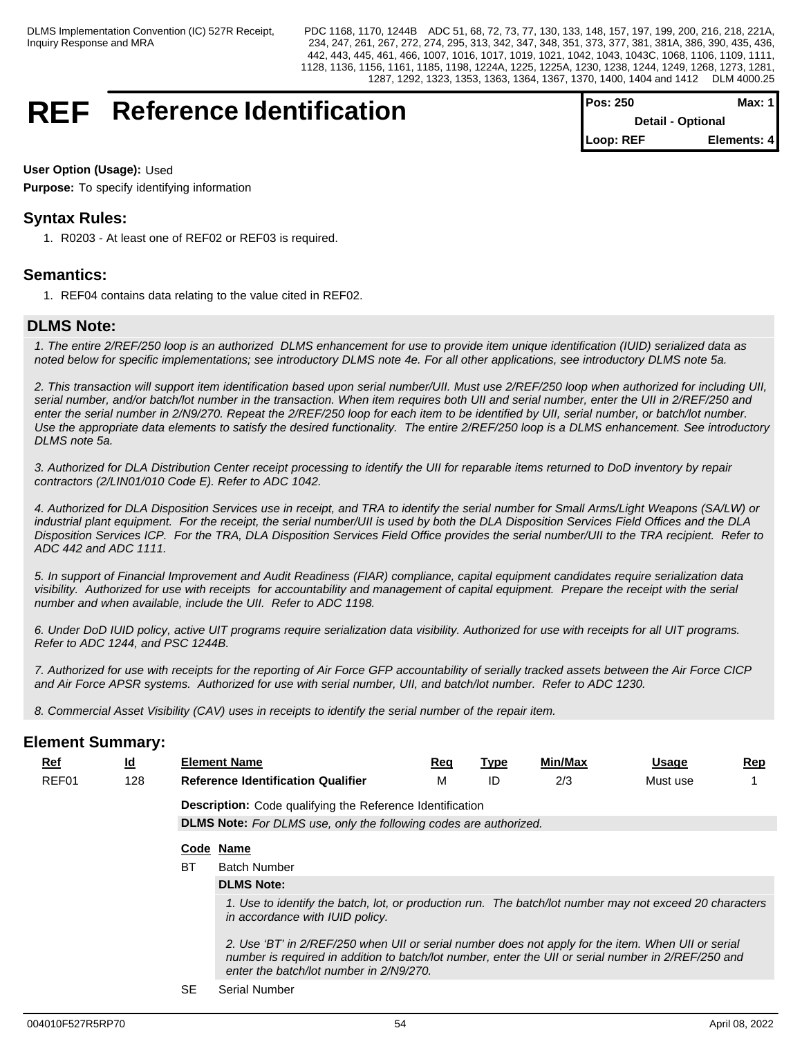## **REF** Reference Identification **Pos: 250**

| I POS: 250               | Max: 1 I    |
|--------------------------|-------------|
| <b>Detail - Optional</b> |             |
| Loop: REF                | Elements: 4 |

#### **User Option (Usage):** Used

**Purpose:** To specify identifying information

## **Syntax Rules:**

1. R0203 - At least one of REF02 or REF03 is required.

## **Semantics:**

1. REF04 contains data relating to the value cited in REF02.

## **DLMS Note:**

*1. The entire 2/REF/250 loop is an authorized DLMS enhancement for use to provide item unique identification (IUID) serialized data as noted below for specific implementations; see introductory DLMS note 4e. For all other applications, see introductory DLMS note 5a.*

*2. This transaction will support item identification based upon serial number/UII. Must use 2/REF/250 loop when authorized for including UII, serial number, and/or batch/lot number in the transaction. When item requires both UII and serial number, enter the UII in 2/REF/250 and enter the serial number in 2/N9/270. Repeat the 2/REF/250 loop for each item to be identified by UII, serial number, or batch/lot number. Use the appropriate data elements to satisfy the desired functionality. The entire 2/REF/250 loop is a DLMS enhancement. See introductory DLMS note 5a.* 

*3. Authorized for DLA Distribution Center receipt processing to identify the UII for reparable items returned to DoD inventory by repair contractors (2/LIN01/010 Code E). Refer to ADC 1042.* 

*4. Authorized for DLA Disposition Services use in receipt, and TRA to identify the serial number for Small Arms/Light Weapons (SA/LW) or industrial plant equipment. For the receipt, the serial number/UII is used by both the DLA Disposition Services Field Offices and the DLA Disposition Services ICP. For the TRA, DLA Disposition Services Field Office provides the serial number/UII to the TRA recipient. Refer to ADC 442 and ADC 1111.*

*5. In support of Financial Improvement and Audit Readiness (FIAR) compliance, capital equipment candidates require serialization data visibility. Authorized for use with receipts for accountability and management of capital equipment. Prepare the receipt with the serial number and when available, include the UII. Refer to ADC 1198.*

*6. Under DoD IUID policy, active UIT programs require serialization data visibility. Authorized for use with receipts for all UIT programs. Refer to ADC 1244, and PSC 1244B.*

*7. Authorized for use with receipts for the reporting of Air Force GFP accountability of serially tracked assets between the Air Force CICP and Air Force APSR systems. Authorized for use with serial number, UII, and batch/lot number. Refer to ADC 1230.*

*8. Commercial Asset Visibility (CAV) uses in receipts to identify the serial number of the repair item.*

| <b>Element Summary:</b> |                           |           |                                                                                                                                                                                                                                                      |            |             |         |              |            |
|-------------------------|---------------------------|-----------|------------------------------------------------------------------------------------------------------------------------------------------------------------------------------------------------------------------------------------------------------|------------|-------------|---------|--------------|------------|
| <u>Ref</u>              | $\underline{\mathsf{Id}}$ |           | <b>Element Name</b>                                                                                                                                                                                                                                  | <u>Req</u> | <u>Type</u> | Min/Max | <u>Usage</u> | <u>Rep</u> |
| REF01                   | 128                       |           | <b>Reference Identification Qualifier</b>                                                                                                                                                                                                            | м          | ID          | 2/3     | Must use     |            |
|                         |                           |           | <b>Description:</b> Code qualifying the Reference Identification                                                                                                                                                                                     |            |             |         |              |            |
|                         |                           |           | <b>DLMS Note:</b> For DLMS use, only the following codes are authorized.                                                                                                                                                                             |            |             |         |              |            |
|                         |                           |           | Code Name                                                                                                                                                                                                                                            |            |             |         |              |            |
|                         |                           | <b>BT</b> | <b>Batch Number</b>                                                                                                                                                                                                                                  |            |             |         |              |            |
|                         |                           |           | <b>DLMS Note:</b>                                                                                                                                                                                                                                    |            |             |         |              |            |
|                         |                           |           | 1. Use to identify the batch, lot, or production run. The batch/lot number may not exceed 20 characters<br>in accordance with IUID policy.                                                                                                           |            |             |         |              |            |
|                         |                           |           | 2. Use 'BT' in 2/REF/250 when UII or serial number does not apply for the item. When UII or serial<br>number is required in addition to batch/lot number, enter the UII or serial number in 2/REF/250 and<br>enter the batch/lot number in 2/N9/270. |            |             |         |              |            |
|                         |                           | <b>SE</b> | <b>Serial Number</b>                                                                                                                                                                                                                                 |            |             |         |              |            |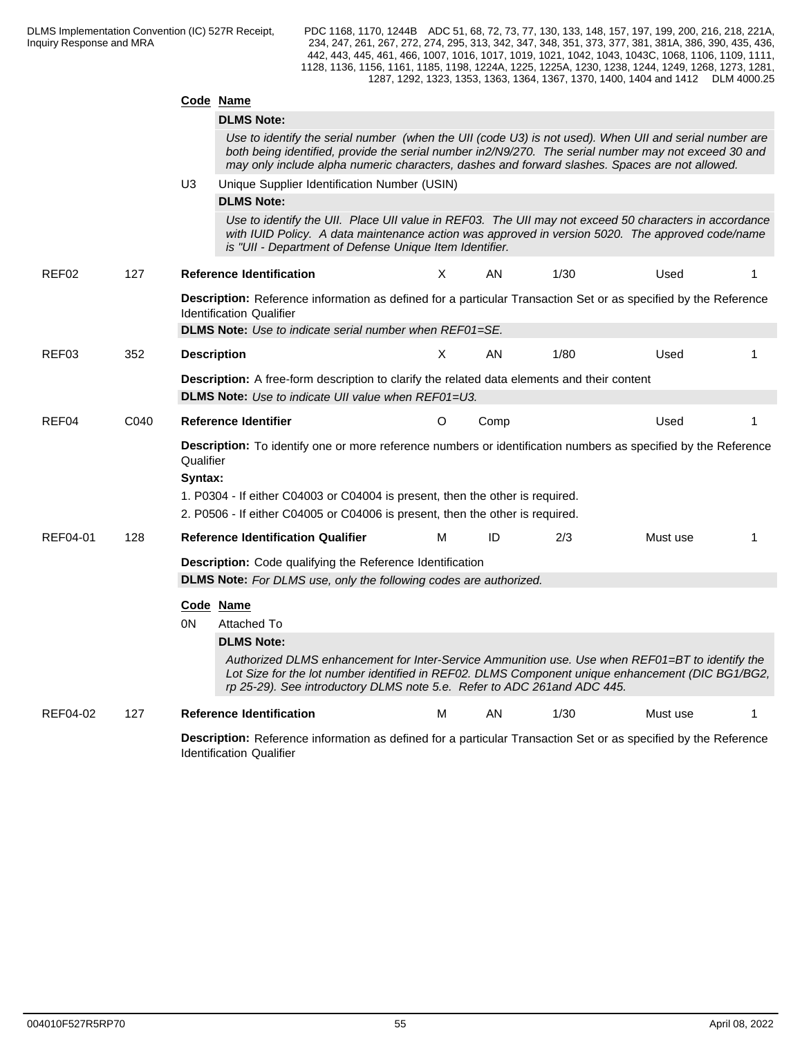| <b>DLMS Note:</b><br>Use to identify the serial number (when the UII (code U3) is not used). When UII and serial number are<br>both being identified, provide the serial number in2/N9/270. The serial number may not exceed 30 and<br>may only include alpha numeric characters, dashes and forward slashes. Spaces are not allowed.<br>U3<br>Unique Supplier Identification Number (USIN)<br><b>DLMS Note:</b><br>Use to identify the UII. Place UII value in REF03. The UII may not exceed 50 characters in accordance<br>with IUID Policy. A data maintenance action was approved in version 5020. The approved code/name<br>is "UII - Department of Defense Unique Item Identifier.<br>X<br>1/30<br>REF <sub>02</sub><br>127<br><b>Reference Identification</b><br>AN.<br>Used<br>Description: Reference information as defined for a particular Transaction Set or as specified by the Reference<br><b>Identification Qualifier</b><br><b>DLMS Note:</b> Use to indicate serial number when REF01=SE.<br>352<br>Χ<br>AN<br>1/80<br>Used<br>REF03<br><b>Description</b><br>Description: A free-form description to clarify the related data elements and their content<br><b>DLMS Note:</b> Use to indicate UII value when REF01=U3.<br>REF04<br>C040<br>O<br>Used<br>Reference Identifier<br>Comp<br>Description: To identify one or more reference numbers or identification numbers as specified by the Reference<br>Qualifier<br>Syntax:<br>1. P0304 - If either C04003 or C04004 is present, then the other is required.<br>2. P0506 - If either C04005 or C04006 is present, then the other is required.<br>ID<br>REF04-01<br>128<br><b>Reference Identification Qualifier</b><br>М<br>2/3<br>Must use<br>Description: Code qualifying the Reference Identification<br><b>DLMS Note:</b> For DLMS use, only the following codes are authorized.<br>Code Name<br>0N<br>Attached To<br><b>DLMS Note:</b><br>Authorized DLMS enhancement for Inter-Service Ammunition use. Use when REF01=BT to identify the<br>Lot Size for the lot number identified in REF02. DLMS Component unique enhancement (DIC BG1/BG2,<br>rp 25-29). See introductory DLMS note 5.e. Refer to ADC 261and ADC 445.<br>1/30<br>REF04-02<br>127<br><b>Reference Identification</b><br>M<br>AN.<br>Must use<br>Description: Reference information as defined for a particular Transaction Set or as specified by the Reference |  | Code Name |  |  |  |
|--------------------------------------------------------------------------------------------------------------------------------------------------------------------------------------------------------------------------------------------------------------------------------------------------------------------------------------------------------------------------------------------------------------------------------------------------------------------------------------------------------------------------------------------------------------------------------------------------------------------------------------------------------------------------------------------------------------------------------------------------------------------------------------------------------------------------------------------------------------------------------------------------------------------------------------------------------------------------------------------------------------------------------------------------------------------------------------------------------------------------------------------------------------------------------------------------------------------------------------------------------------------------------------------------------------------------------------------------------------------------------------------------------------------------------------------------------------------------------------------------------------------------------------------------------------------------------------------------------------------------------------------------------------------------------------------------------------------------------------------------------------------------------------------------------------------------------------------------------------------------------------------------------------------------------------------------------------------------------------------------------------------------------------------------------------------------------------------------------------------------------------------------------------------------------------------------------------------------------------------------------------------------------------------------------------------------------------------------------------------------------------------------------------|--|-----------|--|--|--|
|                                                                                                                                                                                                                                                                                                                                                                                                                                                                                                                                                                                                                                                                                                                                                                                                                                                                                                                                                                                                                                                                                                                                                                                                                                                                                                                                                                                                                                                                                                                                                                                                                                                                                                                                                                                                                                                                                                                                                                                                                                                                                                                                                                                                                                                                                                                                                                                                              |  |           |  |  |  |
|                                                                                                                                                                                                                                                                                                                                                                                                                                                                                                                                                                                                                                                                                                                                                                                                                                                                                                                                                                                                                                                                                                                                                                                                                                                                                                                                                                                                                                                                                                                                                                                                                                                                                                                                                                                                                                                                                                                                                                                                                                                                                                                                                                                                                                                                                                                                                                                                              |  |           |  |  |  |
|                                                                                                                                                                                                                                                                                                                                                                                                                                                                                                                                                                                                                                                                                                                                                                                                                                                                                                                                                                                                                                                                                                                                                                                                                                                                                                                                                                                                                                                                                                                                                                                                                                                                                                                                                                                                                                                                                                                                                                                                                                                                                                                                                                                                                                                                                                                                                                                                              |  |           |  |  |  |
|                                                                                                                                                                                                                                                                                                                                                                                                                                                                                                                                                                                                                                                                                                                                                                                                                                                                                                                                                                                                                                                                                                                                                                                                                                                                                                                                                                                                                                                                                                                                                                                                                                                                                                                                                                                                                                                                                                                                                                                                                                                                                                                                                                                                                                                                                                                                                                                                              |  |           |  |  |  |
|                                                                                                                                                                                                                                                                                                                                                                                                                                                                                                                                                                                                                                                                                                                                                                                                                                                                                                                                                                                                                                                                                                                                                                                                                                                                                                                                                                                                                                                                                                                                                                                                                                                                                                                                                                                                                                                                                                                                                                                                                                                                                                                                                                                                                                                                                                                                                                                                              |  |           |  |  |  |
|                                                                                                                                                                                                                                                                                                                                                                                                                                                                                                                                                                                                                                                                                                                                                                                                                                                                                                                                                                                                                                                                                                                                                                                                                                                                                                                                                                                                                                                                                                                                                                                                                                                                                                                                                                                                                                                                                                                                                                                                                                                                                                                                                                                                                                                                                                                                                                                                              |  |           |  |  |  |
|                                                                                                                                                                                                                                                                                                                                                                                                                                                                                                                                                                                                                                                                                                                                                                                                                                                                                                                                                                                                                                                                                                                                                                                                                                                                                                                                                                                                                                                                                                                                                                                                                                                                                                                                                                                                                                                                                                                                                                                                                                                                                                                                                                                                                                                                                                                                                                                                              |  |           |  |  |  |
|                                                                                                                                                                                                                                                                                                                                                                                                                                                                                                                                                                                                                                                                                                                                                                                                                                                                                                                                                                                                                                                                                                                                                                                                                                                                                                                                                                                                                                                                                                                                                                                                                                                                                                                                                                                                                                                                                                                                                                                                                                                                                                                                                                                                                                                                                                                                                                                                              |  |           |  |  |  |
|                                                                                                                                                                                                                                                                                                                                                                                                                                                                                                                                                                                                                                                                                                                                                                                                                                                                                                                                                                                                                                                                                                                                                                                                                                                                                                                                                                                                                                                                                                                                                                                                                                                                                                                                                                                                                                                                                                                                                                                                                                                                                                                                                                                                                                                                                                                                                                                                              |  |           |  |  |  |
|                                                                                                                                                                                                                                                                                                                                                                                                                                                                                                                                                                                                                                                                                                                                                                                                                                                                                                                                                                                                                                                                                                                                                                                                                                                                                                                                                                                                                                                                                                                                                                                                                                                                                                                                                                                                                                                                                                                                                                                                                                                                                                                                                                                                                                                                                                                                                                                                              |  |           |  |  |  |
|                                                                                                                                                                                                                                                                                                                                                                                                                                                                                                                                                                                                                                                                                                                                                                                                                                                                                                                                                                                                                                                                                                                                                                                                                                                                                                                                                                                                                                                                                                                                                                                                                                                                                                                                                                                                                                                                                                                                                                                                                                                                                                                                                                                                                                                                                                                                                                                                              |  |           |  |  |  |
|                                                                                                                                                                                                                                                                                                                                                                                                                                                                                                                                                                                                                                                                                                                                                                                                                                                                                                                                                                                                                                                                                                                                                                                                                                                                                                                                                                                                                                                                                                                                                                                                                                                                                                                                                                                                                                                                                                                                                                                                                                                                                                                                                                                                                                                                                                                                                                                                              |  |           |  |  |  |
|                                                                                                                                                                                                                                                                                                                                                                                                                                                                                                                                                                                                                                                                                                                                                                                                                                                                                                                                                                                                                                                                                                                                                                                                                                                                                                                                                                                                                                                                                                                                                                                                                                                                                                                                                                                                                                                                                                                                                                                                                                                                                                                                                                                                                                                                                                                                                                                                              |  |           |  |  |  |
|                                                                                                                                                                                                                                                                                                                                                                                                                                                                                                                                                                                                                                                                                                                                                                                                                                                                                                                                                                                                                                                                                                                                                                                                                                                                                                                                                                                                                                                                                                                                                                                                                                                                                                                                                                                                                                                                                                                                                                                                                                                                                                                                                                                                                                                                                                                                                                                                              |  |           |  |  |  |
|                                                                                                                                                                                                                                                                                                                                                                                                                                                                                                                                                                                                                                                                                                                                                                                                                                                                                                                                                                                                                                                                                                                                                                                                                                                                                                                                                                                                                                                                                                                                                                                                                                                                                                                                                                                                                                                                                                                                                                                                                                                                                                                                                                                                                                                                                                                                                                                                              |  |           |  |  |  |
|                                                                                                                                                                                                                                                                                                                                                                                                                                                                                                                                                                                                                                                                                                                                                                                                                                                                                                                                                                                                                                                                                                                                                                                                                                                                                                                                                                                                                                                                                                                                                                                                                                                                                                                                                                                                                                                                                                                                                                                                                                                                                                                                                                                                                                                                                                                                                                                                              |  |           |  |  |  |
|                                                                                                                                                                                                                                                                                                                                                                                                                                                                                                                                                                                                                                                                                                                                                                                                                                                                                                                                                                                                                                                                                                                                                                                                                                                                                                                                                                                                                                                                                                                                                                                                                                                                                                                                                                                                                                                                                                                                                                                                                                                                                                                                                                                                                                                                                                                                                                                                              |  |           |  |  |  |
|                                                                                                                                                                                                                                                                                                                                                                                                                                                                                                                                                                                                                                                                                                                                                                                                                                                                                                                                                                                                                                                                                                                                                                                                                                                                                                                                                                                                                                                                                                                                                                                                                                                                                                                                                                                                                                                                                                                                                                                                                                                                                                                                                                                                                                                                                                                                                                                                              |  |           |  |  |  |
|                                                                                                                                                                                                                                                                                                                                                                                                                                                                                                                                                                                                                                                                                                                                                                                                                                                                                                                                                                                                                                                                                                                                                                                                                                                                                                                                                                                                                                                                                                                                                                                                                                                                                                                                                                                                                                                                                                                                                                                                                                                                                                                                                                                                                                                                                                                                                                                                              |  |           |  |  |  |
|                                                                                                                                                                                                                                                                                                                                                                                                                                                                                                                                                                                                                                                                                                                                                                                                                                                                                                                                                                                                                                                                                                                                                                                                                                                                                                                                                                                                                                                                                                                                                                                                                                                                                                                                                                                                                                                                                                                                                                                                                                                                                                                                                                                                                                                                                                                                                                                                              |  |           |  |  |  |
|                                                                                                                                                                                                                                                                                                                                                                                                                                                                                                                                                                                                                                                                                                                                                                                                                                                                                                                                                                                                                                                                                                                                                                                                                                                                                                                                                                                                                                                                                                                                                                                                                                                                                                                                                                                                                                                                                                                                                                                                                                                                                                                                                                                                                                                                                                                                                                                                              |  |           |  |  |  |
|                                                                                                                                                                                                                                                                                                                                                                                                                                                                                                                                                                                                                                                                                                                                                                                                                                                                                                                                                                                                                                                                                                                                                                                                                                                                                                                                                                                                                                                                                                                                                                                                                                                                                                                                                                                                                                                                                                                                                                                                                                                                                                                                                                                                                                                                                                                                                                                                              |  |           |  |  |  |
|                                                                                                                                                                                                                                                                                                                                                                                                                                                                                                                                                                                                                                                                                                                                                                                                                                                                                                                                                                                                                                                                                                                                                                                                                                                                                                                                                                                                                                                                                                                                                                                                                                                                                                                                                                                                                                                                                                                                                                                                                                                                                                                                                                                                                                                                                                                                                                                                              |  |           |  |  |  |
|                                                                                                                                                                                                                                                                                                                                                                                                                                                                                                                                                                                                                                                                                                                                                                                                                                                                                                                                                                                                                                                                                                                                                                                                                                                                                                                                                                                                                                                                                                                                                                                                                                                                                                                                                                                                                                                                                                                                                                                                                                                                                                                                                                                                                                                                                                                                                                                                              |  |           |  |  |  |

Identification Qualifier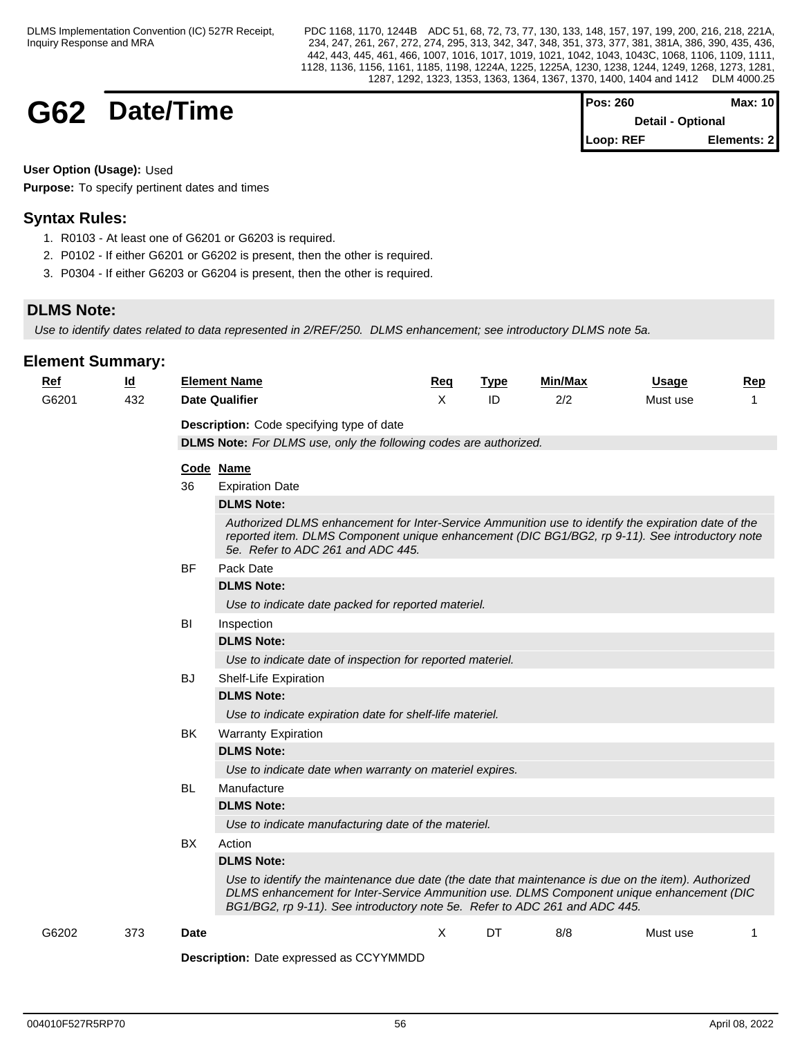**G62 Date/Time** 

| IPos: 260         | Max: 10     |
|-------------------|-------------|
| Detail - Optional |             |
| Loop: REF         | Elements: 2 |

**User Option (Usage):** Used

**Purpose:** To specify pertinent dates and times

## **Syntax Rules:**

- 1. R0103 At least one of G6201 or G6203 is required.
- 2. P0102 If either G6201 or G6202 is present, then the other is required.
- 3. P0304 If either G6203 or G6204 is present, then the other is required.

## **DLMS Note:**

*Use to identify dates related to data represented in 2/REF/250. DLMS enhancement; see introductory DLMS note 5a.*

| 432<br><b>Date Qualifier</b><br>$\times$<br>ID<br>2/2<br>G6201<br>Must use<br>Description: Code specifying type of date<br><b>DLMS Note:</b> For DLMS use, only the following codes are authorized.<br>Code Name<br>36<br><b>Expiration Date</b>                               |
|--------------------------------------------------------------------------------------------------------------------------------------------------------------------------------------------------------------------------------------------------------------------------------|
|                                                                                                                                                                                                                                                                                |
|                                                                                                                                                                                                                                                                                |
|                                                                                                                                                                                                                                                                                |
|                                                                                                                                                                                                                                                                                |
|                                                                                                                                                                                                                                                                                |
| <b>DLMS Note:</b>                                                                                                                                                                                                                                                              |
| Authorized DLMS enhancement for Inter-Service Ammunition use to identify the expiration date of the<br>reported item. DLMS Component unique enhancement (DIC BG1/BG2, rp 9-11). See introductory note<br>5e. Refer to ADC 261 and ADC 445.                                     |
| Pack Date<br><b>BF</b>                                                                                                                                                                                                                                                         |
| <b>DLMS Note:</b>                                                                                                                                                                                                                                                              |
| Use to indicate date packed for reported materiel.                                                                                                                                                                                                                             |
| BI<br>Inspection                                                                                                                                                                                                                                                               |
| <b>DLMS Note:</b>                                                                                                                                                                                                                                                              |
| Use to indicate date of inspection for reported materiel.                                                                                                                                                                                                                      |
| <b>BJ</b><br>Shelf-Life Expiration                                                                                                                                                                                                                                             |
| <b>DLMS Note:</b>                                                                                                                                                                                                                                                              |
| Use to indicate expiration date for shelf-life materiel.                                                                                                                                                                                                                       |
| BK<br><b>Warranty Expiration</b>                                                                                                                                                                                                                                               |
| <b>DLMS Note:</b>                                                                                                                                                                                                                                                              |
| Use to indicate date when warranty on materiel expires.                                                                                                                                                                                                                        |
| <b>BL</b><br>Manufacture                                                                                                                                                                                                                                                       |
| <b>DLMS Note:</b>                                                                                                                                                                                                                                                              |
| Use to indicate manufacturing date of the materiel.                                                                                                                                                                                                                            |
| BX<br>Action                                                                                                                                                                                                                                                                   |
| <b>DLMS Note:</b>                                                                                                                                                                                                                                                              |
| Use to identify the maintenance due date (the date that maintenance is due on the item). Authorized<br>DLMS enhancement for Inter-Service Ammunition use. DLMS Component unique enhancement (DIC<br>BG1/BG2, rp 9-11). See introductory note 5e. Refer to ADC 261 and ADC 445. |
| X<br>DT<br>G6202<br>373<br><b>Date</b><br>8/8<br>Must use<br>-1                                                                                                                                                                                                                |
| Description: Date expressed as CCYYMMDD                                                                                                                                                                                                                                        |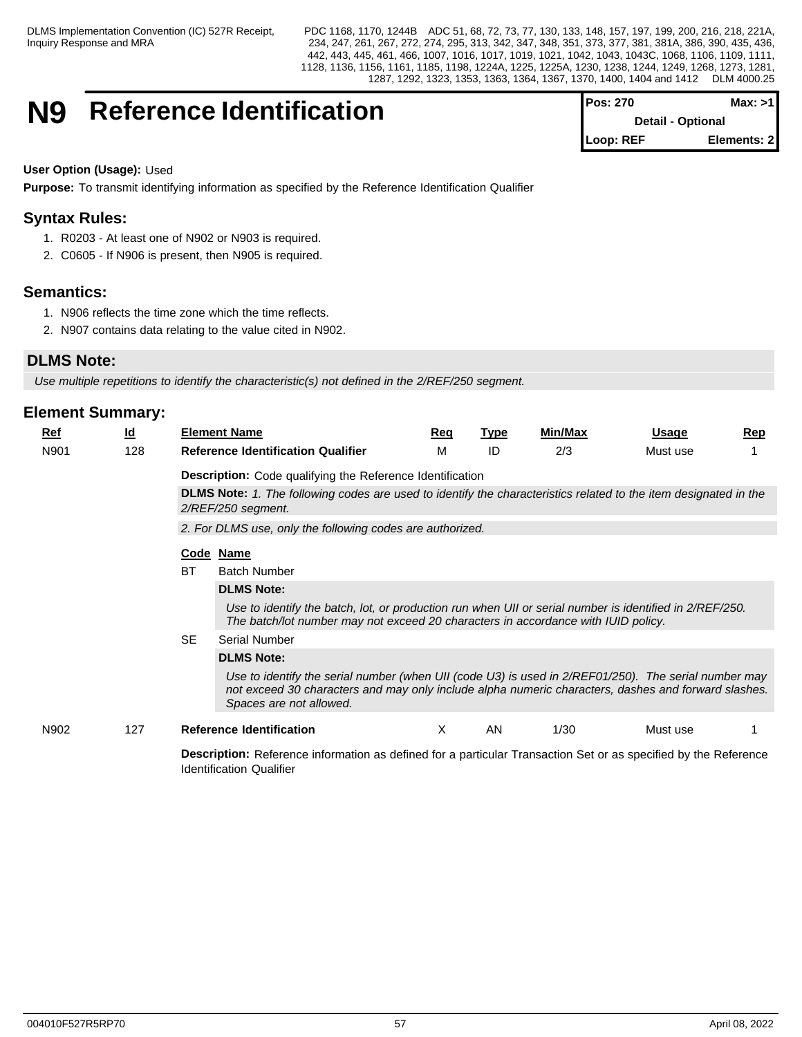## **N9** Reference Identification

| <b>IPos: 270</b>         | Max: >11    |
|--------------------------|-------------|
| <b>Detail - Optional</b> |             |
| Loop: REF                | Elements: 2 |

## **User Option (Usage):** Used

**Purpose:** To transmit identifying information as specified by the Reference Identification Qualifier

## **Syntax Rules:**

- 1. R0203 At least one of N902 or N903 is required.
- 2. C0605 If N906 is present, then N905 is required.

## **Semantics:**

- 1. N906 reflects the time zone which the time reflects.
- 2. N907 contains data relating to the value cited in N902.

## **DLMS Note:**

Use multiple repetitions to identify the characteristic(s) not defined in the 2/REF/250 segment.

Identification Qualifier

| Ref  | <u>ld</u> |                                                                                                                        | <b>Element Name</b>                                                                                                                                                                                                                    | Req | <u>Type</u> | Min/Max | <b>Usage</b> | <b>Rep</b> |  |  |  |  |
|------|-----------|------------------------------------------------------------------------------------------------------------------------|----------------------------------------------------------------------------------------------------------------------------------------------------------------------------------------------------------------------------------------|-----|-------------|---------|--------------|------------|--|--|--|--|
| N901 | 128       |                                                                                                                        | <b>Reference Identification Qualifier</b>                                                                                                                                                                                              | М   | ID          | 2/3     | Must use     |            |  |  |  |  |
|      |           |                                                                                                                        | <b>Description:</b> Code qualifying the Reference Identification                                                                                                                                                                       |     |             |         |              |            |  |  |  |  |
|      |           |                                                                                                                        | DLMS Note: 1. The following codes are used to identify the characteristics related to the item designated in the<br>2/REF/250 segment.                                                                                                 |     |             |         |              |            |  |  |  |  |
|      |           |                                                                                                                        | 2. For DLMS use, only the following codes are authorized.                                                                                                                                                                              |     |             |         |              |            |  |  |  |  |
|      |           |                                                                                                                        | Code Name                                                                                                                                                                                                                              |     |             |         |              |            |  |  |  |  |
|      |           | ВT                                                                                                                     | <b>Batch Number</b>                                                                                                                                                                                                                    |     |             |         |              |            |  |  |  |  |
|      |           |                                                                                                                        | <b>DLMS Note:</b><br>Use to identify the batch, lot, or production run when UII or serial number is identified in 2/REF/250.<br>The batch/lot number may not exceed 20 characters in accordance with IUID policy.                      |     |             |         |              |            |  |  |  |  |
|      |           |                                                                                                                        |                                                                                                                                                                                                                                        |     |             |         |              |            |  |  |  |  |
|      |           | <b>SE</b><br>Serial Number<br><b>DLMS Note:</b>                                                                        |                                                                                                                                                                                                                                        |     |             |         |              |            |  |  |  |  |
|      |           |                                                                                                                        |                                                                                                                                                                                                                                        |     |             |         |              |            |  |  |  |  |
|      |           |                                                                                                                        | Use to identify the serial number (when UII (code U3) is used in 2/REF01/250). The serial number may<br>not exceed 30 characters and may only include alpha numeric characters, dashes and forward slashes.<br>Spaces are not allowed. |     |             |         |              |            |  |  |  |  |
| N902 | 127       |                                                                                                                        | <b>Reference Identification</b>                                                                                                                                                                                                        | X   | AN          | 1/30    | Must use     |            |  |  |  |  |
|      |           | <b>Description:</b> Reference information as defined for a particular Transaction Set or as specified by the Reference |                                                                                                                                                                                                                                        |     |             |         |              |            |  |  |  |  |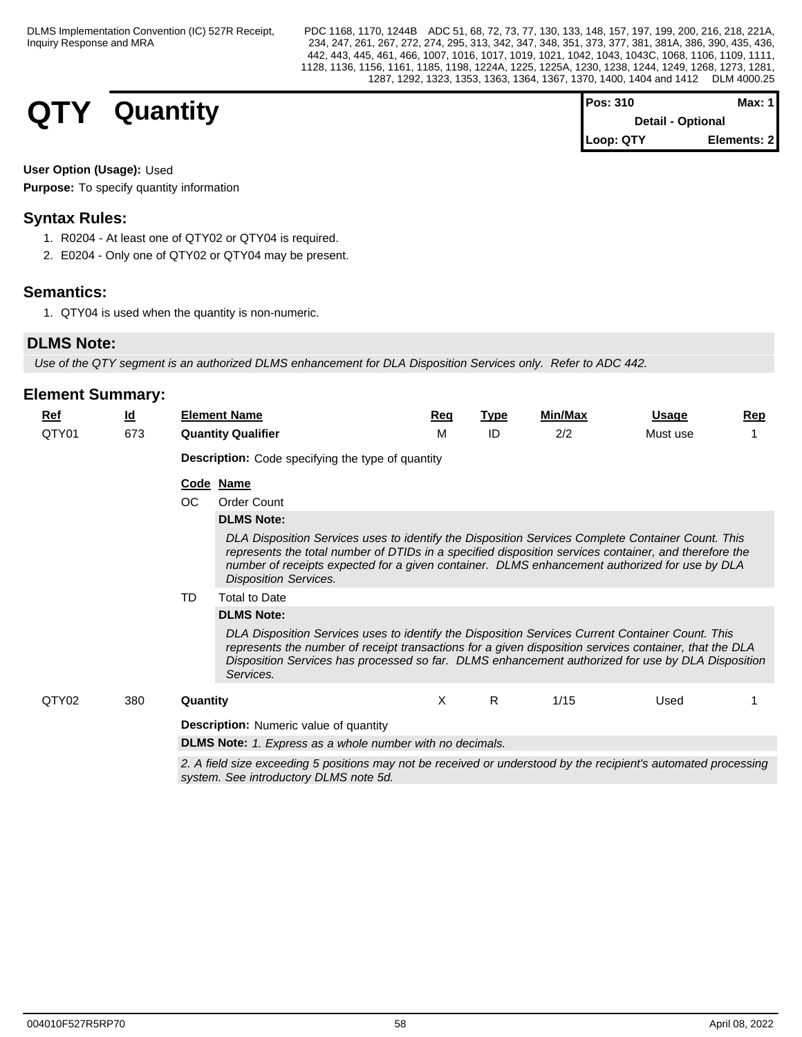| <b>QTY</b><br>- | Quantity | Pos: 310<br><b>Detail - Optional</b> | <b>Max: 1</b> |  |
|-----------------|----------|--------------------------------------|---------------|--|
|                 |          | Loop: QTY                            | Elements: 2   |  |

## **User Option (Usage):** Used

**Purpose:** To specify quantity information

## **Syntax Rules:**

- 1. R0204 At least one of QTY02 or QTY04 is required.
- 2. E0204 Only one of QTY02 or QTY04 may be present.

## **Semantics:**

1. QTY04 is used when the quantity is non-numeric.

## **DLMS Note:**

*Use of the QTY segment is an authorized DLMS enhancement for DLA Disposition Services only. Refer to ADC 442.*

| Ref   | <u>ld</u> |                                                                                                                                                           | <b>Element Name</b>                                                                                                                                                                                                                                                                                                                         | Reg | <b>Type</b> | Min/Max | Usage    | Rep |  |  |  |  |
|-------|-----------|-----------------------------------------------------------------------------------------------------------------------------------------------------------|---------------------------------------------------------------------------------------------------------------------------------------------------------------------------------------------------------------------------------------------------------------------------------------------------------------------------------------------|-----|-------------|---------|----------|-----|--|--|--|--|
| QTY01 | 673       |                                                                                                                                                           | <b>Quantity Qualifier</b>                                                                                                                                                                                                                                                                                                                   | м   | ID          | 2/2     | Must use |     |  |  |  |  |
|       |           |                                                                                                                                                           | <b>Description:</b> Code specifying the type of quantity                                                                                                                                                                                                                                                                                    |     |             |         |          |     |  |  |  |  |
|       |           | OC                                                                                                                                                        | Code Name                                                                                                                                                                                                                                                                                                                                   |     |             |         |          |     |  |  |  |  |
|       |           |                                                                                                                                                           | <b>Order Count</b>                                                                                                                                                                                                                                                                                                                          |     |             |         |          |     |  |  |  |  |
|       |           |                                                                                                                                                           | <b>DLMS Note:</b>                                                                                                                                                                                                                                                                                                                           |     |             |         |          |     |  |  |  |  |
|       |           |                                                                                                                                                           | DLA Disposition Services uses to identify the Disposition Services Complete Container Count. This<br>represents the total number of DTIDs in a specified disposition services container, and therefore the<br>number of receipts expected for a given container. DLMS enhancement authorized for use by DLA<br><b>Disposition Services.</b> |     |             |         |          |     |  |  |  |  |
|       |           | TD                                                                                                                                                        | <b>Total to Date</b>                                                                                                                                                                                                                                                                                                                        |     |             |         |          |     |  |  |  |  |
|       |           |                                                                                                                                                           | <b>DLMS Note:</b>                                                                                                                                                                                                                                                                                                                           |     |             |         |          |     |  |  |  |  |
|       |           |                                                                                                                                                           | DLA Disposition Services uses to identify the Disposition Services Current Container Count. This<br>represents the number of receipt transactions for a given disposition services container, that the DLA<br>Disposition Services has processed so far. DLMS enhancement authorized for use by DLA Disposition<br>Services.                |     |             |         |          |     |  |  |  |  |
| QTY02 | 380       | Quantity                                                                                                                                                  |                                                                                                                                                                                                                                                                                                                                             | X   | R.          | 1/15    | Used     |     |  |  |  |  |
|       |           |                                                                                                                                                           | <b>Description:</b> Numeric value of quantity                                                                                                                                                                                                                                                                                               |     |             |         |          |     |  |  |  |  |
|       |           |                                                                                                                                                           | <b>DLMS Note:</b> 1. Express as a whole number with no decimals.                                                                                                                                                                                                                                                                            |     |             |         |          |     |  |  |  |  |
|       |           | 2. A field size exceeding 5 positions may not be received or understood by the recipient's automated processing<br>system. See introductory DLMS note 5d. |                                                                                                                                                                                                                                                                                                                                             |     |             |         |          |     |  |  |  |  |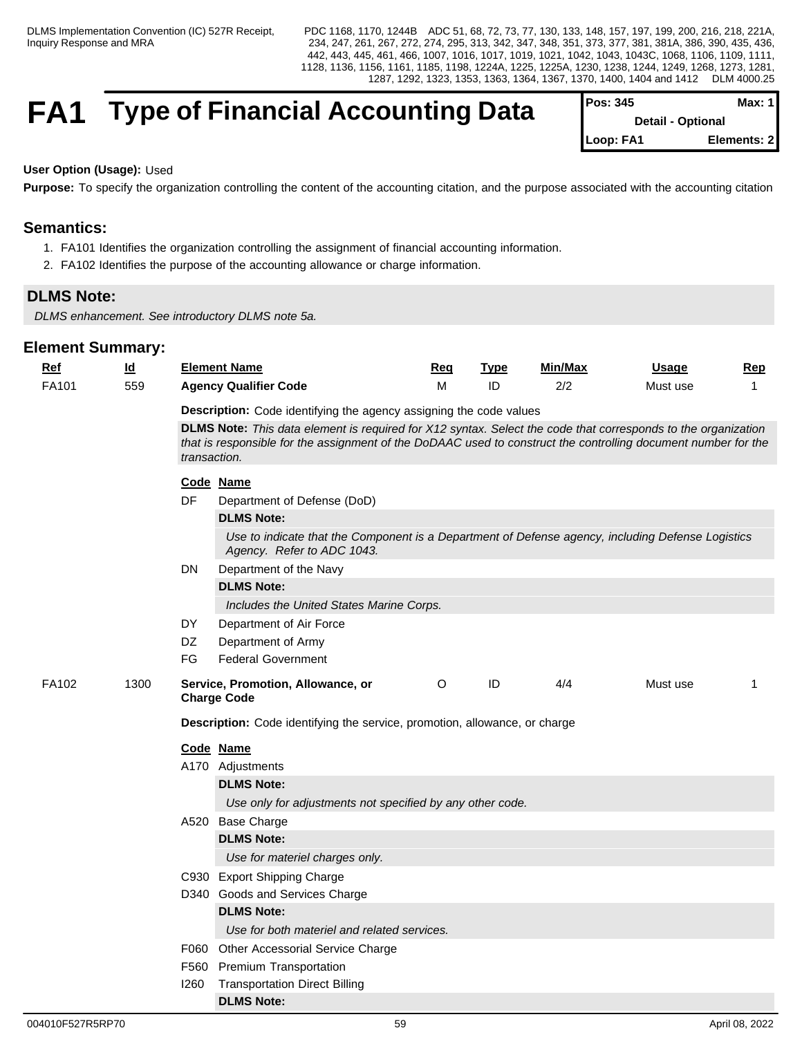## **FA1** Type of Financial Accounting Data

| <b>IPOS: 345</b>         | Max: 1 I    |
|--------------------------|-------------|
| <b>Detail - Optional</b> |             |
| Loop: FA1                | Elements: 2 |

## **User Option (Usage):** Used

Purpose: To specify the organization controlling the content of the accounting citation, and the purpose associated with the accounting citation

## **Semantics:**

- 1. FA101 Identifies the organization controlling the assignment of financial accounting information.
- 2. FA102 Identifies the purpose of the accounting allowance or charge information.

## **DLMS Note:**

*DLMS enhancement. See introductory DLMS note 5a.* 

| <b>Ref</b> | $\underline{\mathsf{Id}}$ | <b>Element Name</b> |                                                                                                                                 | Req     | <b>Type</b> | Min/Max | Usage    | <b>Rep</b>   |
|------------|---------------------------|---------------------|---------------------------------------------------------------------------------------------------------------------------------|---------|-------------|---------|----------|--------------|
| FA101      | 559                       |                     | <b>Agency Qualifier Code</b>                                                                                                    | M       | ID          | 2/2     | Must use | 1            |
|            |                           |                     | Description: Code identifying the agency assigning the code values                                                              |         |             |         |          |              |
|            |                           | transaction.<br>DF  | DLMS Note: This data element is required for X12 syntax. Select the code that corresponds to the organization                   |         |             |         |          |              |
|            |                           |                     | that is responsible for the assignment of the DoDAAC used to construct the controlling document number for the                  |         |             |         |          |              |
|            |                           |                     | Code Name                                                                                                                       |         |             |         |          |              |
|            |                           |                     | Department of Defense (DoD)                                                                                                     |         |             |         |          |              |
|            |                           |                     | <b>DLMS Note:</b>                                                                                                               |         |             |         |          |              |
|            |                           |                     | Use to indicate that the Component is a Department of Defense agency, including Defense Logistics<br>Agency. Refer to ADC 1043. |         |             |         |          |              |
|            |                           | DN                  | Department of the Navy                                                                                                          |         |             |         |          |              |
|            |                           |                     | <b>DLMS Note:</b>                                                                                                               |         |             |         |          |              |
|            |                           |                     | Includes the United States Marine Corps.                                                                                        |         |             |         |          |              |
|            |                           | DY                  | Department of Air Force                                                                                                         |         |             |         |          |              |
|            |                           | DZ                  | Department of Army                                                                                                              |         |             |         |          |              |
|            |                           | FG.                 | <b>Federal Government</b>                                                                                                       |         |             |         |          |              |
| FA102      | 1300                      |                     | Service, Promotion, Allowance, or<br><b>Charge Code</b>                                                                         | $\circ$ | ID          | 4/4     | Must use | $\mathbf{1}$ |
|            |                           |                     | Description: Code identifying the service, promotion, allowance, or charge                                                      |         |             |         |          |              |
|            |                           |                     | Code Name                                                                                                                       |         |             |         |          |              |
|            |                           |                     | A170 Adjustments                                                                                                                |         |             |         |          |              |
|            |                           |                     | <b>DLMS Note:</b>                                                                                                               |         |             |         |          |              |
|            |                           |                     | Use only for adjustments not specified by any other code.                                                                       |         |             |         |          |              |
|            |                           |                     | A520 Base Charge                                                                                                                |         |             |         |          |              |
|            |                           |                     | <b>DLMS Note:</b>                                                                                                               |         |             |         |          |              |
|            |                           |                     | Use for materiel charges only.                                                                                                  |         |             |         |          |              |
|            |                           |                     | C930 Export Shipping Charge                                                                                                     |         |             |         |          |              |
|            |                           |                     | D340 Goods and Services Charge                                                                                                  |         |             |         |          |              |
|            |                           |                     | <b>DLMS Note:</b>                                                                                                               |         |             |         |          |              |
|            |                           |                     | Use for both materiel and related services.                                                                                     |         |             |         |          |              |
|            |                           |                     | F060 Other Accessorial Service Charge                                                                                           |         |             |         |          |              |
|            |                           |                     | F560 Premium Transportation                                                                                                     |         |             |         |          |              |
|            |                           | 1260                | <b>Transportation Direct Billing</b>                                                                                            |         |             |         |          |              |
|            |                           |                     | <b>DLMS Note:</b>                                                                                                               |         |             |         |          |              |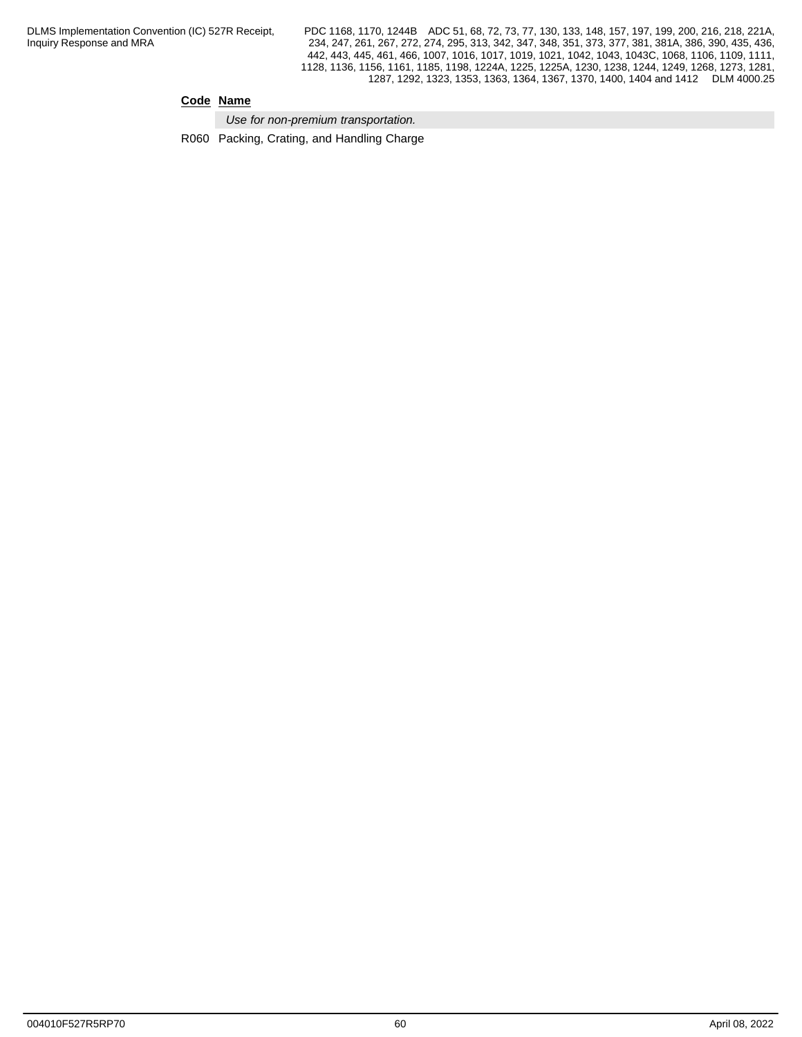PDC 1168, 1170, 1244B ADC 51, 68, 72, 73, 77, 130, 133, 148, 157, 197, 199, 200, 216, 218, 221A, 234, 247, 261, 267, 272, 274, 295, 313, 342, 347, 348, 351, 373, 377, 381, 381A, 386, 390, 435, 436, 442, 443, 445, 461, 466, 1007, 1016, 1017, 1019, 1021, 1042, 1043, 1043C, 1068, 1106, 1109, 1111, 1128, 1136, 1156, 1161, 1185, 1198, 1224A, 1225, 1225A, 1230, 1238, 1244, 1249, 1268, 1273, 1281, 1287, 1292, 1323, 1353, 1363, 1364, 1367, 1370, 1400, 1404 and 1412 DLM 4000.25

## **Code Name**

*Use for non-premium transportation.* 

R060 Packing, Crating, and Handling Charge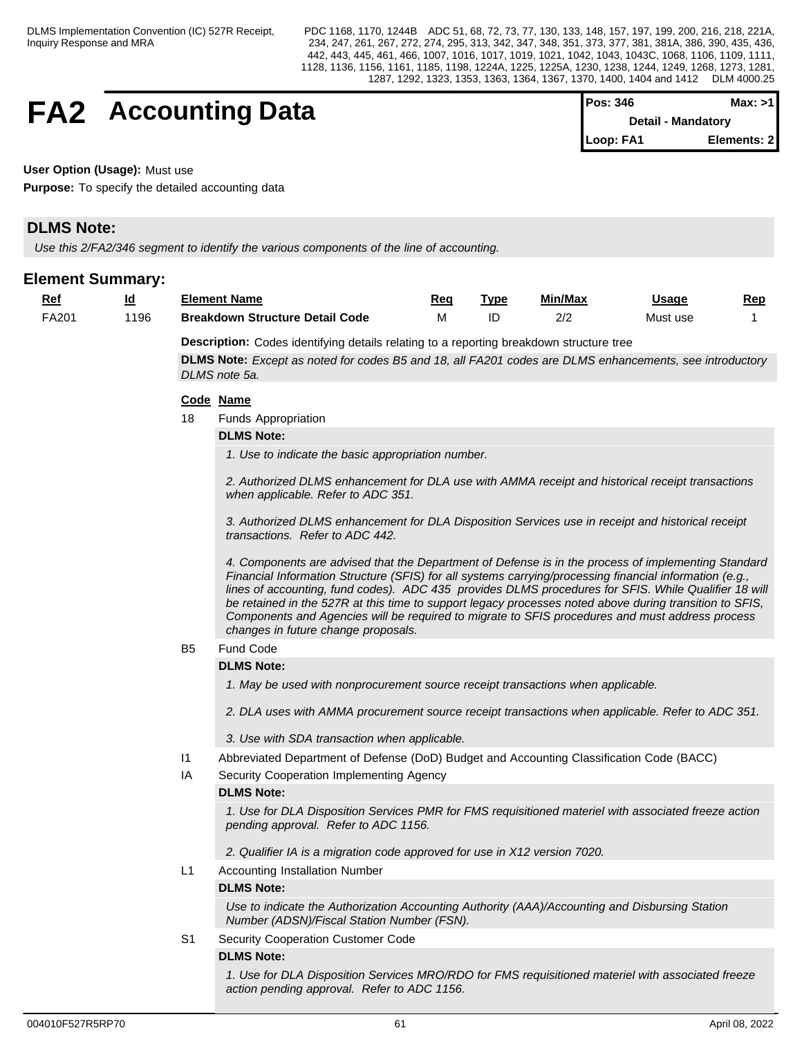## **FA2** Accounting Data

| $Pos: 346$ | Max: >11           |
|------------|--------------------|
|            | Detail - Mandatory |
| Loop: FA1  | Elements: 2        |

**User Option (Usage):** Must use

**Purpose:** To specify the detailed accounting data

## **DLMS Note:**

*Use this 2/FA2/346 segment to identify the various components of the line of accounting.*

## **Element Summary:**

| Ref   | <u>ld</u> | <b>Element Name</b>         |                                                                                                                                                                                                                                                                                                                                                                                                                                                                                                                                                                             | Req | <b>Type</b> | Min/Max | Usage    | Rep |  |  |  |
|-------|-----------|-----------------------------|-----------------------------------------------------------------------------------------------------------------------------------------------------------------------------------------------------------------------------------------------------------------------------------------------------------------------------------------------------------------------------------------------------------------------------------------------------------------------------------------------------------------------------------------------------------------------------|-----|-------------|---------|----------|-----|--|--|--|
| FA201 | 1196      |                             | <b>Breakdown Structure Detail Code</b>                                                                                                                                                                                                                                                                                                                                                                                                                                                                                                                                      | M   | ID          | 2/2     | Must use | -1  |  |  |  |
|       |           |                             | <b>Description:</b> Codes identifying details relating to a reporting breakdown structure tree                                                                                                                                                                                                                                                                                                                                                                                                                                                                              |     |             |         |          |     |  |  |  |
|       |           |                             | DLMS Note: Except as noted for codes B5 and 18, all FA201 codes are DLMS enhancements, see introductory                                                                                                                                                                                                                                                                                                                                                                                                                                                                     |     |             |         |          |     |  |  |  |
|       |           | DLMS note 5a.               |                                                                                                                                                                                                                                                                                                                                                                                                                                                                                                                                                                             |     |             |         |          |     |  |  |  |
|       |           | Code Name                   |                                                                                                                                                                                                                                                                                                                                                                                                                                                                                                                                                                             |     |             |         |          |     |  |  |  |
|       |           | 18                          | <b>Funds Appropriation</b>                                                                                                                                                                                                                                                                                                                                                                                                                                                                                                                                                  |     |             |         |          |     |  |  |  |
|       |           | <b>DLMS Note:</b>           |                                                                                                                                                                                                                                                                                                                                                                                                                                                                                                                                                                             |     |             |         |          |     |  |  |  |
|       |           |                             | 1. Use to indicate the basic appropriation number.                                                                                                                                                                                                                                                                                                                                                                                                                                                                                                                          |     |             |         |          |     |  |  |  |
|       |           |                             | 2. Authorized DLMS enhancement for DLA use with AMMA receipt and historical receipt transactions<br>when applicable. Refer to ADC 351.                                                                                                                                                                                                                                                                                                                                                                                                                                      |     |             |         |          |     |  |  |  |
|       |           |                             | 3. Authorized DLMS enhancement for DLA Disposition Services use in receipt and historical receipt<br>transactions. Refer to ADC 442.                                                                                                                                                                                                                                                                                                                                                                                                                                        |     |             |         |          |     |  |  |  |
|       |           |                             | 4. Components are advised that the Department of Defense is in the process of implementing Standard<br>Financial Information Structure (SFIS) for all systems carrying/processing financial information (e.g.,<br>lines of accounting, fund codes). ADC 435 provides DLMS procedures for SFIS. While Qualifier 18 will<br>be retained in the 527R at this time to support legacy processes noted above during transition to SFIS,<br>Components and Agencies will be required to migrate to SFIS procedures and must address process<br>changes in future change proposals. |     |             |         |          |     |  |  |  |
|       |           | Fund Code<br>B <sub>5</sub> |                                                                                                                                                                                                                                                                                                                                                                                                                                                                                                                                                                             |     |             |         |          |     |  |  |  |
|       |           | <b>DLMS Note:</b>           |                                                                                                                                                                                                                                                                                                                                                                                                                                                                                                                                                                             |     |             |         |          |     |  |  |  |
|       |           |                             | 1. May be used with nonprocurement source receipt transactions when applicable.                                                                                                                                                                                                                                                                                                                                                                                                                                                                                             |     |             |         |          |     |  |  |  |
|       |           |                             | 2. DLA uses with AMMA procurement source receipt transactions when applicable. Refer to ADC 351.                                                                                                                                                                                                                                                                                                                                                                                                                                                                            |     |             |         |          |     |  |  |  |
|       |           |                             | 3. Use with SDA transaction when applicable.                                                                                                                                                                                                                                                                                                                                                                                                                                                                                                                                |     |             |         |          |     |  |  |  |
|       |           | $\mathsf{I}$                | Abbreviated Department of Defense (DoD) Budget and Accounting Classification Code (BACC)                                                                                                                                                                                                                                                                                                                                                                                                                                                                                    |     |             |         |          |     |  |  |  |
|       |           | IA                          | Security Cooperation Implementing Agency                                                                                                                                                                                                                                                                                                                                                                                                                                                                                                                                    |     |             |         |          |     |  |  |  |
|       |           | <b>DLMS Note:</b>           |                                                                                                                                                                                                                                                                                                                                                                                                                                                                                                                                                                             |     |             |         |          |     |  |  |  |
|       |           |                             | 1. Use for DLA Disposition Services PMR for FMS requisitioned materiel with associated freeze action<br>pending approval. Refer to ADC 1156.                                                                                                                                                                                                                                                                                                                                                                                                                                |     |             |         |          |     |  |  |  |
|       |           |                             | 2. Qualifier IA is a migration code approved for use in X12 version 7020.                                                                                                                                                                                                                                                                                                                                                                                                                                                                                                   |     |             |         |          |     |  |  |  |
|       |           | L1                          | Accounting Installation Number                                                                                                                                                                                                                                                                                                                                                                                                                                                                                                                                              |     |             |         |          |     |  |  |  |
|       |           | <b>DLMS Note:</b>           |                                                                                                                                                                                                                                                                                                                                                                                                                                                                                                                                                                             |     |             |         |          |     |  |  |  |
|       |           |                             | Use to indicate the Authorization Accounting Authority (AAA)/Accounting and Disbursing Station<br>Number (ADSN)/Fiscal Station Number (FSN).                                                                                                                                                                                                                                                                                                                                                                                                                                |     |             |         |          |     |  |  |  |
|       |           | S <sub>1</sub>              | <b>Security Cooperation Customer Code</b>                                                                                                                                                                                                                                                                                                                                                                                                                                                                                                                                   |     |             |         |          |     |  |  |  |

#### **DLMS Note:**

*1. Use for DLA Disposition Services MRO/RDO for FMS requisitioned materiel with associated freeze action pending approval. Refer to ADC 1156.*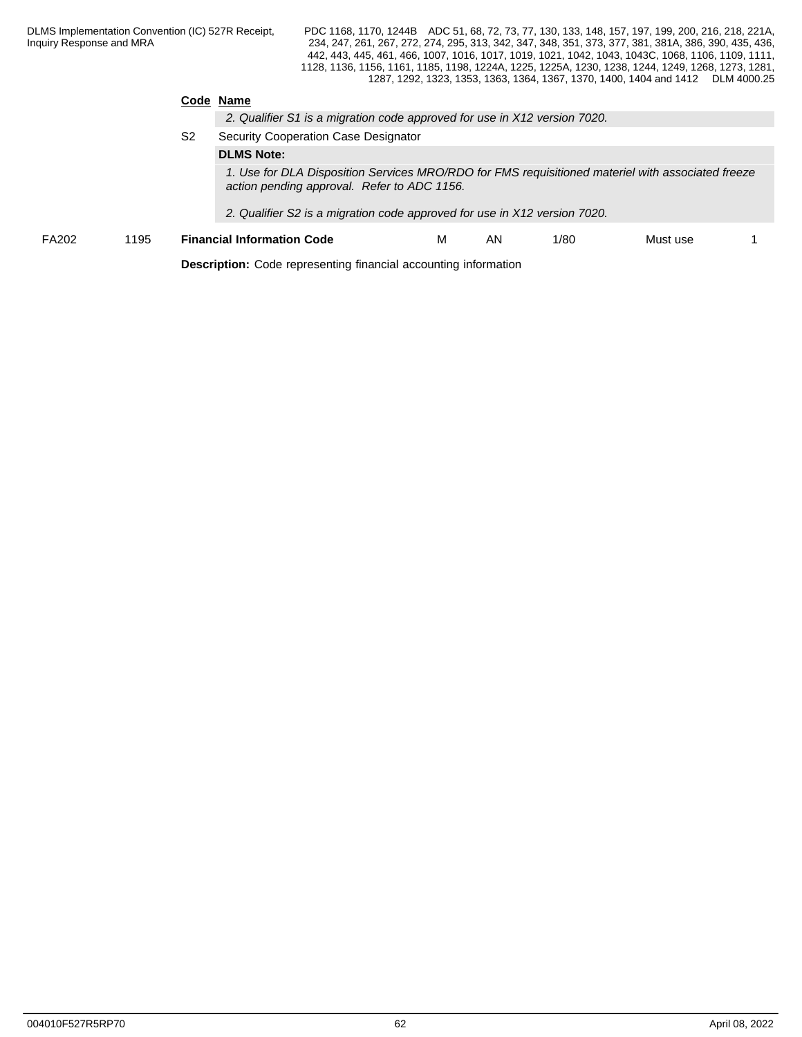### **Code Name**

S2 Security Cooperation Case Designator **DLMS Note:**

> *1. Use for DLA Disposition Services MRO/RDO for FMS requisitioned materiel with associated freeze action pending approval. Refer to ADC 1156.*

*2. Qualifier S2 is a migration code approved for use in X12 version 7020.*

FA202 1195 **Financial Information Code** M AN 1/80 Must use 1

**Description:** Code representing financial accounting information